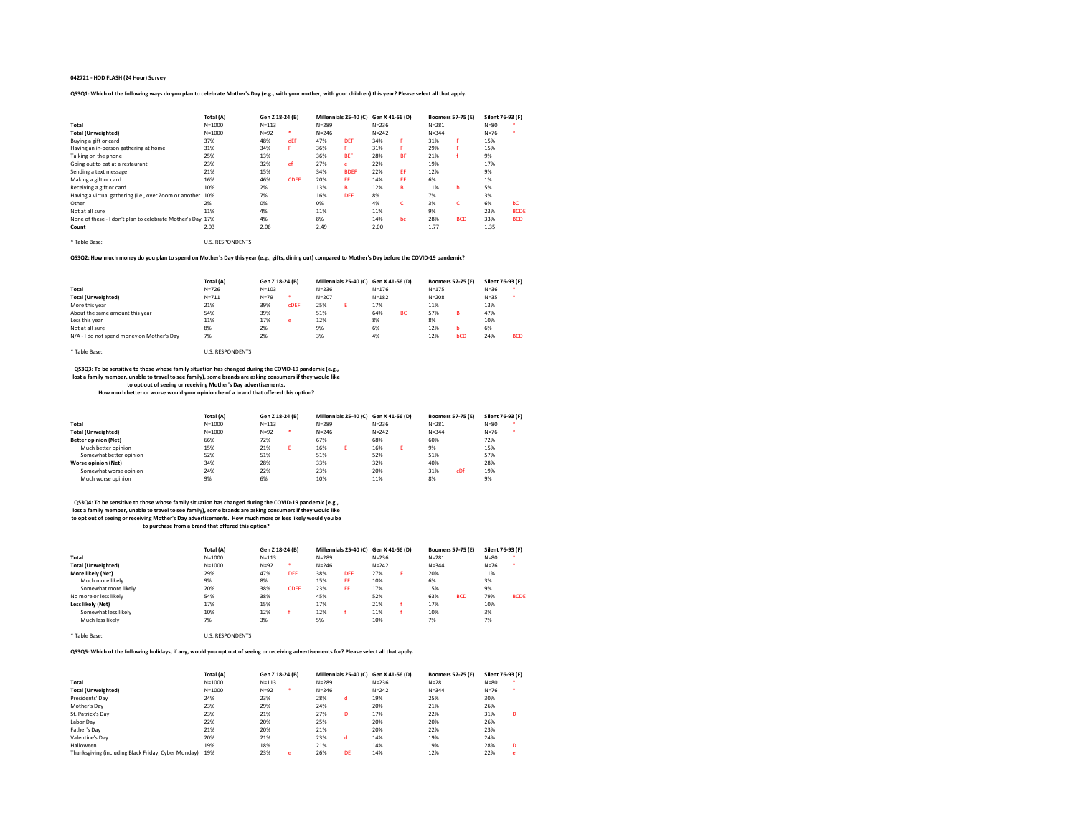### 042721 - HOD FLASH (24 Hour) Survey

### QS3Q1: Which of the following ways do you plan to celebrate Mother's Day (e.g., with your mother, with your children) this year? Please select all that apply.

|                                                            | Total (A)               | Gen Z 18-24 (B) |             | Millennials 25-40 (C) |             | Gen X 41-56 (D) |           | <b>Boomers 57-75 (E)</b> |            | Silent 76-93 (F) |             |
|------------------------------------------------------------|-------------------------|-----------------|-------------|-----------------------|-------------|-----------------|-----------|--------------------------|------------|------------------|-------------|
| Total                                                      | $N = 1000$              | $N = 113$       |             | $N = 289$             |             | $N = 236$       |           | $N = 281$                |            | $N = 80$         |             |
| <b>Total (Unweighted)</b>                                  | $N = 1000$              | $N=92$          | ٠           | $N = 246$             |             | $N = 242$       |           | $N = 344$                |            | $N = 76$         |             |
| Buying a gift or card                                      | 37%                     | 48%             | dEF         | 47%                   | <b>DEF</b>  | 34%             | F         | 31%                      | F          | 15%              |             |
| Having an in-person gathering at home                      | 31%                     | 34%             | F           | 36%                   | я           | 31%             | F.        | 29%                      | я          | 15%              |             |
| Talking on the phone                                       | 25%                     | 13%             |             | 36%                   | <b>BEF</b>  | 28%             | <b>BF</b> | 21%                      |            | 9%               |             |
| Going out to eat at a restaurant                           | 23%                     | 32%             | ef          | 27%                   | e           | 22%             |           | 19%                      |            | 17%              |             |
| Sending a text message                                     | 21%                     | 15%             |             | 34%                   | <b>BDEF</b> | 22%             | EF        | 12%                      |            | 9%               |             |
| Making a gift or card                                      | 16%                     | 46%             | <b>CDEF</b> | 20%                   | FF          | 14%             | FF        | 6%                       |            | 1%               |             |
| Receiving a gift or card                                   | 10%                     | 2%              |             | 13%                   | R           | 12%             | в         | 11%                      | b          | 5%               |             |
| Having a virtual gathering (i.e., over Zoom or another 10% |                         | 7%              |             | 16%                   | DEF         | 8%              |           | 7%                       |            | 3%               |             |
| Other                                                      | 2%                      | 0%              |             | 0%                    |             | 4%              | c         | 3%                       | c          | 6%               | bC          |
| Not at all sure                                            | 11%                     | 4%              |             | 11%                   |             | 11%             |           | 9%                       |            | 23%              | <b>BCDE</b> |
| None of these - I don't plan to celebrate Mother's Day 17% |                         | 4%              |             | 8%                    |             | 14%             | bc        | 28%                      | <b>BCD</b> | 33%              | <b>BCD</b>  |
| Count                                                      | 2.03                    | 2.06            |             | 2.49                  |             | 2.00            |           | 1.77                     |            | 1.35             |             |
| * Table Base:                                              | <b>U.S. RESPONDENTS</b> |                 |             |                       |             |                 |           |                          |            |                  |             |

QS3Q2: How much money do you plan to spend on Mother's Day this year (e.g., gifts, dining out) compared to Mother's Day before the COVID-19 pandemic?

|                                            | Total (A) | Gen Z 18-24 (B) |             | Millennials 25-40 (C) Gen X 41-56 (D) |  |           |           | <b>Boomers 57-75 (E)</b> |     | Silent 76-93 (F) |            |
|--------------------------------------------|-----------|-----------------|-------------|---------------------------------------|--|-----------|-----------|--------------------------|-----|------------------|------------|
| Total                                      | $N = 726$ | $N = 103$       |             | $N = 236$                             |  | $N = 176$ |           | $N = 175$                |     | $N = 36$         |            |
| <b>Total (Unweighted)</b>                  | $N = 711$ | $N=79$          | ٠           | $N = 207$                             |  | $N = 182$ |           | $N = 208$                |     | $N = 35$         |            |
| More this year                             | 21%       | 39%             | <b>CDEF</b> | 25%                                   |  | 17%       |           | 11%                      |     | 13%              |            |
| About the same amount this year            | 54%       | 39%             |             | 51%                                   |  | 64%       | <b>BC</b> | 57%                      | R   | 47%              |            |
| Less this year                             | 11%       | 17%             | e           | 12%                                   |  | 8%        |           | 8%                       |     | 10%              |            |
| Not at all sure                            | 8%        | 2%              |             | 9%                                    |  | 6%        |           | 12%                      |     | 6%               |            |
| N/A - I do not spend money on Mother's Day | 7%        | 2%              |             | 3%                                    |  | 4%        |           | 12%                      | bCD | 24%              | <b>BCD</b> |

\* Table Base: U.S. RESPONDENTS

## QS3Q3: To be sensitive to those whose family situation has changed during the COVID-19 pandemic (e.g., lost a family member, unable to travel to see family), some brands are asking consumers if they would like to opt out of seeing or receiving Mother's Day advertisements.

How much better or worse would your opinion be of a brand that offered this option?

|                             | Total (A)  | Gen Z 18-24 (B) |   | Millennials 25-40 (C) Gen X 41-56 (D) |  |           |  | <b>Boomers 57-75 (E)</b> |     | Silent 76-93 (F) |  |
|-----------------------------|------------|-----------------|---|---------------------------------------|--|-----------|--|--------------------------|-----|------------------|--|
| Total                       | $N = 1000$ | $N = 113$       |   | $N = 289$                             |  | $N = 236$ |  | $N = 281$                |     | $N = 80$         |  |
| <b>Total (Unweighted)</b>   | $N = 1000$ | $N=92$          | ٠ | $N = 246$                             |  | $N = 242$ |  | $N = 344$                |     | $N = 76$         |  |
| <b>Better opinion (Net)</b> | 66%        | 72%             |   | 67%                                   |  | 68%       |  | 60%                      |     | 72%              |  |
| Much better opinion         | 15%        | 21%             | F | 16%                                   |  | 16%       |  | 9%                       |     | 15%              |  |
| Somewhat better opinion     | 52%        | 51%             |   | 51%                                   |  | 52%       |  | 51%                      |     | 57%              |  |
| <b>Worse opinion (Net)</b>  | 34%        | 28%             |   | 33%                                   |  | 32%       |  | 40%                      |     | 28%              |  |
| Somewhat worse opinion      | 24%        | 22%             |   | 23%                                   |  | 20%       |  | 31%                      | cDf | 19%              |  |
| Much worse opinion          | 9%         | 6%              |   | 10%                                   |  | 11%       |  | 8%                       |     | 9%               |  |

# QS3Q4: To be sensitive to those whose family situation has changed during the COVID-19 pandemic (e.g., lost a family member, unable to travel to see family), some brands are asking consumers if they would like

to opt out of seeing or receiving Mother's Day advertisements. How much more or less likely would you be

to purchase from a brand that offered this option?

|                           | Total (A)  | Gen Z 18-24 (B) |             | Millennials 25-40 (C) Gen X 41-56 (D) |     |           |   | <b>Boomers 57-75 (E)</b> |            | Silent 76-93 (F) |             |
|---------------------------|------------|-----------------|-------------|---------------------------------------|-----|-----------|---|--------------------------|------------|------------------|-------------|
| Total                     | $N = 1000$ | $N = 113$       |             | $N = 289$                             |     | $N = 236$ |   | $N = 281$                |            | $N = 80$         |             |
| <b>Total (Unweighted)</b> | $N = 1000$ | $N=92$          | ٠           | $N = 246$                             |     | $N = 242$ |   | $N = 344$                |            | $N = 76$         |             |
| More likely (Net)         | 29%        | 47%             | DEF         | 38%                                   | DFF | 27%       | F | 20%                      |            | 11%              |             |
| Much more likely          | 9%         | 8%              |             | 15%                                   | EF  | 10%       |   | 6%                       |            | 3%               |             |
| Somewhat more likely      | 20%        | 38%             | <b>CDEF</b> | 23%                                   | EF  | 17%       |   | 15%                      |            | 9%               |             |
| No more or less likely    | 54%        | 38%             |             | 45%                                   |     | 52%       |   | 63%                      | <b>BCD</b> | 79%              | <b>BCDE</b> |
| Less likely (Net)         | 17%        | 15%             |             | 17%                                   |     | 21%       |   | 17%                      |            | 10%              |             |
| Somewhat less likely      | 10%        | 12%             |             | 12%                                   |     | 11%       |   | 10%                      |            | 3%               |             |
| Much less likely          | 7%         | 3%              |             | 5%                                    |     | 10%       |   | 7%                       |            | 7%               |             |

\* Table Base: U.S. RESPONDENTS

### QS3Q5: Which of the following holidays, if any, would you opt out of seeing or receiving advertisements for? Please select all that apply.

|                                                     | Total (A)  | Gen Z 18-24 (B) |   | Millennials 25-40 (C) Gen X 41-56 (D) |    |           | <b>Boomers 57-75 (E)</b> | Silent 76-93 (F) |   |
|-----------------------------------------------------|------------|-----------------|---|---------------------------------------|----|-----------|--------------------------|------------------|---|
| Total                                               | $N = 1000$ | $N = 113$       |   | $N = 289$                             |    | $N = 236$ | $N = 281$                | $N = 80$         |   |
| <b>Total (Unweighted)</b>                           | $N = 1000$ | $N=92$          |   | $N = 246$                             |    | $N = 242$ | $N = 344$                | $N=76$           |   |
| Presidents' Dav                                     | 24%        | 23%             |   | 28%                                   | d  | 19%       | 25%                      | 30%              |   |
| Mother's Day                                        | 23%        | 29%             |   | 24%                                   |    | 20%       | 21%                      | 26%              |   |
| St. Patrick's Dav                                   | 23%        | 21%             |   | 27%                                   | n  | 17%       | 22%                      | 31%              | D |
| Labor Dav                                           | 22%        | 20%             |   | 25%                                   |    | 20%       | 20%                      | 26%              |   |
| Father's Dav                                        | 21%        | 20%             |   | 21%                                   |    | 20%       | 22%                      | 23%              |   |
| Valentine's Dav                                     | 20%        | 21%             |   | 23%                                   | d  | 14%       | 19%                      | 24%              |   |
| Halloween                                           | 19%        | 18%             |   | 21%                                   |    | 14%       | 19%                      | 28%              | D |
| Thanksgiving (including Black Friday, Cyber Monday) | 19%        | 23%             | e | 26%                                   | DE | 14%       | 12%                      | 22%              | e |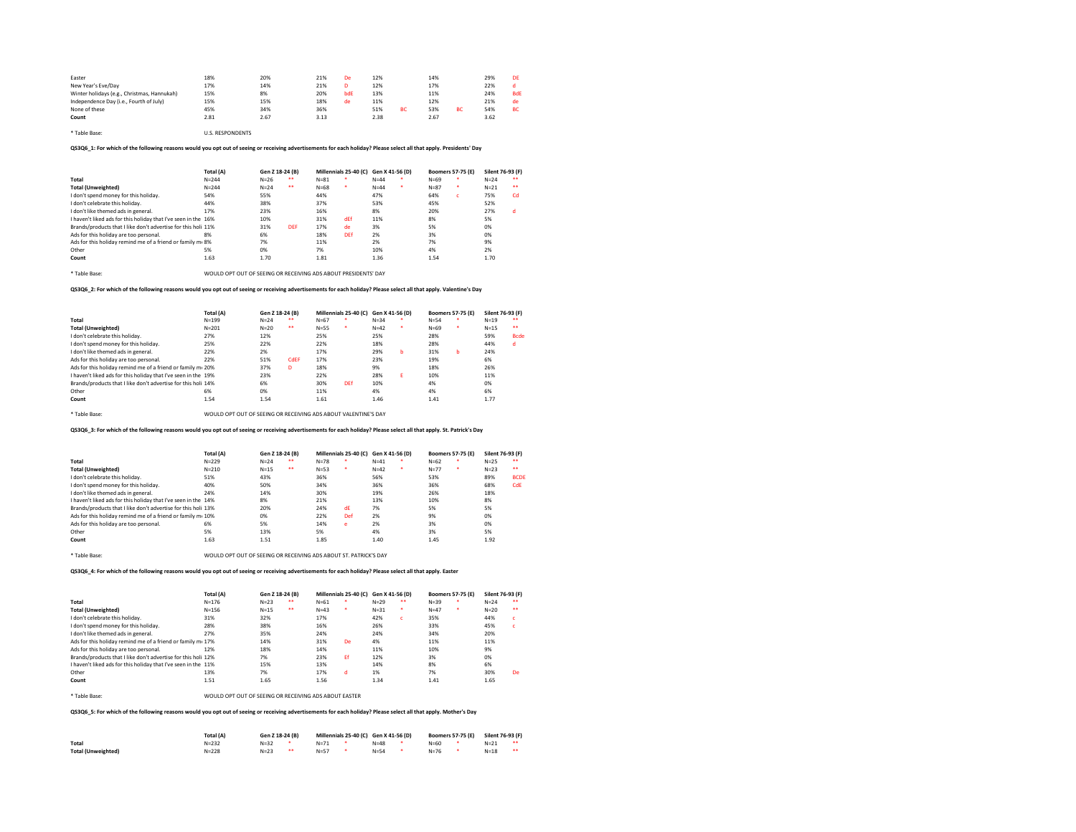| Easter                                      | 18%  | 20%  | 21%  | De  | 12%  |    | 14%  |           | 29%  | DE         |
|---------------------------------------------|------|------|------|-----|------|----|------|-----------|------|------------|
| New Year's Eve/Day                          | 17%  | 14%  | 21%  |     | 12%  |    | 17%  |           | 22%  | a.         |
| Winter holidays (e.g., Christmas, Hannukah) | 15%  | 8%   | 20%  | bdE | 13%  |    | 11%  |           | 24%  | <b>BdE</b> |
| Independence Day (i.e., Fourth of July)     | 15%  | 15%  | 18%  | de  | 11%  |    | 12%  |           | 21%  | de         |
| None of these                               | 45%  | 34%  | 36%  |     | 51%  | ВC | 53%  | <b>BC</b> | 54%  | <b>BC</b>  |
| Count                                       | 2.81 | 2.67 | 3.13 |     | 2.38 |    | 2.67 |           | 3.62 |            |

\* Table Base: U.S. RESPONDENTS

QS3Q6\_1: For which of the following reasons would you opt out of seeing or receiving advertisements for each holiday? Please select all that apply. Presidents' Day

| Total (A) | Gen Z 18-24 (B)                                                                                                                                                                               |            |          |     |          |  | <b>Boomers 57-75 (E)</b>                   |    | Silent 76-93 (F) |                  |
|-----------|-----------------------------------------------------------------------------------------------------------------------------------------------------------------------------------------------|------------|----------|-----|----------|--|--------------------------------------------|----|------------------|------------------|
| $N = 244$ | $N=26$                                                                                                                                                                                        | $+ +$      | $N = 81$ |     | $N = 44$ |  | $N = 69$                                   | ۰  | $N = 24$         | $\bullet\bullet$ |
| $N = 244$ | $N = 24$                                                                                                                                                                                      | $+ +$      | $N = 68$ | ٠   | $N = 44$ |  | $N = 87$                                   | ٠  | $N = 21$         | $\bullet\bullet$ |
| 54%       | 55%                                                                                                                                                                                           |            | 44%      |     | 47%      |  | 64%                                        | c. | 75%              | Cd               |
| 44%       | 38%                                                                                                                                                                                           |            | 37%      |     | 53%      |  | 45%                                        |    | 52%              |                  |
| 17%       | 23%                                                                                                                                                                                           |            | 16%      |     | 8%       |  | 20%                                        |    | 27%              | d                |
|           | 10%                                                                                                                                                                                           |            | 31%      | dEf | 11%      |  | 8%                                         |    | 5%               |                  |
|           | 31%                                                                                                                                                                                           | <b>DFF</b> | 17%      | de  | 3%       |  | 5%                                         |    | 0%               |                  |
| 8%        | 6%                                                                                                                                                                                            |            | 18%      | DFf | 2%       |  | 3%                                         |    | 0%               |                  |
|           | 7%                                                                                                                                                                                            |            | 11%      |     | 2%       |  | 7%                                         |    | 9%               |                  |
| 5%        | 0%                                                                                                                                                                                            |            | 7%       |     | 10%      |  | 4%                                         |    | 2%               |                  |
| 1.63      | 1.70                                                                                                                                                                                          |            | 1.81     |     | 1.36     |  | 1.54                                       |    | 1.70             |                  |
|           | I haven't liked ads for this holiday that I've seen in the 16%<br>Brands/products that I like don't advertise for this holi 11%<br>Ads for this holiday remind me of a friend or family me 8% |            |          |     |          |  | Millennials 25-40 (C) Gen X 41-56 (D)<br>٠ |    |                  |                  |

\* Table Base: WOULD OPT OUT OF SEEING OR RECEIVING ADS ABOUT PRESIDENTS' DAY

QS3Q6\_2: For which of the following reasons would you opt out of seeing or receiving advertisements for each holiday? Please select all that apply. Valentine's Day

|                                                                | Total (A) | Gen Z 18-24 (B) |       | Millennials 25-40 (C) Gen X 41-56 (D) |     |          |   | <b>Boomers 57-75 (E)</b> |   | Silent 76-93 (F) |                  |
|----------------------------------------------------------------|-----------|-----------------|-------|---------------------------------------|-----|----------|---|--------------------------|---|------------------|------------------|
| Total                                                          | $N = 199$ | $N = 24$        | $+ +$ | $N=67$                                | ٠   | $N = 34$ | ٠ | $N = 54$                 | ٠ | $N=19$           | $\bullet\bullet$ |
| <b>Total (Unweighted)</b>                                      | $N = 201$ | $N=20$          | $+ +$ | $N = 55$                              | ٠   | $N=42$   | ٠ | $N = 69$                 | ٠ | $N = 15$         | $\bullet\bullet$ |
| I don't celebrate this holiday.                                | 27%       | 12%             |       | 25%                                   |     | 25%      |   | 28%                      |   | 59%              | <b>Bcde</b>      |
| I don't spend money for this holiday.                          | 25%       | 22%             |       | 22%                                   |     | 18%      |   | 28%                      |   | 44%              | d                |
| I don't like themed ads in general.                            | 22%       | 2%              |       | 17%                                   |     | 29%      | b | 31%                      | h | 24%              |                  |
| Ads for this holiday are too personal.                         | 22%       | 51%             | CdEF  | 17%                                   |     | 23%      |   | 19%                      |   | 6%               |                  |
| Ads for this holiday remind me of a friend or family me 20%    |           | 37%             | D     | 18%                                   |     | 9%       |   | 18%                      |   | 26%              |                  |
| I haven't liked ads for this holiday that I've seen in the 19% |           | 23%             |       | 22%                                   |     | 28%      | F | 10%                      |   | 11%              |                  |
| Brands/products that I like don't advertise for this holi 14%  |           | 6%              |       | 30%                                   | DEf | 10%      |   | 4%                       |   | 0%               |                  |
| Other                                                          | 6%        | 0%              |       | 11%                                   |     | 4%       |   | 4%                       |   | 6%               |                  |
| Count                                                          | 1.54      | 1.54            |       | 1.61                                  |     | 1.46     |   | 1.41                     |   | 1.77             |                  |
|                                                                |           |                 |       |                                       |     |          |   |                          |   |                  |                  |

\* Table Base: WOULD OPT OUT OF SEEING OR RECEIVING ADS ABOUT VALENTINE'S DAY

QS3Q6\_3: For which of the following reasons would you opt out of seeing or receiving advertisements for each holiday? Please select all that apply. St. Patrick's Day

|                                                                | Total (A)                                                        | Gen Z 18-24 (B) |       | Millennials 25-40 (C) Gen X 41-56 (D) |     |          |   | <b>Boomers 57-75 (E)</b> |   | Silent 76-93 (F) |                  |
|----------------------------------------------------------------|------------------------------------------------------------------|-----------------|-------|---------------------------------------|-----|----------|---|--------------------------|---|------------------|------------------|
| Total                                                          | $N = 229$                                                        | $N = 24$        | $+ +$ | $N = 78$                              |     | $N = 41$ |   | $N = 62$                 |   | $N=25$           | $\bullet\bullet$ |
| <b>Total (Unweighted)</b>                                      | $N = 210$                                                        | $N=15$          | ٠     | $N = 53$                              | ٠   | $N=42$   | ٠ | $N=77$                   | ٠ | $N = 23$         | $\bullet\bullet$ |
| I don't celebrate this holiday.                                | 51%                                                              | 43%             |       | 36%                                   |     | 56%      |   | 53%                      |   | 89%              | <b>BCDE</b>      |
| I don't spend money for this holiday.                          | 40%                                                              | 50%             |       | 34%                                   |     | 36%      |   | 36%                      |   | 68%              | CdE              |
| I don't like themed ads in general.                            | 24%                                                              | 14%             |       | 30%                                   |     | 19%      |   | 26%                      |   | 18%              |                  |
| I haven't liked ads for this holiday that I've seen in the 14% |                                                                  | 8%              |       | 21%                                   |     | 13%      |   | 10%                      |   | 8%               |                  |
| Brands/products that I like don't advertise for this holi 13%  |                                                                  | 20%             |       | 24%                                   | dF  | 7%       |   | 5%                       |   | 5%               |                  |
| Ads for this holiday remind me of a friend or family me 10%    |                                                                  | 0%              |       | 22%                                   | Def | 2%       |   | 9%                       |   | 0%               |                  |
| Ads for this holiday are too personal.                         | 6%                                                               | 5%              |       | 14%                                   | e   | 2%       |   | 3%                       |   | 0%               |                  |
| Other                                                          | 5%                                                               | 13%             |       | 5%                                    |     | 4%       |   | 3%                       |   | 5%               |                  |
| Count                                                          | 1.63                                                             | 1.51            |       | 1.85                                  |     | 1.40     |   | 1.45                     |   | 1.92             |                  |
| * Table Base:                                                  | WOULD OPT OUT OF SEEING OR RECEIVING ADS ABOUT ST. PATRICK'S DAY |                 |       |                                       |     |          |   |                          |   |                  |                  |

QS3Q6\_4: For which of the following reasons would you opt out of seeing or receiving advertisements for each holiday? Please select all that apply. Easter

|                                                                | Total (A) | Gen Z 18-24 (B) |       |          | Millennials 25-40 (C) Gen X 41-56 (D) |          |       | <b>Boomers 57-75 (E)</b> | Silent 76-93 (F) |                  |
|----------------------------------------------------------------|-----------|-----------------|-------|----------|---------------------------------------|----------|-------|--------------------------|------------------|------------------|
| Total                                                          | $N = 176$ | $N = 23$        | $+ +$ | $N = 61$ | ٠                                     | $N=29$   | $+ +$ | $N = 39$                 | $N=24$           | $\bullet\bullet$ |
| <b>Total (Unweighted)</b>                                      | $N = 156$ | $N=15$          | **    | $N = 43$ | ٠                                     | $N = 31$ | ٠     | $N = 47$                 | $N = 20$         | $\bullet\bullet$ |
| I don't celebrate this holiday.                                | 31%       | 32%             |       | 17%      |                                       | 42%      | c     | 35%                      | 44%              | c                |
| I don't spend money for this holiday.                          | 28%       | 38%             |       | 16%      |                                       | 26%      |       | 33%                      | 45%              | c.               |
| I don't like themed ads in general.                            | 27%       | 35%             |       | 24%      |                                       | 24%      |       | 34%                      | 20%              |                  |
| Ads for this holiday remind me of a friend or family mi 17%    |           | 14%             |       | 31%      | De                                    | 4%       |       | 11%                      | 11%              |                  |
| Ads for this holiday are too personal.                         | 12%       | 18%             |       | 14%      |                                       | 11%      |       | 10%                      | 9%               |                  |
| Brands/products that I like don't advertise for this holi 12%  |           | 7%              |       | 23%      | Ff                                    | 12%      |       | 3%                       | 0%               |                  |
| I haven't liked ads for this holiday that I've seen in the 11% |           | 15%             |       | 13%      |                                       | 14%      |       | 8%                       | 6%               |                  |
| Other                                                          | 13%       | 7%              |       | 17%      | d                                     | 1%       |       | 7%                       | 30%              | De               |
| Count                                                          | 1.51      | 1.65            |       | 1.56     |                                       | 1.34     |       | 1.41                     | 1.65             |                  |
|                                                                |           |                 |       |          |                                       |          |       |                          |                  |                  |

\* Table Base: WOULD OPT OUT OF SEEING OR RECEIVING ADS ABOUT EASTER

QS3Q6\_5: For which of the following reasons would you opt out of seeing or receiving advertisements for each holiday? Please select all that apply. Mother's Day

|                           | Total (A) | Gen Z 18-24 (B) |    | Millennials 25-40 (C) Gen X 41-56 (D) |  |          |  | <b>Boomers 57-75 (E)</b> | Silent 76-93 (F) |  |
|---------------------------|-----------|-----------------|----|---------------------------------------|--|----------|--|--------------------------|------------------|--|
| Total                     | $N = 232$ | $N = 32$        |    | $N=71$                                |  | $N = 48$ |  | $N = 60$                 | $N = 21$         |  |
| <b>Total (Unweighted)</b> | $N = 228$ | $N=23$          | ** | $N = 57$                              |  | $N = 54$ |  | $N = 76$                 | $N=18$           |  |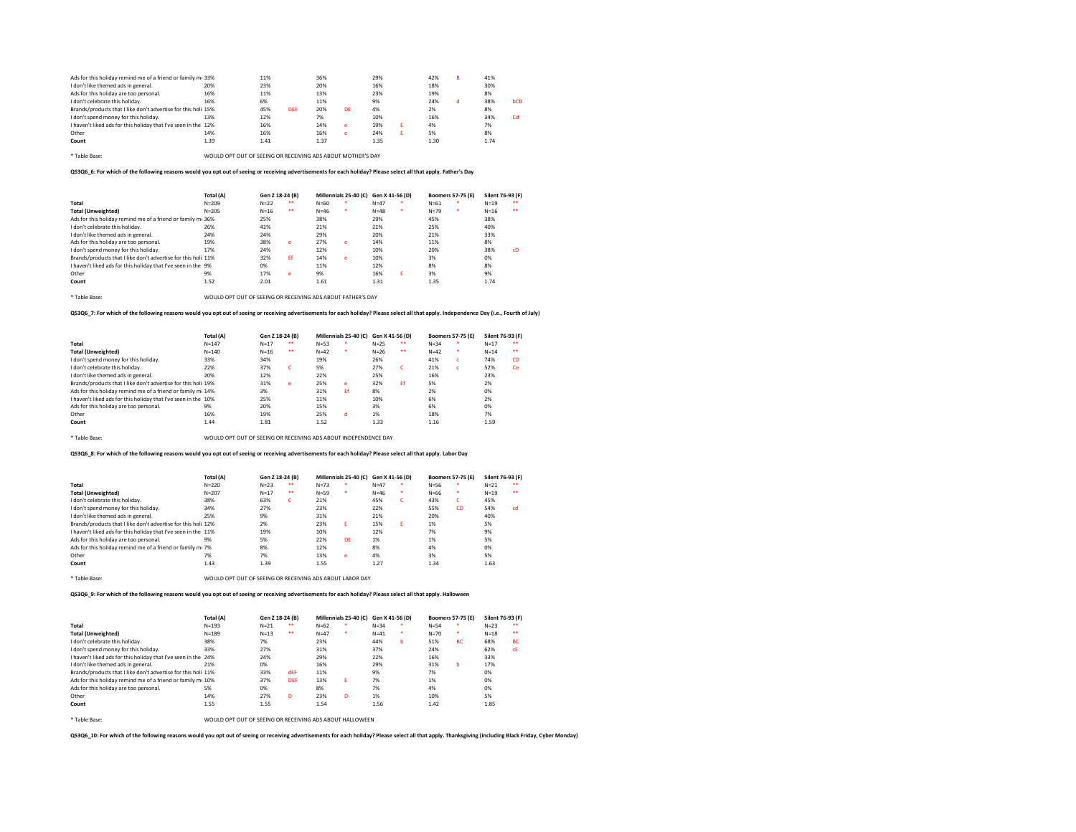| Ads for this holiday remind me of a friend or family m. 33%    |      | 11%  |            | 36%  |    | 29%  | 42%  | R | 41%  |           |
|----------------------------------------------------------------|------|------|------------|------|----|------|------|---|------|-----------|
| I don't like themed ads in general.                            | 20%  | 23%  |            | 20%  |    | 16%  | 18%  |   | 30%  |           |
| Ads for this holiday are too personal.                         | 16%  | 11%  |            | 13%  |    | 23%  | 19%  |   | 8%   |           |
| I don't celebrate this holiday.                                | 16%  | 6%   |            | 11%  |    | 9%   | 24%  | а | 38%  | bCD       |
| Brands/products that I like don't advertise for this holi 15%  |      | 45%  | <b>DEF</b> | 20%  | DE | 4%   | 2%   |   | 8%   |           |
| I don't spend money for this holiday.                          | 13%  | 12%  |            | 7%   |    | 10%  | 16%  |   | 34%  | <b>Cd</b> |
| I haven't liked ads for this holiday that I've seen in the 12% |      | 16%  |            | 14%  | e  | 19%  | 4%   |   | 7%   |           |
| Other                                                          | 14%  | 16%  |            | 16%  | e  | 24%  | 5%   |   | 8%   |           |
| Count                                                          | 1.39 | 1.41 |            | 1.37 |    | 1.35 | 1.30 |   | 1.74 |           |
|                                                                |      |      |            |      |    |      |      |   |      |           |

\* Table Base: WOULD OPT OUT OF SEEING OR RECEIVING ADS ABOUT MOTHER'S DAY

QS3Q6\_6: For which of the following reasons would you opt out of seeing or receiving advertisements for each holiday? Please select all that apply. Father's Day

|                                                               | Total (A) | Gen Z 18-24 (B) |       |          | Millennials 25-40 (C) Gen X 41-56 (D) |          |   |          | <b>Boomers 57-75 (E)</b> | Silent 76-93 (F) |                  |
|---------------------------------------------------------------|-----------|-----------------|-------|----------|---------------------------------------|----------|---|----------|--------------------------|------------------|------------------|
| Total                                                         | $N = 209$ | $N=22$          | $+ +$ | $N = 60$ |                                       | $N=47$   | ٠ | $N = 61$ |                          | $N=19$           | $\bullet\bullet$ |
| <b>Total (Unweighted)</b>                                     | $N = 205$ | $N = 16$        | $+ +$ | $N = 46$ |                                       | $N = 48$ | ٠ | $N=79$   | ٠                        | $N = 16$         | $\bullet\bullet$ |
| Ads for this holiday remind me of a friend or family mi 36%   |           | 25%             |       | 38%      |                                       | 29%      |   | 45%      |                          | 38%              |                  |
| I don't celebrate this holiday.                               | 26%       | 41%             |       | 21%      |                                       | 21%      |   | 25%      |                          | 40%              |                  |
| I don't like themed ads in general.                           | 24%       | 24%             |       | 29%      |                                       | 20%      |   | 21%      |                          | 33%              |                  |
| Ads for this holiday are too personal.                        | 19%       | 38%             | e     | 27%      | e                                     | 14%      |   | 11%      |                          | 8%               |                  |
| I don't spend money for this holiday.                         | 17%       | 24%             |       | 12%      |                                       | 10%      |   | 20%      |                          | 38%              | cD               |
| Brands/products that I like don't advertise for this holi 11% |           | 32%             | Ef    | 14%      | e                                     | 10%      |   | 3%       |                          | 0%               |                  |
| I haven't liked ads for this holiday that I've seen in the 9% |           | 0%              |       | 11%      |                                       | 12%      |   | 8%       |                          | 8%               |                  |
| Other                                                         | 9%        | 17%             | e     | 9%       |                                       | 16%      | ε | 3%       |                          | 9%               |                  |
| Count                                                         | 1.52      | 2.01            |       | 1.61     |                                       | 1.31     |   | 1.35     |                          | 1.74             |                  |

\* Table Base: WOULD OPT OUT OF SEEING OR RECEIVING ADS ABOUT FATHER'S DAY

QS3Q6\_7: For which of the following reasons would you opt out of seeing or receiving advertisements for each holiday? Please select all that apply. Independence Day (i.e., Fourth of July)

|                                                                | Total (A) | Gen Z 18-24 (B) |    |          | Millennials 25-40 (C) Gen X 41-56 (D) |        |    |          | <b>Boomers 57-75 (E)</b> | Silent 76-93 (F) |                  |
|----------------------------------------------------------------|-----------|-----------------|----|----------|---------------------------------------|--------|----|----------|--------------------------|------------------|------------------|
| Total                                                          | $N = 147$ | $N=17$          | ** | $N = 53$ | ۰                                     | $N=25$ | ** | $N = 34$ | ٠                        | $N=17$           |                  |
| <b>Total (Unweighted)</b>                                      | $N = 140$ | $N=16$          | ** | $N=42$   | ٠                                     | $N=26$ | ** | $N=42$   | ٠                        | $N=14$           | $\bullet\bullet$ |
| I don't spend money for this holiday.                          | 33%       | 34%             |    | 19%      |                                       | 26%    |    | 41%      | c                        | 74%              | <b>CD</b>        |
| I don't celebrate this holiday.                                | 22%       | 37%             | c  | 5%       |                                       | 27%    | c  | 21%      | c                        | 52%              | <b>Ce</b>        |
| I don't like themed ads in general.                            | 20%       | 12%             |    | 22%      |                                       | 25%    |    | 16%      |                          | 23%              |                  |
| Brands/products that I like don't advertise for this holi 19%  |           | 31%             | e  | 25%      | e                                     | 32%    | Ff | 5%       |                          | 2%               |                  |
| Ads for this holiday remind me of a friend or family me 14%    |           | 3%              |    | 31%      | Ff                                    | 8%     |    | 2%       |                          | 0%               |                  |
| I haven't liked ads for this holiday that I've seen in the 10% |           | 25%             |    | 11%      |                                       | 10%    |    | 6%       |                          | 2%               |                  |
| Ads for this holiday are too personal.                         | 9%        | 20%             |    | 15%      |                                       | 3%     |    | 6%       |                          | 0%               |                  |
| Other                                                          | 16%       | 19%             |    | 25%      | d                                     | 1%     |    | 18%      |                          | 7%               |                  |
| Count                                                          | 1.44      | 1.81            |    | 1.52     |                                       | 1.33   |    | 1.16     |                          | 1.59             |                  |
|                                                                |           |                 |    |          |                                       |        |    |          |                          |                  |                  |

\* Table Base: WOULD OPT OUT OF SEEING OR RECEIVING ADS ABOUT INDEPENDENCE DAY

QS3Q6\_8: For which of the following reasons would you opt out of seeing or receiving advertisements for each holiday? Please select all that apply. Labor Day

|                                                                | Total (A) | Gen Z 18-24 (B) |       |          | Millennials 25-40 (C) Gen X 41-56 (D) |          |   | <b>Boomers 57-75 (E)</b> |           | Silent 76-93 (F) |                  |
|----------------------------------------------------------------|-----------|-----------------|-------|----------|---------------------------------------|----------|---|--------------------------|-----------|------------------|------------------|
| Total                                                          | $N = 220$ | $N=23$          | $+ +$ | $N = 73$ |                                       | $N=47$   | ٠ | $N = 56$                 | ٠         | $N = 21$         | $\bullet\bullet$ |
| <b>Total (Unweighted)</b>                                      | $N = 207$ | $N=17$          | $+ +$ | $N = 59$ | ٠                                     | $N = 46$ | ٠ | $N = 66$                 | ٠         | $N=19$           | $\bullet\bullet$ |
| I don't celebrate this holiday.                                | 38%       | 63%             | c     | 21%      |                                       | 45%      | c | 43%                      | c         | 45%              |                  |
| I don't spend money for this holiday.                          | 34%       | 27%             |       | 23%      |                                       | 22%      |   | 55%                      | <b>CD</b> | 54%              | cd               |
| I don't like themed ads in general.                            | 25%       | 9%              |       | 31%      |                                       | 21%      |   | 20%                      |           | 40%              |                  |
| Brands/products that I like don't advertise for this holi 12%  |           | 2%              |       | 23%      | F.                                    | 15%      | F | 1%                       |           | 5%               |                  |
| I haven't liked ads for this holiday that I've seen in the 11% |           | 19%             |       | 10%      |                                       | 12%      |   | 7%                       |           | 9%               |                  |
| Ads for this holiday are too personal.                         | 9%        | 5%              |       | 22%      | DF                                    | 1%       |   | 1%                       |           | 5%               |                  |
| Ads for this holiday remind me of a friend or family mi 7%     |           | 8%              |       | 12%      |                                       | 8%       |   | 4%                       |           | 0%               |                  |
| Other                                                          | 7%        | 7%              |       | 13%      | e                                     | 4%       |   | 3%                       |           | 5%               |                  |
| Count                                                          | 1.43      | 1.39            |       | 1.55     |                                       | 1.27     |   | 1.34                     |           | 1.63             |                  |
|                                                                |           |                 |       |          |                                       |          |   |                          |           |                  |                  |

\* Table Base: WOULD OPT OUT OF SEEING OR RECEIVING ADS ABOUT LABOR DAY

QS3Q6\_9: For which of the following reasons would you opt out of seeing or receiving advertisements for each holiday? Please select all that apply. Halloween

|                                                                | Total (A) | Gen Z 18-24 (B) |            | Millennials 25-40 (C) Gen X 41-56 (D) |   |          |   | <b>Boomers 57-75 (E)</b> |           | Silent 76-93 (F) |                  |
|----------------------------------------------------------------|-----------|-----------------|------------|---------------------------------------|---|----------|---|--------------------------|-----------|------------------|------------------|
| Total                                                          | $N = 193$ | $N = 21$        | $\bullet$  | $N = 62$                              | ٠ | $N = 34$ | ٠ | $N = 54$                 |           | $N = 23$         | $\bullet\bullet$ |
| <b>Total (Unweighted)</b>                                      | $N = 189$ | $N = 13$        | $+ +$      | $N=47$                                | ٠ | $N=41$   | ٠ | $N=70$                   | ٠         | $N=18$           | $\bullet\bullet$ |
| I don't celebrate this holiday.                                | 38%       | 7%              |            | 23%                                   |   | 44%      | b | 51%                      | <b>BC</b> | 68%              | <b>BC</b>        |
| I don't spend money for this holiday.                          | 33%       | 27%             |            | 31%                                   |   | 37%      |   | 24%                      |           | 62%              | <b>CE</b>        |
| I haven't liked ads for this holiday that I've seen in the 24% |           | 24%             |            | 29%                                   |   | 22%      |   | 16%                      |           | 33%              |                  |
| I don't like themed ads in general.                            | 21%       | 0%              |            | 16%                                   |   | 29%      |   | 31%                      | b         | 17%              |                  |
| Brands/products that I like don't advertise for this holi 11%  |           | 33%             | dEF        | 11%                                   |   | 9%       |   | 7%                       |           | 0%               |                  |
| Ads for this holiday remind me of a friend or family m. 10%    |           | 37%             | <b>DEF</b> | 13%                                   | F | 7%       |   | 1%                       |           | 0%               |                  |
| Ads for this holiday are too personal.                         | 5%        | 0%              |            | 8%                                    |   | 7%       |   | 4%                       |           | 0%               |                  |
| Other                                                          | 14%       | 27%             | D          | 23%                                   | n | 1%       |   | 10%                      |           | 5%               |                  |
| Count                                                          | 1.55      | 1.55            |            | 1.54                                  |   | 1.56     |   | 1.42                     |           | 1.85             |                  |
|                                                                |           |                 |            |                                       |   |          |   |                          |           |                  |                  |

\* Table Base: WOULD OPT OUT OF SEEING OR RECEIVING ADS ABOUT HALLOWEEN

QS3Q6\_10: For which of the following reasons would you opt out of seeing or receiving advertisements for each holiday? Please select all that apply. Thanksgiving (including Black Friday, Cyber Monday)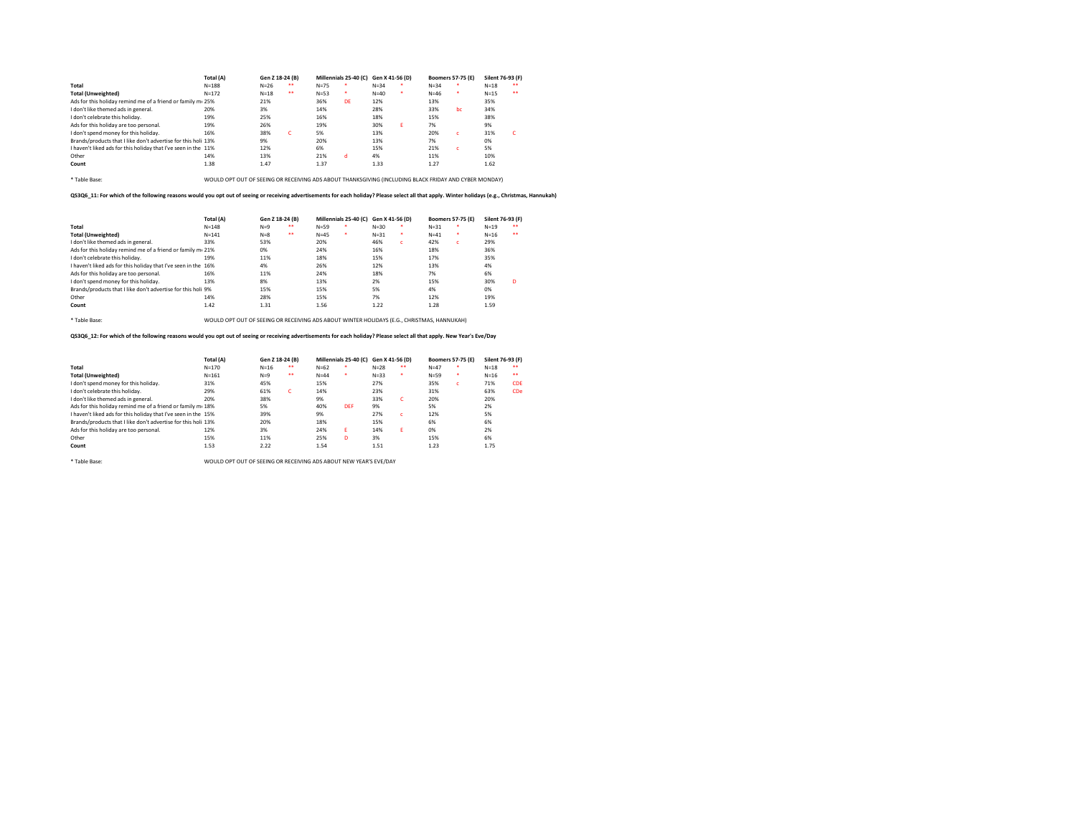|                                                                | Total (A)                                                                                             | Gen Z 18-24 (B) |                  |          | Millennials 25-40 (C) Gen X 41-56 (D) |          |    |          | <b>Boomers 57-75 (E)</b> | Silent 76-93 (F) |  |
|----------------------------------------------------------------|-------------------------------------------------------------------------------------------------------|-----------------|------------------|----------|---------------------------------------|----------|----|----------|--------------------------|------------------|--|
| Total                                                          | $N = 188$                                                                                             | $N = 26$        | $\bullet\bullet$ | $N=75$   |                                       | $N = 34$ |    | $N = 34$ |                          | $N=18$           |  |
| <b>Total (Unweighted)</b>                                      | $N = 172$                                                                                             | $N=18$          | $\bullet\bullet$ | $N = 53$ | ٠                                     | $N = 40$ |    | $N = 46$ | ٠                        | $N=15$           |  |
| Ads for this holiday remind me of a friend or family me 25%    |                                                                                                       | 21%             |                  | 36%      | DE                                    | 12%      |    | 13%      |                          | 35%              |  |
| I don't like themed ads in general.                            | 20%                                                                                                   | 3%              |                  | 14%      |                                       | 28%      |    | 33%      | bc                       | 34%              |  |
| I don't celebrate this holiday.                                | 19%                                                                                                   | 25%             |                  | 16%      |                                       | 18%      |    | 15%      |                          | 38%              |  |
| Ads for this holiday are too personal.                         | 19%                                                                                                   | 26%             |                  | 19%      |                                       | 30%      | F. | 7%       |                          | 9%               |  |
| I don't spend money for this holiday.                          | 16%                                                                                                   | 38%             | c                | 5%       |                                       | 13%      |    | 20%      | c.                       | 31%              |  |
| Brands/products that I like don't advertise for this holi 13%  |                                                                                                       | 9%              |                  | 20%      |                                       | 13%      |    | 7%       |                          | 0%               |  |
| I haven't liked ads for this holiday that I've seen in the 11% |                                                                                                       | 12%             |                  | 6%       |                                       | 15%      |    | 21%      | c.                       | 5%               |  |
| Other                                                          | 14%                                                                                                   | 13%             |                  | 21%      | d                                     | 4%       |    | 11%      |                          | 10%              |  |
| Count                                                          | 1.38                                                                                                  | 1.47            |                  | 1.37     |                                       | 1.33     |    | 1.27     |                          | 1.62             |  |
|                                                                |                                                                                                       |                 |                  |          |                                       |          |    |          |                          |                  |  |
| * Table Base:                                                  | WOULD OPT OUT OF SEEING OR RECEIVING ADS ABOUT THANKSGIVING (INCLUDING BLACK FRIDAY AND CYBER MONDAY) |                 |                  |          |                                       |          |    |          |                          |                  |  |

QS3Q6\_11: For which of the following reasons would you opt out of seeing or receiving advertisements for each holiday? Please select all that apply. Winter holidays (e.g., Christmas, Hannukah)

|                                                                | Total (A) | Gen Z 18-24 (B) |       | Millennials 25-40 (C) Gen X 41-56 (D) |   |          |    | <b>Boomers 57-75 (E)</b> |    | Silent 76-93 (F) |                  |
|----------------------------------------------------------------|-----------|-----------------|-------|---------------------------------------|---|----------|----|--------------------------|----|------------------|------------------|
| Total                                                          | $N = 148$ | $N=9$           | $+ +$ | $N = 59$                              |   | $N = 30$ |    | $N = 31$                 |    | $N=19$           | $\bullet\bullet$ |
| <b>Total (Unweighted)</b>                                      | $N = 141$ | $N=8$           | $+ +$ | $N=45$                                | ٠ | $N = 31$ | ٠  | $N = 41$                 | ٠  | $N=16$           |                  |
| I don't like themed ads in general.                            | 33%       | 53%             |       | 20%                                   |   | 46%      | c. | 42%                      | c. | 29%              |                  |
| Ads for this holiday remind me of a friend or family m. 21%    |           | 0%              |       | 24%                                   |   | 16%      |    | 18%                      |    | 36%              |                  |
| I don't celebrate this holiday.                                | 19%       | 11%             |       | 18%                                   |   | 15%      |    | 17%                      |    | 35%              |                  |
| I haven't liked ads for this holiday that I've seen in the 16% |           | 4%              |       | 26%                                   |   | 12%      |    | 13%                      |    | 4%               |                  |
| Ads for this holiday are too personal.                         | 16%       | 11%             |       | 24%                                   |   | 18%      |    | 7%                       |    | 6%               |                  |
| I don't spend money for this holiday.                          | 13%       | 8%              |       | 13%                                   |   | 2%       |    | 15%                      |    | 30%              | D                |
| Brands/products that I like don't advertise for this holi 9%   |           | 15%             |       | 15%                                   |   | 5%       |    | 4%                       |    | 0%               |                  |
| Other                                                          | 14%       | 28%             |       | 15%                                   |   | 7%       |    | 12%                      |    | 19%              |                  |
| Count                                                          | 1.42      | 1.31            |       | 1.56                                  |   | 1.22     |    | 1.28                     |    | 1.59             |                  |

\* Table Base: WOULD OPT OUT OF SEEING OR RECEIVING ADS ABOUT WINTER HOLIDAYS (E.G., CHRISTMAS, HANNUKAH)

QS3Q6\_12: For which of the following reasons would you opt out of seeing or receiving advertisements for each holiday? Please select all that apply. New Year's Eve/Day

|                                                                | Total (A) | Gen Z 18-24 (B) |       | Millennials 25-40 (C) Gen X 41-56 (D) |            |          |           | <b>Boomers 57-75 (E)</b> |   | Silent 76-93 (F) |            |
|----------------------------------------------------------------|-----------|-----------------|-------|---------------------------------------|------------|----------|-----------|--------------------------|---|------------------|------------|
| Total                                                          | $N = 170$ | $N=16$          | $+ +$ | $N = 62$                              | ٠          | $N=28$   |           | $N = 47$                 | ٠ | $N=18$           |            |
| <b>Total (Unweighted)</b>                                      | $N = 161$ | $N=9$           | $+ +$ | $N = 44$                              | ٠          | $N = 33$ | $\bullet$ | $N = 59$                 | ٠ | $N=16$           |            |
| I don't spend money for this holiday.                          | 31%       | 45%             |       | 15%                                   |            | 27%      |           | 35%                      | c | 71%              | <b>CDE</b> |
| I don't celebrate this holiday.                                | 29%       | 61%             | c     | 14%                                   |            | 23%      |           | 31%                      |   | 63%              | CDe        |
| I don't like themed ads in general.                            | 20%       | 38%             |       | 9%                                    |            | 33%      | c         | 20%                      |   | 20%              |            |
| Ads for this holiday remind me of a friend or family me 18%    |           | 5%              |       | 40%                                   | <b>DEF</b> | 9%       |           | 5%                       |   | 2%               |            |
| I haven't liked ads for this holiday that I've seen in the 15% |           | 39%             |       | 9%                                    |            | 27%      | c.        | 12%                      |   | 5%               |            |
| Brands/products that I like don't advertise for this holi 13%  |           | 20%             |       | 18%                                   |            | 15%      |           | 6%                       |   | 6%               |            |
| Ads for this holiday are too personal.                         | 12%       | 3%              |       | 24%                                   | F          | 14%      | F.        | 0%                       |   | 2%               |            |
| Other                                                          | 15%       | 11%             |       | 25%                                   | n          | 3%       |           | 15%                      |   | 6%               |            |
| Count                                                          | 1.53      | 2.22            |       | 1.54                                  |            | 1.51     |           | 1.23                     |   | 1.75             |            |

\* Table Base: WOULD OPT OUT OF SEEING OR RECEIVING ADS ABOUT NEW YEAR'S EVE/DAY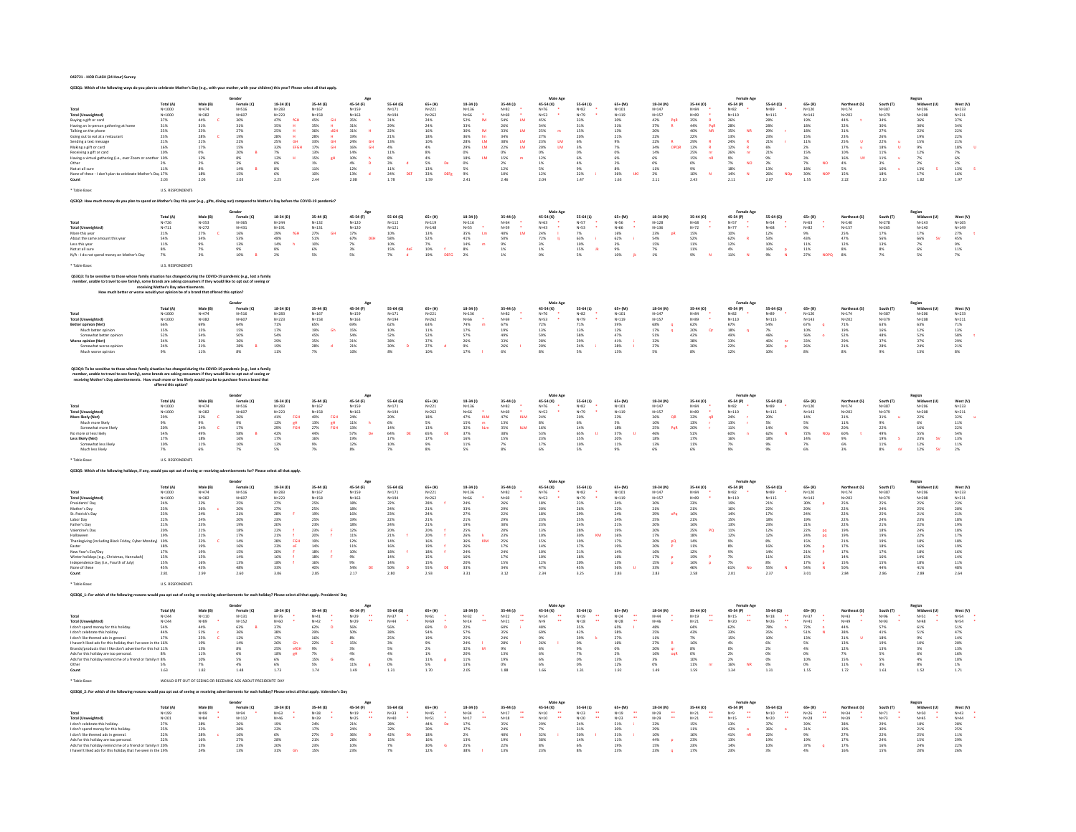042721 - HOD FLASH (24 Hour) Survey

|                                                                                                                                                                                                                                   |                                                                          |                                                                      |                                                                                     |                                                                                                 |                                                                                                                                     |                                                                                                                                 |                                                                                                                                                            |                                                                                                         |                                                                             |                                                                                   | Male Ago                                                                                                    |                                                                     |                                                     |                                                                                       |                                                                                                             |                                                                                                                       |                                                                    |                                                                                      |                                                                                   |                                                                                                                     | Region<br>Midwest (U)                                                                                     |                                                                                                                     |
|-----------------------------------------------------------------------------------------------------------------------------------------------------------------------------------------------------------------------------------|--------------------------------------------------------------------------|----------------------------------------------------------------------|-------------------------------------------------------------------------------------|-------------------------------------------------------------------------------------------------|-------------------------------------------------------------------------------------------------------------------------------------|---------------------------------------------------------------------------------------------------------------------------------|------------------------------------------------------------------------------------------------------------------------------------------------------------|---------------------------------------------------------------------------------------------------------|-----------------------------------------------------------------------------|-----------------------------------------------------------------------------------|-------------------------------------------------------------------------------------------------------------|---------------------------------------------------------------------|-----------------------------------------------------|---------------------------------------------------------------------------------------|-------------------------------------------------------------------------------------------------------------|-----------------------------------------------------------------------------------------------------------------------|--------------------------------------------------------------------|--------------------------------------------------------------------------------------|-----------------------------------------------------------------------------------|---------------------------------------------------------------------------------------------------------------------|-----------------------------------------------------------------------------------------------------------|---------------------------------------------------------------------------------------------------------------------|
|                                                                                                                                                                                                                                   | Total (A)                                                                | Male (B)                                                             | Female (C)                                                                          | 18-34 (D)<br>N=283                                                                              | 35-44 (E)                                                                                                                           | 45-54 (F)                                                                                                                       | 55-64 (G)                                                                                                                                                  | $65+$ (H)                                                                                               | $18-34(1)$                                                                  | 35-44 (J)                                                                         | 45-54 (K)                                                                                                   | 55-64 (L)                                                           | $65+$ (M)                                           | 18-34 (N)                                                                             | 35-44 (0)                                                                                                   | 45-54 (P)                                                                                                             | 55-64 (0)                                                          | $65 + (R)$                                                                           | Northeast (S)                                                                     | South (T)                                                                                                           |                                                                                                           | West (V)                                                                                                            |
| Total<br>Total (Unweighted)                                                                                                                                                                                                       | $N=1000$<br>$N=1000$                                                     | N=474<br>N=474<br>N=382                                              | N=516<br>N=607                                                                      | $N = 223$                                                                                       | $N=167$<br>$N=158$                                                                                                                  | N=159<br>N=163                                                                                                                  | $\begin{array}{r} N{=}171 \\ N{=}194 \\ 3\,1\% \\ 2\,9\% \\ 2\,2\% \\ 2\,2\% \\ 2\,1\% \\ 4\,3\% \\ 4\,1\% \\ 3\% \\ 1\,1\% \\ 2\,4\% \\ 1.78 \end{array}$ | $N = 221$<br>$N = 262$                                                                                  | N=136<br>N=66<br>S2%<br>33%                                                 | N=82<br>N=69<br>S4% 26% 33% 44% 38% 34% 38% 22%<br>D% 15% 22% 12% 12% 22% 12% 22% | $N=76$<br>$N=53$                                                                                            | $N = 82$<br>$N = 79$                                                | $N=101$<br>$N=119$                                  | $N=147$<br>$N=157$                                                                    | N=84<br>N=89<br>35%<br>44%<br>40%<br>22%<br>25%<br>12%<br>15%<br>0%<br>9%<br>10%<br>2.43                    | $N=82$<br>$N=110$                                                                                                     | $N=89$<br>$N=115$                                                  | $N=120$<br>$N=143$                                                                   | $N=174$<br>$N=202$                                                                | N=387<br>N=379                                                                                                      | N=206<br>N=208<br>36%<br>30%<br>22%<br>19%<br>15%<br>28%<br>28%<br>28%<br>28%<br>28%<br>28%<br>28%<br>28% | $N=233$<br>$N=211$                                                                                                  |
| Buying a gift or card<br>Having an in-person gathering at hom                                                                                                                                                                     | $\frac{37\%}{31\%}$                                                      | $\begin{array}{r} 144\% \\ 31\% \\ 23\% \\ 28\% \\ 21\% \end{array}$ | 30%<br>31%                                                                          | 47%<br>35%<br>1GH<br>또 모 포 모 GH<br>EFGH                                                         | $\begin{array}{r} 45\% \\ 35\% \\ 36\% \\ 28\% \\ 33\% \\ 17\% \\ 13\% \\ 15\% \\ 11\% \\ 11\% \\ \end{array}$<br>요 포 없는 모<br>모 이 모 | $\begin{array}{r} 35\% \\ 31\% \\ 31\% \\ 19\% \\ 24\% \\ 16\% \\ 10\% \\ 12\% \\ 13\% \\ 2.08 \end{array}$                     |                                                                                                                                                            | $\frac{24\%}{24\%}$                                                                                     | $\mathsf{IM}{}$                                                             | $\,$ LM                                                                           | 45%<br>34%<br>25%<br>27%<br>23%<br>20%<br>0%<br>12%<br>5%                                                   | 33%<br>31%<br>15%<br>16%<br>20%<br>6%<br>3%<br>0%                   | 30%<br>31%                                          | $\begin{array}{r} 42\% \\ 37\% \\ 20\% \\ 22\% \\ 22\% \\ 34\% \\ 14\% \end{array}$   | $R$<br>$PQR$<br>$NR$                                                                                        |                                                                                                                       | 28%<br>28%<br>29%<br>23%<br>21%<br>6%<br>21%                       | 19%<br>18%                                                                           | 44%<br>32%<br>31%<br>31%<br>23%<br>25%<br>17%<br>4%<br>4%<br>5%<br>15%            | $\begin{array}{l} 34\% \\ 30\% \\ 27\% \\ 26\% \\ 22\% \\ 18\% \\ 11\% \\ 11\% \\ 10\% \\ 10\% \\ 18\% \end{array}$ |                                                                                                           | $\begin{array}{r} 37\% \\ 34\% \\ 22\% \\ 22\% \\ 21\% \\ 18\% \\ 7\% \\ 6\% \\ 13\% \\ 16\% \\ 197 \\ \end{array}$ |
|                                                                                                                                                                                                                                   |                                                                          |                                                                      |                                                                                     |                                                                                                 |                                                                                                                                     |                                                                                                                                 |                                                                                                                                                            |                                                                                                         | $\begin{array}{c}\nM \\ M \\ M\n\end{array}$                                | $\bar{\rm m}$                                                                     | $\blacksquare$                                                                                              |                                                                     |                                                     |                                                                                       |                                                                                                             | <b>NR</b>                                                                                                             |                                                                    |                                                                                      |                                                                                   |                                                                                                                     |                                                                                                           |                                                                                                                     |
| Talking on the phone<br>Going out to eat at a restaurant<br>Sending a text message                                                                                                                                                | 25%<br>23%<br>21%                                                        |                                                                      | $\begin{array}{r} 27\% \\ 19\% \\ 21\% \end{array}$                                 |                                                                                                 |                                                                                                                                     |                                                                                                                                 |                                                                                                                                                            |                                                                                                         |                                                                             |                                                                                   | <b>LM</b>                                                                                                   |                                                                     | $^{13\%}_{21\%}$                                    |                                                                                       |                                                                                                             | $\bar{\mathbf{R}}$                                                                                                    |                                                                    | $\begin{array}{c} 18\% \\ 15\% \\ 11\% \end{array}$                                  |                                                                                   |                                                                                                                     |                                                                                                           |                                                                                                                     |
|                                                                                                                                                                                                                                   |                                                                          |                                                                      |                                                                                     | 25%<br>28%<br>28%<br>25%<br>32%<br>7%                                                           |                                                                                                                                     | GH<br>GH                                                                                                                        |                                                                                                                                                            | $\begin{array}{r} 16\% \\ 18\% \\ 10\% \\ 4\% \\ 8\% \\ 4\% \\ 5\% \\ 13\% \\ 33\% \\ 1.59 \end{array}$ | 30%<br>36%<br>28%<br>29%<br>0%<br>18%                                       | $\frac{\text{LM}}{\text{LM}}$                                                     | <b>LM</b>                                                                                                   |                                                                     | 9%<br>7%<br>0%                                      | OPOR                                                                                  |                                                                                                             |                                                                                                                       |                                                                    |                                                                                      | $\mathbf{u}$<br>$\alpha$                                                          | $\mathbf{u}$                                                                                                        |                                                                                                           |                                                                                                                     |
| Making a gift or card<br>Receiving a gift or card                                                                                                                                                                                 | 16%<br>10%                                                               | 17%<br>0%<br>12%                                                     | 11%<br>15%<br>20%<br>8%<br>3%<br>14%<br>15%                                         |                                                                                                 |                                                                                                                                     |                                                                                                                                 |                                                                                                                                                            |                                                                                                         |                                                                             |                                                                                   |                                                                                                             |                                                                     |                                                     |                                                                                       | $rac{R}{m}$                                                                                                 | $\frac{R}{m}$                                                                                                         |                                                                    | $\begin{array}{c} 2\% \\ 15\% \end{array}$                                           |                                                                                   |                                                                                                                     |                                                                                                           |                                                                                                                     |
| Having a virtual gathering (i.e., over Zoom or<br>Other<br>Not at all sure                                                                                                                                                        | 10%                                                                      |                                                                      |                                                                                     |                                                                                                 | <b>AH</b>                                                                                                                           |                                                                                                                                 |                                                                                                                                                            | De                                                                                                      | <b>uw</b>                                                                   |                                                                                   |                                                                                                             | 6%<br>4%<br>9%<br>22%                                               | 6%<br>2%<br>8%<br>8%<br>36%                         | $\begin{array}{l} 6\% \\ 0\% \\ 11\% \end{array}$                                     |                                                                                                             | NO                                                                                                                    | 9%<br>2%<br>13%<br>26%<br>2.07                                     | $\begin{array}{r} 3\% \\ 7\% \\ 18\% \\ 30\% \\ 1.55 \end{array}$<br><b>NO</b>       | <b>UV</b>                                                                         |                                                                                                                     |                                                                                                           |                                                                                                                     |
|                                                                                                                                                                                                                                   | $\frac{2\%}{11\%}$                                                       | $\frac{2\%}{8\%}$                                                    |                                                                                     | $0\%$<br>8%<br>6%                                                                               |                                                                                                                                     |                                                                                                                                 |                                                                                                                                                            |                                                                                                         | 0%<br>5%<br>9%                                                              |                                                                                   |                                                                                                             |                                                                     |                                                     |                                                                                       |                                                                                                             |                                                                                                                       |                                                                    |                                                                                      |                                                                                   |                                                                                                                     |                                                                                                           |                                                                                                                     |
| None of these - I don't plan to celebrate Mother's Day 17%                                                                                                                                                                        |                                                                          | 18%                                                                  |                                                                                     |                                                                                                 | 10%                                                                                                                                 | $\mathbf{d}$                                                                                                                    | DEF                                                                                                                                                        | DEFR                                                                                                    |                                                                             |                                                                                   | 12%                                                                                                         |                                                                     | <b>UKI</b>                                          | $\frac{2\%}{2.11}$                                                                    | $\mathbf{N}$                                                                                                | $\bar{N}$                                                                                                             | <b>NO</b>                                                          | <b>NOP</b>                                                                           |                                                                                   |                                                                                                                     |                                                                                                           |                                                                                                                     |
| Count                                                                                                                                                                                                                             | 2.03                                                                     | 2.03                                                                 | 2.03                                                                                | 2.25                                                                                            | 2.44                                                                                                                                |                                                                                                                                 |                                                                                                                                                            |                                                                                                         | 2.41                                                                        |                                                                                   | 2.04                                                                                                        | 1.47                                                                | 1.63                                                |                                                                                       |                                                                                                             |                                                                                                                       |                                                                    |                                                                                      | 2.22                                                                              | 2.10                                                                                                                |                                                                                                           |                                                                                                                     |
|                                                                                                                                                                                                                                   | U.S. RESPONDENTS                                                         |                                                                      |                                                                                     |                                                                                                 |                                                                                                                                     |                                                                                                                                 |                                                                                                                                                            |                                                                                                         |                                                                             |                                                                                   |                                                                                                             |                                                                     |                                                     |                                                                                       |                                                                                                             |                                                                                                                       |                                                                    |                                                                                      |                                                                                   |                                                                                                                     |                                                                                                           |                                                                                                                     |
| QS3Q2: How much money do you plan to spend on Mother's                                                                                                                                                                            |                                                                          |                                                                      | ear (e.g., gifts, dining out) compared to Mother's Day before the COVID-19 pandemic |                                                                                                 |                                                                                                                                     |                                                                                                                                 |                                                                                                                                                            |                                                                                                         |                                                                             |                                                                                   |                                                                                                             |                                                                     |                                                     |                                                                                       |                                                                                                             |                                                                                                                       |                                                                    |                                                                                      |                                                                                   |                                                                                                                     |                                                                                                           |                                                                                                                     |
|                                                                                                                                                                                                                                   |                                                                          |                                                                      |                                                                                     |                                                                                                 |                                                                                                                                     |                                                                                                                                 |                                                                                                                                                            |                                                                                                         |                                                                             |                                                                                   |                                                                                                             |                                                                     |                                                     |                                                                                       |                                                                                                             |                                                                                                                       |                                                                    |                                                                                      |                                                                                   |                                                                                                                     |                                                                                                           |                                                                                                                     |
|                                                                                                                                                                                                                                   |                                                                          |                                                                      | Gender                                                                              |                                                                                                 |                                                                                                                                     | Age                                                                                                                             |                                                                                                                                                            |                                                                                                         |                                                                             |                                                                                   | Male Ago                                                                                                    |                                                                     |                                                     |                                                                                       |                                                                                                             | <b>Female Age</b>                                                                                                     |                                                                    |                                                                                      |                                                                                   |                                                                                                                     |                                                                                                           |                                                                                                                     |
|                                                                                                                                                                                                                                   | Total (A)<br>N=726                                                       | Male (B)<br>N=353                                                    |                                                                                     |                                                                                                 | 35-44 (E)<br>N=132                                                                                                                  |                                                                                                                                 |                                                                                                                                                            | $65+ (H)$<br>N=119                                                                                      |                                                                             |                                                                                   |                                                                                                             |                                                                     |                                                     |                                                                                       |                                                                                                             |                                                                                                                       |                                                                    |                                                                                      | Northeast (S)<br>$_{\rm N=140}$                                                   | South (T)<br>$N=278$                                                                                                |                                                                                                           |                                                                                                                     |
| <b>Total (Unweighted)</b>                                                                                                                                                                                                         | $N = 711$                                                                |                                                                      |                                                                                     | 18-34 (D)<br>N=244<br>N=191<br>29%<br>48%                                                       |                                                                                                                                     |                                                                                                                                 |                                                                                                                                                            |                                                                                                         | $18 - 34 (1)$<br>$N = 116$<br>$N = 55$<br>$35%$<br>$41%$                    |                                                                                   |                                                                                                             | 55-64 (L)<br>N=57<br>N=53<br>7%<br>63%                              | $65 + (M)$<br>N=56<br>N=66<br>N=6%<br>16%           |                                                                                       |                                                                                                             |                                                                                                                       | 55-64 (Q)<br>N=54<br>N=68<br>12%<br>53%                            | 65+ (R)<br>N=63<br>N=82                                                              | $N = 157$                                                                         |                                                                                                                     |                                                                                                           |                                                                                                                     |
| More this year<br>About the same amount this year                                                                                                                                                                                 | 21%<br>54%                                                               | N=272<br>27%<br>54%                                                  |                                                                                     | fGH                                                                                             | $\substack{N=131 \\ 27\% \\ 51\%}$<br><b>GH</b>                                                                                     | <b>DEF</b>                                                                                                                      |                                                                                                                                                            |                                                                                                         | $\mathop{\text{Lm}}$                                                        | $\mathbf{L}\mathbf{M}$                                                            |                                                                                                             | $\mathbf{u}$                                                        |                                                     | pR                                                                                    |                                                                                                             | $\overline{R}$                                                                                                        |                                                                    | $\frac{9\%}{43\%}$                                                                   | 25%<br>47%                                                                        | N=265<br>17%<br>56%                                                                                                 |                                                                                                           |                                                                                                                     |
|                                                                                                                                                                                                                                   | $11\%$                                                                   |                                                                      |                                                                                     | $\mathbf{h}$                                                                                    |                                                                                                                                     |                                                                                                                                 |                                                                                                                                                            |                                                                                                         | $\blacksquare$                                                              |                                                                                   |                                                                                                             |                                                                     |                                                     |                                                                                       |                                                                                                             |                                                                                                                       |                                                                    |                                                                                      |                                                                                   |                                                                                                                     |                                                                                                           |                                                                                                                     |
| Less this year<br>Not at all sure                                                                                                                                                                                                 | 8%                                                                       | 9%<br>7%                                                             | remate (C)<br>Female (C)<br>N=365<br>N=431<br>16%<br>S3%<br>33%<br>9%               | $\begin{array}{l} 14\% \\ 8\% \end{array}$                                                      | 10%<br>6%                                                                                                                           | 45-54 (F)<br>N=120<br>N=120<br>17%<br>57%<br>57%<br>7%                                                                          | $55-64 (G)$ $N=112$ $N=121$ $10\%$ $58\%$ $10\%$ $15\%$<br>del                                                                                             | N=117<br>N=148<br>13%<br>52%<br>52%<br>7%<br>10%<br>19%                                                 | $\begin{array}{l} 14\% \\ 8\% \end{array}$                                  | 35-44 (J)<br>N=64<br>N=59<br>N=59<br>40%<br>S0%<br>9%<br>9%                       | man<br>$45-54$ (K)<br>$N=63$<br>$N=43$<br>$24\%$<br>$72\%$<br>$3\%$<br>$1\%$                                | $\begin{array}{l} 10\% \\ 15\% \end{array}$                         | 3%<br>9%                                            | 18-34 (N)<br>N=128<br>N=136<br>23%<br>54%<br>15%<br>15%                               | 35-44 (O)<br>N=68<br>N=72<br>15%<br>52%<br>52%<br>11%<br>11%                                                | rema<br>45-54 (P)<br>N=57<br>N=77<br>10%<br>62%<br>4%<br>4%<br>4%<br>11%                                              | $\frac{10\%}{16\%}$                                                | $\begin{array}{c} 11\% \\ 11\% \end{array}$                                          | $\frac{12\%}{8\%}$                                                                | 13%<br>8%                                                                                                           | Region<br>Midwe.<br>N=143<br>N=140<br>17%<br>66%<br>7%<br>6%<br>Fw                                        | West (V)<br>N=165<br>N=149<br>27%<br>45%<br>45%<br>9%<br>11%<br>11%                                                 |
| N/A - I do not spend money on Mother's Day                                                                                                                                                                                        | 7%                                                                       | 3%                                                                   | 10%                                                                                 | $2\%$                                                                                           | 5%                                                                                                                                  | 5%                                                                                                                              | 7%                                                                                                                                                         | <b>DEEG</b>                                                                                             | 2%                                                                          | 1%                                                                                | 0%                                                                                                          | 5%                                                                  | 10%                                                 | 1%                                                                                    | 9%                                                                                                          |                                                                                                                       | 9%                                                                 | 27%                                                                                  | 8%                                                                                | 7%                                                                                                                  | 5%                                                                                                        | 7%                                                                                                                  |
|                                                                                                                                                                                                                                   | U.S. RESPONDENTS                                                         |                                                                      |                                                                                     |                                                                                                 |                                                                                                                                     |                                                                                                                                 |                                                                                                                                                            |                                                                                                         |                                                                             |                                                                                   |                                                                                                             |                                                                     |                                                     |                                                                                       |                                                                                                             |                                                                                                                       |                                                                    |                                                                                      |                                                                                   |                                                                                                                     |                                                                                                           |                                                                                                                     |
| ive to those whose family situation has changed during the COVID-19 pandemic (e.g., lost a family                                                                                                                                 |                                                                          |                                                                      |                                                                                     |                                                                                                 |                                                                                                                                     |                                                                                                                                 |                                                                                                                                                            |                                                                                                         |                                                                             |                                                                                   |                                                                                                             |                                                                     |                                                     |                                                                                       |                                                                                                             |                                                                                                                       |                                                                    |                                                                                      |                                                                                   |                                                                                                                     |                                                                                                           |                                                                                                                     |
|                                                                                                                                                                                                                                   |                                                                          |                                                                      |                                                                                     |                                                                                                 |                                                                                                                                     |                                                                                                                                 |                                                                                                                                                            |                                                                                                         |                                                                             |                                                                                   |                                                                                                             |                                                                     |                                                     |                                                                                       |                                                                                                             |                                                                                                                       |                                                                    |                                                                                      |                                                                                   |                                                                                                                     |                                                                                                           |                                                                                                                     |
| mber, unable to travel to see family), some brands are asking consumers if they would like to opt out of seeing or receiving Mother's Day advertisements.                                                                         |                                                                          |                                                                      |                                                                                     |                                                                                                 |                                                                                                                                     |                                                                                                                                 |                                                                                                                                                            |                                                                                                         |                                                                             |                                                                                   |                                                                                                             |                                                                     |                                                     |                                                                                       |                                                                                                             |                                                                                                                       |                                                                    |                                                                                      |                                                                                   |                                                                                                                     |                                                                                                           |                                                                                                                     |
| ow much better or worse would your opinion be of a brand that offered thi                                                                                                                                                         |                                                                          |                                                                      |                                                                                     |                                                                                                 |                                                                                                                                     |                                                                                                                                 |                                                                                                                                                            |                                                                                                         |                                                                             |                                                                                   |                                                                                                             |                                                                     |                                                     |                                                                                       |                                                                                                             |                                                                                                                       |                                                                    |                                                                                      |                                                                                   |                                                                                                                     |                                                                                                           |                                                                                                                     |
|                                                                                                                                                                                                                                   |                                                                          |                                                                      |                                                                                     |                                                                                                 |                                                                                                                                     |                                                                                                                                 |                                                                                                                                                            |                                                                                                         |                                                                             |                                                                                   |                                                                                                             |                                                                     |                                                     |                                                                                       |                                                                                                             |                                                                                                                       |                                                                    |                                                                                      |                                                                                   |                                                                                                                     |                                                                                                           |                                                                                                                     |
|                                                                                                                                                                                                                                   | Total (A)                                                                | Male (B)                                                             | Female (C)                                                                          | 18-34 (D)                                                                                       | 35-44 (E)                                                                                                                           | 45-54 (F)                                                                                                                       | 55-64 (G)                                                                                                                                                  | $65+ (H)$                                                                                               | $18-34(1)$                                                                  | 35-44 (J)                                                                         | 45-54 (K)                                                                                                   | 55-64 (L)                                                           | $65 + (M)$                                          | 18-34 (N)                                                                             | 35-44 (0)                                                                                                   | 45-54 (P)                                                                                                             | 55-64 (Q)                                                          | $65 + (R)$                                                                           | Northeast (S)                                                                     | South (T)                                                                                                           | Region<br>Midwest (U)<br>N=206<br>N=208                                                                   | West (V)                                                                                                            |
| Total<br>Total (Unweighted)                                                                                                                                                                                                       | $N=1000$<br>$N=1000$                                                     | $N=474$<br>$N=382$                                                   | N=516<br>N=607                                                                      | N=283<br>N=223                                                                                  |                                                                                                                                     |                                                                                                                                 | $N=171$<br>$N=194$                                                                                                                                         | $N = 221$<br>$N = 262$                                                                                  |                                                                             |                                                                                   |                                                                                                             |                                                                     | $N=101$<br>$N=119$                                  |                                                                                       |                                                                                                             |                                                                                                                       | $N=89$<br>$N=115$                                                  | $N=120$<br>$N=143$                                                                   |                                                                                   | N=387<br>N=379                                                                                                      |                                                                                                           | $N=233$<br>$N=211$                                                                                                  |
| Better opinion (Net)                                                                                                                                                                                                              | 66%<br>15%<br>52%<br>34%<br>24%                                          | 69%<br>15%<br>54%                                                    | 64%<br>15%<br>50%<br>36%<br>28%                                                     | 71%<br>17%<br>54%                                                                               | 35-44 to<br>N=167<br>N=158<br>65%<br>19%<br>45%<br>35%<br>35%                                                                       | N=159<br>N=163<br>69%<br>15%<br>54%<br>31%<br>21%                                                                               | 62%<br>10%<br>52%<br>38%<br>30%                                                                                                                            | $\begin{array}{r} 63\% \\ 11\% \\ 52\% \\ 37\% \\ 27\% \end{array}$                                     | 18-34 (1<br>N=136<br>N=66<br>74% 17%<br>57% 26%<br>9% 17%<br>$\blacksquare$ | 89<br>N=82<br>N=69<br>67%<br>67%<br>49%<br>33%<br>26%                             | N=76<br>N=76<br>N=53<br>72%<br>13%<br>59%                                                                   | N=82<br>N=79<br>71%<br>71%<br>13%<br>58%<br>29%<br>24%              | 59%<br>12%<br>47%                                   | 18-34 v<br>N=147<br>N=157<br>68%<br>17%<br>51%<br>32%<br>27%                          | N=84<br>N=89<br>62%<br>62%<br>42%<br>38%<br>30%                                                             | $45 - 34$ $V = 110$<br>$67\%$<br>$18\%$<br>$49\%$<br>$33\%$<br>$22\%$                                                 | 54%<br>7%<br>46%<br>46%<br>36%                                     | 67%<br>10%<br>56%<br>33%<br>26%                                                      | Norther<br>N=174<br>N=202<br>71%<br>19%<br>52%<br>29%<br>29%                      | 63%<br>16%<br>16%<br>48%<br>37%<br>28%                                                                              | 63%<br>12%<br>52%<br>37%<br>24%                                                                           | 71%<br>13%<br>58%<br>29%<br>21%                                                                                     |
| Much better opinion<br>Somewhat better opinion                                                                                                                                                                                    |                                                                          |                                                                      |                                                                                     |                                                                                                 | Gh                                                                                                                                  |                                                                                                                                 |                                                                                                                                                            |                                                                                                         |                                                                             |                                                                                   |                                                                                                             |                                                                     |                                                     |                                                                                       |                                                                                                             |                                                                                                                       |                                                                    |                                                                                      |                                                                                   |                                                                                                                     |                                                                                                           |                                                                                                                     |
|                                                                                                                                                                                                                                   |                                                                          |                                                                      |                                                                                     |                                                                                                 |                                                                                                                                     |                                                                                                                                 |                                                                                                                                                            |                                                                                                         |                                                                             |                                                                                   |                                                                                                             |                                                                     |                                                     |                                                                                       |                                                                                                             |                                                                                                                       |                                                                    |                                                                                      |                                                                                   |                                                                                                                     |                                                                                                           |                                                                                                                     |
| Vorse opinion (Net)<br>Somewhat worse opinion                                                                                                                                                                                     |                                                                          | $\frac{31\%}{21\%}$                                                  |                                                                                     | 29%<br>19%                                                                                      | i,                                                                                                                                  |                                                                                                                                 | $\overline{D}$                                                                                                                                             |                                                                                                         |                                                                             |                                                                                   | 28%<br>20%                                                                                                  |                                                                     | $\frac{41\%}{28\%}$                                 |                                                                                       |                                                                                                             |                                                                                                                       | $\frac{\text{nr}}{\text{p}}$                                       |                                                                                      |                                                                                   |                                                                                                                     |                                                                                                           |                                                                                                                     |
| Much worse coinion                                                                                                                                                                                                                | 9%                                                                       | 11%                                                                  | 8%                                                                                  | 11%                                                                                             | 7%                                                                                                                                  | 10%                                                                                                                             | 8%                                                                                                                                                         | 10%                                                                                                     |                                                                             | 6%                                                                                | 8%                                                                                                          | 5%                                                                  | 13%                                                 | 5%                                                                                    | $8\%$                                                                                                       | 12%                                                                                                                   | 10%                                                                | 8%                                                                                   |                                                                                   |                                                                                                                     | 13%                                                                                                       | 8%                                                                                                                  |
|                                                                                                                                                                                                                                   |                                                                          |                                                                      |                                                                                     |                                                                                                 |                                                                                                                                     |                                                                                                                                 |                                                                                                                                                            |                                                                                                         |                                                                             |                                                                                   |                                                                                                             |                                                                     |                                                     |                                                                                       |                                                                                                             |                                                                                                                       |                                                                    |                                                                                      |                                                                                   |                                                                                                                     |                                                                                                           |                                                                                                                     |
| QS3Q4: To be sensitive to those whose family situation has changed during the COVID-19 pandemic (e.g., lost a family<br>member, unable to travel to see family), some brands are asking consumers if they would like to opt out o |                                                                          |                                                                      |                                                                                     |                                                                                                 |                                                                                                                                     |                                                                                                                                 |                                                                                                                                                            |                                                                                                         |                                                                             |                                                                                   |                                                                                                             |                                                                     |                                                     |                                                                                       |                                                                                                             |                                                                                                                       |                                                                    |                                                                                      |                                                                                   |                                                                                                                     |                                                                                                           |                                                                                                                     |
|                                                                                                                                                                                                                                   |                                                                          |                                                                      |                                                                                     |                                                                                                 |                                                                                                                                     |                                                                                                                                 |                                                                                                                                                            |                                                                                                         |                                                                             |                                                                                   |                                                                                                             |                                                                     |                                                     |                                                                                       |                                                                                                             |                                                                                                                       |                                                                    |                                                                                      |                                                                                   |                                                                                                                     |                                                                                                           |                                                                                                                     |
|                                                                                                                                                                                                                                   | offered this option?                                                     |                                                                      |                                                                                     |                                                                                                 |                                                                                                                                     |                                                                                                                                 |                                                                                                                                                            |                                                                                                         |                                                                             |                                                                                   |                                                                                                             |                                                                     |                                                     |                                                                                       |                                                                                                             |                                                                                                                       |                                                                    |                                                                                      |                                                                                   |                                                                                                                     |                                                                                                           |                                                                                                                     |
|                                                                                                                                                                                                                                   |                                                                          |                                                                      | Gender                                                                              |                                                                                                 |                                                                                                                                     | Age                                                                                                                             |                                                                                                                                                            |                                                                                                         |                                                                             |                                                                                   | Male Ago                                                                                                    |                                                                     |                                                     |                                                                                       |                                                                                                             |                                                                                                                       |                                                                    |                                                                                      |                                                                                   |                                                                                                                     |                                                                                                           |                                                                                                                     |
|                                                                                                                                                                                                                                   | Total (A)                                                                | Male (B)                                                             |                                                                                     | 18-34 (D)                                                                                       | 35-44 (E)                                                                                                                           | 45-54 (F)                                                                                                                       | 55-64 (G)                                                                                                                                                  | $65+$ (H)                                                                                               | $18-34(1)$                                                                  | $35-44(1)$                                                                        | 45-54 (K)                                                                                                   | 55-64 (L)                                                           | $65+$ (M)                                           | 18-34 (N)                                                                             |                                                                                                             | Female A<br>45-54 (P)<br>$N=82$<br>$N=110$                                                                            | 55-64 (Q)                                                          | $65 + (R)$                                                                           | Northeast (S)                                                                     | South (T)                                                                                                           |                                                                                                           |                                                                                                                     |
| Total<br>Total (Unweighted)                                                                                                                                                                                                       | $N = 1000$<br>$N = 1000$                                                 | $N = 474$<br>$N = 382$                                               | Female (C)<br>N=516<br>N=607                                                        | N=283<br>$N = 223$                                                                              | $N=167$<br>$N=158$                                                                                                                  | $N=159$<br>$N=163$                                                                                                              | $N=171$<br>$N=194$                                                                                                                                         | $N = 221$<br>$N = 262$                                                                                  |                                                                             |                                                                                   |                                                                                                             |                                                                     | $N=101$<br>$N=119$                                  | $N=147$<br>$N=157$                                                                    |                                                                                                             |                                                                                                                       | $N = 89$<br>$N = 115$                                              | $N=120$<br>$N=143$                                                                   | $N = 174$<br>$N = 202$                                                            | N=387<br>N=387<br>N=379                                                                                             |                                                                                                           | West (V)<br>N=233<br>N=211                                                                                          |
|                                                                                                                                                                                                                                   |                                                                          |                                                                      |                                                                                     |                                                                                                 |                                                                                                                                     |                                                                                                                                 |                                                                                                                                                            |                                                                                                         |                                                                             | $\kappa_{\text{LM}}$                                                              |                                                                                                             |                                                                     |                                                     | QR                                                                                    | $\mathsf{q}\mathsf{R}$                                                                                      |                                                                                                                       |                                                                    |                                                                                      |                                                                                   |                                                                                                                     |                                                                                                           |                                                                                                                     |
| More likely (Net)<br>Much more likely                                                                                                                                                                                             | 29%<br>9%                                                                |                                                                      |                                                                                     | FGH<br>gH<br>FGH                                                                                | FGH<br>8H<br>FGH                                                                                                                    |                                                                                                                                 |                                                                                                                                                            |                                                                                                         | $\begin{array}{c} \text{KLM} \\ m \\ \text{kLm} \end{array}$                |                                                                                   |                                                                                                             |                                                                     | 23%<br>5%                                           |                                                                                       |                                                                                                             |                                                                                                                       |                                                                    | $\frac{14\%}{5\%}$                                                                   | $\begin{array}{l} 31\% \\ 11\% \end{array}$                                       |                                                                                                                     |                                                                                                           |                                                                                                                     |
| Somewhat more likely<br>No more or less likely                                                                                                                                                                                    |                                                                          |                                                                      |                                                                                     |                                                                                                 |                                                                                                                                     | $\alpha$                                                                                                                        |                                                                                                                                                            | $\alpha$                                                                                                |                                                                             | kuw                                                                               | N=76<br>N=53<br>24%<br>8%<br>8%<br>16%<br>53%                                                               |                                                                     |                                                     | PoR                                                                                   |                                                                                                             |                                                                                                                       |                                                                    |                                                                                      |                                                                                   |                                                                                                                     |                                                                                                           |                                                                                                                     |
| Less likely (Net)                                                                                                                                                                                                                 | 20%<br>54%<br>17%                                                        |                                                                      | 26%<br>9%<br>9%<br>17%<br>58%<br>16%                                                | 41%<br>41%<br>12%<br>29%<br>42%<br>42%                                                          | $\begin{array}{r} 40\% \\ 13\% \\ 27\% \\ 44\% \\ 16\% \end{array}$                                                                 | 24%<br>11%<br>13%<br>57%<br>19%                                                                                                 |                                                                                                                                                            | 18%<br>5%<br>5%<br>13%<br>65%<br>17%                                                                    | 16-34 (165)<br>N=136<br>N=66<br>47%<br>15%<br>32%<br>37%<br>16%             | $35 - 4$<br>$N = 82$<br>$N = 69$<br>$47%$<br>$13%$<br>$35%$<br>$38%$<br>$15%$     | 23%                                                                                                         | N=82<br>N=79<br>20%<br>6%<br>6%<br>14%<br>65%<br>15%                | 18%<br>57%<br>20%                                   | 36%<br>10%<br>25%<br>46%<br>18%                                                       | 35-44 (O)<br>N=84<br>N=89<br>32%<br>32%<br>13%<br>20%<br>51%<br>51%                                         | $\begin{array}{r} \text{13\%} \\ \text{24\%} \\ \text{13\%} \\ \text{14\%} \\ \text{60\%} \\ \text{16\%} \end{array}$ | $\begin{array}{r} 20\% \\ 5\% \\ 14\% \\ 62\% \\ 18\% \end{array}$ | 9%<br>72%<br>14%                                                                     | 20%<br>60%<br>9%                                                                  | 31%<br>9%<br>22%<br>49%<br>19%<br>$\mathsf{s}$                                                                      | sv                                                                                                        |                                                                                                                     |
| Somewhat less likely<br>Much less likely                                                                                                                                                                                          | 10%<br>7%                                                                | 11%<br>6%                                                            | 10%<br>7%                                                                           | $\frac{12\%}{5\%}$                                                                              | 9%<br>7%                                                                                                                            | 12%<br>8%                                                                                                                       | $\begin{array}{r} 20\% \\ 6\% \\ 14\% \\ 64\% \\ 17\% \\ 10\% \\ 7\% \end{array}$                                                                          | 9%<br>8%                                                                                                | $11\%$                                                                      | 7%<br>8%                                                                          | 17%<br>6%                                                                                                   | 10%<br>5%                                                           | $11\%$                                              | $\begin{array}{l} 13\% \\ 6\% \end{array}$                                            | $\frac{11\%}{6\%}$                                                                                          | 7%<br>9%                                                                                                              | 9%<br>9%                                                           |                                                                                      | 6%<br>3%                                                                          | $\frac{11\%}{8\%}$                                                                                                  | Region<br>Midwest (U)<br>N=206<br>N=208<br>22%<br>6%<br>16%<br>16%<br>5%<br>23%<br>12%<br>5%<br>12%<br>5% | $\begin{array}{r} 32\% \\ 11\% \\ 22\% \\ 54\% \\ 13\% \\ 11\% \\ 2\% \end{array}$                                  |
|                                                                                                                                                                                                                                   |                                                                          |                                                                      |                                                                                     |                                                                                                 |                                                                                                                                     |                                                                                                                                 |                                                                                                                                                            |                                                                                                         |                                                                             |                                                                                   |                                                                                                             |                                                                     |                                                     |                                                                                       |                                                                                                             |                                                                                                                       |                                                                    |                                                                                      |                                                                                   |                                                                                                                     |                                                                                                           |                                                                                                                     |
|                                                                                                                                                                                                                                   | U.S. RESPONDENT                                                          |                                                                      |                                                                                     |                                                                                                 |                                                                                                                                     |                                                                                                                                 |                                                                                                                                                            |                                                                                                         |                                                                             |                                                                                   |                                                                                                             |                                                                     |                                                     |                                                                                       |                                                                                                             |                                                                                                                       |                                                                    |                                                                                      |                                                                                   |                                                                                                                     |                                                                                                           |                                                                                                                     |
| nsans: Which of the foll                                                                                                                                                                                                          |                                                                          |                                                                      |                                                                                     | select all that apply                                                                           |                                                                                                                                     |                                                                                                                                 |                                                                                                                                                            |                                                                                                         |                                                                             |                                                                                   |                                                                                                             |                                                                     |                                                     |                                                                                       |                                                                                                             |                                                                                                                       |                                                                    |                                                                                      |                                                                                   |                                                                                                                     |                                                                                                           |                                                                                                                     |
|                                                                                                                                                                                                                                   |                                                                          |                                                                      |                                                                                     |                                                                                                 |                                                                                                                                     |                                                                                                                                 |                                                                                                                                                            |                                                                                                         |                                                                             |                                                                                   |                                                                                                             |                                                                     |                                                     |                                                                                       |                                                                                                             |                                                                                                                       |                                                                    |                                                                                      |                                                                                   |                                                                                                                     |                                                                                                           |                                                                                                                     |
|                                                                                                                                                                                                                                   |                                                                          |                                                                      | Gender                                                                              |                                                                                                 |                                                                                                                                     | Age                                                                                                                             |                                                                                                                                                            |                                                                                                         |                                                                             |                                                                                   | Male Ago                                                                                                    |                                                                     |                                                     |                                                                                       |                                                                                                             | <b>Female Age</b>                                                                                                     |                                                                    |                                                                                      |                                                                                   |                                                                                                                     | Region                                                                                                    |                                                                                                                     |
|                                                                                                                                                                                                                                   | Total (A<br>$N = 1000$                                                   | Male (B)<br>N=474                                                    | Female (C)<br>N=516                                                                 | 18-34 (D)<br>$N = 283$                                                                          | 35-44 (E)<br>$N = 167$                                                                                                              | 45-54 (F)<br>$N = 159$                                                                                                          | 55-64 (G)<br>$N = 171$                                                                                                                                     | 65+ (H)<br>$N = 221$                                                                                    | 18-34 (I)<br>$N = 136$                                                      | 35-44 (J)                                                                         | 45-54 (K)                                                                                                   | 55-64 (L)                                                           | 65+ (M)<br>$N = 101$                                | 18-34 (N)<br>$N = 147$                                                                | 35-44 (O)                                                                                                   | 45-54 (P)<br>$N = 82$                                                                                                 | 55-64 (Q)<br>N=89                                                  | $65 + (R)$<br>$N = 120$                                                              | $N = 174$                                                                         | South (T)<br>$N = 387$                                                                                              | Midwe<br>N=206                                                                                            |                                                                                                                     |
| Total (Unweighted)<br>Presidents' Day<br>Mother's Day                                                                                                                                                                             |                                                                          | N=382                                                                | $N = 607$                                                                           | $N = 223$                                                                                       | $N = 158$                                                                                                                           | $N = 163$                                                                                                                       | $N = 194$                                                                                                                                                  | $N = 262$                                                                                               | N=66                                                                        | N=82<br>N=69                                                                      | N=76<br>N=53                                                                                                | N=82<br>N=79                                                        | $N = 115$                                           | $N = 157$                                                                             | N=84<br>N=89                                                                                                | N=110                                                                                                                 | No.115                                                             | $N = 143$                                                                            | $N = 202$                                                                         | N=379                                                                                                               | $N = 208$                                                                                                 |                                                                                                                     |
|                                                                                                                                                                                                                                   |                                                                          | 23%<br>26%                                                           | 25%<br>20%                                                                          | $\frac{27\%}{27\%}$                                                                             | 25%<br>25%                                                                                                                          | $18\%$<br>18%                                                                                                                   | $\begin{array}{l} 22\% \\ 24\% \end{array}$                                                                                                                | 28%<br>21%                                                                                              | 24%<br>33%                                                                  | 26%<br>29%                                                                        | 18%<br>20%                                                                                                  | $23%$<br>$26%$                                                      | 24%<br>22%                                          | $\frac{30\%}{21\%}$                                                                   | $\frac{23\%}{21\%}$                                                                                         | $\frac{19\%}{16\%}$                                                                                                   | 21%<br>22%                                                         | 30%<br>20%                                                                           | $\frac{25\%}{22\%}$                                                               | 25%<br>24%                                                                                                          | 25%<br>25%                                                                                                |                                                                                                                     |
| St. Patrick's Day                                                                                                                                                                                                                 |                                                                          |                                                                      |                                                                                     |                                                                                                 |                                                                                                                                     |                                                                                                                                 |                                                                                                                                                            |                                                                                                         |                                                                             |                                                                                   |                                                                                                             |                                                                     |                                                     |                                                                                       |                                                                                                             |                                                                                                                       |                                                                    |                                                                                      |                                                                                   |                                                                                                                     |                                                                                                           |                                                                                                                     |
| Labor Day                                                                                                                                                                                                                         |                                                                          | 24%<br>24%                                                           | 21%<br>20%                                                                          | 28%<br>23%                                                                                      | 19%<br>25%                                                                                                                          |                                                                                                                                 |                                                                                                                                                            | $\frac{24\%}{21\%}$                                                                                     | 27%<br>21%                                                                  | 22%<br>29%                                                                        | 18%<br>23%                                                                                                  | 29%<br>25%                                                          | 24%<br>24%                                          |                                                                                       | 16%<br>21%                                                                                                  |                                                                                                                       | $\frac{17\%}{18\%}$                                                | 24%<br>19%                                                                           |                                                                                   | 25%<br>24%                                                                                                          |                                                                                                           |                                                                                                                     |
| Father's Day<br>Valentine's Day                                                                                                                                                                                                   | N=1000<br>N=1000<br>24%<br>23%<br>22%<br>22%<br>21%<br>20%<br>20%<br>39% | 23%<br>21%<br>21%<br>23%<br>23%                                      | $\begin{array}{r} 19\% \\ 18\% \\ 17\% \end{array}$                                 |                                                                                                 |                                                                                                                                     |                                                                                                                                 |                                                                                                                                                            |                                                                                                         |                                                                             |                                                                                   |                                                                                                             |                                                                     | 21%<br>19%<br>16%                                   |                                                                                       | PQ                                                                                                          | $\begin{array}{r} 14\% \\ 15\% \\ 13\% \\ 11\% \\ 12\% \\ 9\% \\ 8\% \end{array}$                                     | 23%<br>12%<br>12%                                                  |                                                                                      |                                                                                   |                                                                                                                     |                                                                                                           |                                                                                                                     |
| Halloween                                                                                                                                                                                                                         |                                                                          |                                                                      |                                                                                     |                                                                                                 |                                                                                                                                     |                                                                                                                                 |                                                                                                                                                            |                                                                                                         |                                                                             |                                                                                   |                                                                                                             | KM                                                                  |                                                     |                                                                                       |                                                                                                             |                                                                                                                       |                                                                    | $p$ q                                                                                |                                                                                   |                                                                                                                     |                                                                                                           |                                                                                                                     |
| Thanksgiving (in<br>Easter                                                                                                                                                                                                        | 19%<br>18%                                                               |                                                                      |                                                                                     | FGH<br>eF                                                                                       |                                                                                                                                     |                                                                                                                                 |                                                                                                                                                            |                                                                                                         |                                                                             |                                                                                   |                                                                                                             |                                                                     | 17%<br>19%                                          |                                                                                       |                                                                                                             |                                                                                                                       |                                                                    |                                                                                      |                                                                                   |                                                                                                                     |                                                                                                           |                                                                                                                     |
|                                                                                                                                                                                                                                   |                                                                          |                                                                      |                                                                                     |                                                                                                 |                                                                                                                                     |                                                                                                                                 |                                                                                                                                                            |                                                                                                         |                                                                             |                                                                                   |                                                                                                             |                                                                     |                                                     |                                                                                       |                                                                                                             |                                                                                                                       | 8%<br>16%<br>14%<br>11%                                            |                                                                                      |                                                                                   |                                                                                                                     |                                                                                                           |                                                                                                                     |
| New Year's Eve/Day<br>Winter holidays (e.g., Christmas, Hanr                                                                                                                                                                      |                                                                          |                                                                      |                                                                                     |                                                                                                 |                                                                                                                                     |                                                                                                                                 |                                                                                                                                                            |                                                                                                         |                                                                             |                                                                                   |                                                                                                             |                                                                     |                                                     | p                                                                                     |                                                                                                             |                                                                                                                       |                                                                    |                                                                                      |                                                                                   |                                                                                                                     |                                                                                                           |                                                                                                                     |
| Independence Day (i.e., Fourth of July)                                                                                                                                                                                           | 17%<br>15%<br>15%<br>45%                                                 |                                                                      | $\begin{array}{r} 14\% \\ 16\% \\ 15\% \\ 14\% \\ 13\% \\ 48\% \\ 2.60 \end{array}$ | 20%<br>22%<br>21%<br>23%<br>23%<br>20%<br>16%<br>16%<br>33%<br>3.06                             | 23%<br>23%<br>20%<br>19%<br>14%<br>18%<br>16%<br>40%                                                                                | $\begin{array}{r} 16\% \\ 19\% \\ 18\% \\ 12\% \\ 11\% \\ 12\% \\ 11\% \\ 10\% \\ 9\% \\ 9\% \\ 54\% \\ 2.17 \end{array}$<br>ns | $\begin{array}{r} 23\% \\ 22\% \\ 24\% \\ 20\% \\ 21\% \\ 14\% \\ 14\% \\ 16\% \\ 14\% \\ 14\% \\ 14\% \\ 2.80 \end{array}$<br>$\overline{a}$              | 21%<br>20%<br>20%<br>20%<br>16%<br>16%<br>18%<br>15%<br>55%<br>2.93<br>be                               |                                                                             | 30%<br>20%<br>23%<br>25%<br>17%<br>17%<br>17%<br>15%                              | $\begin{array}{r} 23\% \\ 13\% \\ 10\% \\ 15\% \\ 14\% \\ 10\% \\ 10\% \\ 12\% \\ 47\% \\ 2.34 \end{array}$ | 24%<br>28%<br>30%<br>30%<br>19%<br>17%<br>21%<br>20%<br>45%<br>3.25 |                                                     |                                                                                       | $\begin{array}{r} 16\% \\ 25\% \\ 18\% \\ 14\% \\ 11\% \\ 12\% \\ 19\% \\ 16\% \\ 46\% \\ 2.58 \end{array}$ | <b>No</b>                                                                                                             | 8%<br>55%<br>2.37                                                  | 21%<br>22%<br>24%<br>24%<br>15%<br>21%<br>15%<br>17%<br>54%<br>3.01<br>$\frac{p}{M}$ | 22%<br>22%<br>22%<br>22%<br>19%<br>19%<br>21%<br>17%<br>17%<br>15%<br>50%<br>2.84 | $\begin{array}{l} 21\% \\ 18\% \\ 19\% \\ 19\% \\ 18\% \\ 17\% \\ 16\% \\ 15\% \\ 44\% \end{array}$                 |                                                                                                           | West (V)<br>N=233<br>N=211<br>23%<br>23%<br>23%<br>25%<br>15%<br>15%<br>16%<br>16%<br>16%<br>25%<br>25%<br>25%      |
| None of these<br>Count                                                                                                                                                                                                            | 2.81                                                                     | 19%<br>15%<br>16%<br>43%<br>2.99                                     |                                                                                     |                                                                                                 | 2.85                                                                                                                                |                                                                                                                                 |                                                                                                                                                            |                                                                                                         |                                                                             | 3.12                                                                              |                                                                                                             |                                                                     | 14%<br>16%<br>13%<br>56%<br>2.83                    |                                                                                       |                                                                                                             | 9%<br>7%<br>7%<br>61%<br>2.01                                                                                         |                                                                    |                                                                                      |                                                                                   | 2.86                                                                                                                |                                                                                                           |                                                                                                                     |
|                                                                                                                                                                                                                                   | U.S. RESPO                                                               |                                                                      |                                                                                     |                                                                                                 |                                                                                                                                     |                                                                                                                                 |                                                                                                                                                            |                                                                                                         |                                                                             |                                                                                   |                                                                                                             |                                                                     |                                                     |                                                                                       |                                                                                                             |                                                                                                                       |                                                                    |                                                                                      |                                                                                   |                                                                                                                     |                                                                                                           |                                                                                                                     |
|                                                                                                                                                                                                                                   |                                                                          |                                                                      |                                                                                     |                                                                                                 |                                                                                                                                     |                                                                                                                                 |                                                                                                                                                            |                                                                                                         |                                                                             |                                                                                   |                                                                                                             |                                                                     |                                                     |                                                                                       |                                                                                                             |                                                                                                                       |                                                                    |                                                                                      |                                                                                   |                                                                                                                     |                                                                                                           |                                                                                                                     |
| OS3O6 1: For which of the follow                                                                                                                                                                                                  |                                                                          |                                                                      |                                                                                     | w <sup>2</sup> Please select all that annly. Presk                                              |                                                                                                                                     |                                                                                                                                 |                                                                                                                                                            |                                                                                                         |                                                                             |                                                                                   |                                                                                                             |                                                                     |                                                     |                                                                                       |                                                                                                             |                                                                                                                       |                                                                    |                                                                                      |                                                                                   |                                                                                                                     |                                                                                                           |                                                                                                                     |
|                                                                                                                                                                                                                                   |                                                                          |                                                                      | Gender                                                                              |                                                                                                 |                                                                                                                                     | Age                                                                                                                             |                                                                                                                                                            |                                                                                                         |                                                                             |                                                                                   | Male Ag                                                                                                     |                                                                     |                                                     |                                                                                       |                                                                                                             | Female Ac                                                                                                             |                                                                    |                                                                                      |                                                                                   |                                                                                                                     | Region                                                                                                    |                                                                                                                     |
|                                                                                                                                                                                                                                   | Total (A)<br>N=244                                                       | Male (B)<br>N=110                                                    | Female (C)<br>N=131                                                                 | 18-34 (D)                                                                                       |                                                                                                                                     |                                                                                                                                 | 55-64 (G)<br>N=37                                                                                                                                          | 65+ (H)<br>N=61<br>N=69<br>69%<br>54%                                                                   |                                                                             |                                                                                   |                                                                                                             |                                                                     |                                                     |                                                                                       |                                                                                                             |                                                                                                                       |                                                                    |                                                                                      |                                                                                   |                                                                                                                     |                                                                                                           |                                                                                                                     |
|                                                                                                                                                                                                                                   |                                                                          |                                                                      |                                                                                     |                                                                                                 | $\lambda$                                                                                                                           | $\ddot{\phantom{1}}$                                                                                                            |                                                                                                                                                            |                                                                                                         |                                                                             | ă                                                                                 | ă                                                                                                           |                                                                     | ŏ                                                   |                                                                                       | ă                                                                                                           | ă                                                                                                                     | ÷.                                                                 |                                                                                      |                                                                                   |                                                                                                                     |                                                                                                           |                                                                                                                     |
| Total (Unweighted)<br>I don't spend money for this holiday                                                                                                                                                                        | N=244<br>54%<br>44%                                                      | N=89<br>44%<br>51%                                                   |                                                                                     |                                                                                                 | $\mathbf{p}$                                                                                                                        |                                                                                                                                 | N=44<br>56%<br>38%                                                                                                                                         |                                                                                                         |                                                                             |                                                                                   |                                                                                                             |                                                                     |                                                     |                                                                                       |                                                                                                             |                                                                                                                       |                                                                    |                                                                                      |                                                                                   |                                                                                                                     |                                                                                                           |                                                                                                                     |
| I don't celebrate this holiday.                                                                                                                                                                                                   |                                                                          |                                                                      | $N=152$<br>63%<br>36%<br>36%<br>12%<br>14%                                          | $N=76$<br>$N=60$<br>$37%$<br>$38%$                                                              | 35-44 (E)<br>N=41<br>N=42<br>62%<br>39%<br>16%<br>16%                                                                               | 45-54 (F)<br>N=29<br>N=29<br>56%<br>50%                                                                                         |                                                                                                                                                            |                                                                                                         | 18-34 (1)<br>$N=32$<br>$N=14$<br>$22%$<br>$57%$<br>$25%$<br>$24%$<br>$24%$  | 35-44 (J)<br>N=22<br>N=21<br>60%<br>35%<br>24%<br>24%<br>28%                      | $45-54$ (K)<br>$N=14$<br>$N=9$<br>$48\%$<br>$69\%$<br>0%<br>26%                                             | 55-64 (L)<br>N=19<br>N=18<br>35%<br>42%                             | $65 + (M)$<br>N=24<br>N=28<br>65%<br>58%            |                                                                                       |                                                                                                             |                                                                                                                       | 55-64 (Q)<br>N=18<br>N=26<br>78%<br>35%                            | $65 + (R)$<br>N=37<br>N=41<br>72%<br>51%                                             | Northeast (S)<br>N=43<br>N=49<br>44%<br>33%<br>31%<br>13%<br>13%<br>13%           | South (T)<br>N=96<br>N=93<br>57%<br>41%                                                                             | Midw<br>N=51<br>N=48<br>61%<br>51%<br>9%<br>10%                                                           |                                                                                                                     |
| 1960 Consolidation and increased.<br>1976 - I don't like themed ads in general.<br>1980 - I haven't liked ads for this holiday that I've seen in the 16%                                                                          |                                                                          | 25%<br>19%                                                           |                                                                                     | Gh                                                                                              | G                                                                                                                                   | $\frac{8\%}{15\%}$                                                                                                              | 25%<br>3%                                                                                                                                                  |                                                                                                         |                                                                             |                                                                                   |                                                                                                             | $\frac{39\%}{0\%}$                                                  | 27%<br>16%                                          | $\overline{R}$                                                                        |                                                                                                             |                                                                                                                       | $\frac{10\%}{6\%}$                                                 | 13%<br>5%                                                                            |                                                                                   | 18%<br>19%                                                                                                          |                                                                                                           |                                                                                                                     |
| Brands/products that I like don't advertise for this hol 11%                                                                                                                                                                      |                                                                          |                                                                      |                                                                                     |                                                                                                 |                                                                                                                                     |                                                                                                                                 |                                                                                                                                                            |                                                                                                         | $\overline{M}$                                                              |                                                                                   |                                                                                                             | 9%<br>7%                                                            |                                                     |                                                                                       |                                                                                                             |                                                                                                                       | $\frac{2\%}{0\%}$                                                  |                                                                                      |                                                                                   |                                                                                                                     |                                                                                                           |                                                                                                                     |
| Ads for this holiday are too personal.                                                                                                                                                                                            | $\overline{\mathbf{s}}$                                                  | $\frac{13\%}{11\%}$                                                  | $\begin{array}{r} 8\% \\ 6\% \\ 5\% \\ 4\% \\ 1.48 \end{array}$                     | $\begin{array}{r} 17\% \\ 26\% \\ 25\% \\ 18\% \\ 6\% \\ 6\% \\ 1.73 \end{array}$<br>efGH<br>gH | 9%<br>7%                                                                                                                            | 3%<br>4%<br>4%<br>11%<br>1.49                                                                                                   | $\frac{5\%}{4\%}$                                                                                                                                          | $\begin{array}{r} 19\% \\ 9\% \\ 2\% \\ 1\% \\ 11\% \\ 5\% \\ 1.70 \end{array}$                         | $\begin{array}{l} 32\% \\ 20\% \\ 11\% \end{array}$                         | $\frac{9\%}{13\%}$                                                                | 6%<br>6%                                                                                                    |                                                                     | $\frac{0\%}{2\%}$                                   | 18-34 (N)<br>N=44<br>N=46<br>AS%<br>25%<br>25%<br>27%<br>27%<br>3%<br>3%<br>0%<br>149 | 35-44 (O)<br>N=19<br>N=21<br>64%<br>43%<br>7%<br>15%<br>N%<br>N%<br>N%<br>10%<br>11%<br>11%<br>159          | Femal<br>45-54 (P)<br>N=15<br>N=20<br>62%<br>33%<br>15%<br>2%<br>2%<br>2%<br>2%<br>16%<br>15%                         |                                                                    | $\begin{array}{l} 4\% \\ 0\% \end{array}$                                            | $\begin{array}{c} 12\% \\ 7\% \\ 15\% \end{array}$                                | 13%<br>5%                                                                                                           | 3%<br>6%<br>4%<br>8%<br>1.52                                                                              | West (V)<br>N=54<br>N=54<br>S1%<br>47%<br>19%<br>19%<br>18%<br>19%<br>19%<br>19%<br>11%                             |
| Ads for this holiday remind me of a friend or family m 8%                                                                                                                                                                         |                                                                          | 10%                                                                  |                                                                                     |                                                                                                 | 15%<br><b>G</b>                                                                                                                     |                                                                                                                                 | $0\%$ $0\%$ $1.31$                                                                                                                                         |                                                                                                         |                                                                             | $\begin{array}{r} 19\% \\ 0\% \\ 1.88 \end{array}$                                | 6%                                                                                                          | $\begin{array}{c} 0\% \\ 0\% \\ 1.31 \end{array}$                   | 13%                                                 |                                                                                       |                                                                                                             | NR                                                                                                                    | $\begin{array}{c} 0\% \\ 0\% \\ 1.31 \end{array}$                  | 10%                                                                                  |                                                                                   | 5%                                                                                                                  |                                                                                                           |                                                                                                                     |
| Other<br>Count                                                                                                                                                                                                                    | $5\%$ 1.63                                                               | $7%$<br>1.82                                                         |                                                                                     |                                                                                                 | $\frac{5\%}{1.74}$                                                                                                                  |                                                                                                                                 |                                                                                                                                                            |                                                                                                         | $13%$<br>$2.05$                                                             |                                                                                   | $6%$<br>1.66                                                                                                |                                                                     | 12%<br>1.92                                         |                                                                                       |                                                                                                             |                                                                                                                       |                                                                    | 0%<br>1.55                                                                           | $\frac{11\%}{1.72}$                                                               | $\frac{3\%}{1.61}$                                                                                                  |                                                                                                           |                                                                                                                     |
|                                                                                                                                                                                                                                   |                                                                          |                                                                      |                                                                                     |                                                                                                 |                                                                                                                                     |                                                                                                                                 |                                                                                                                                                            |                                                                                                         |                                                                             |                                                                                   |                                                                                                             |                                                                     |                                                     |                                                                                       |                                                                                                             |                                                                                                                       |                                                                    |                                                                                      |                                                                                   |                                                                                                                     |                                                                                                           |                                                                                                                     |
|                                                                                                                                                                                                                                   |                                                                          |                                                                      |                                                                                     |                                                                                                 |                                                                                                                                     |                                                                                                                                 |                                                                                                                                                            |                                                                                                         |                                                                             |                                                                                   |                                                                                                             |                                                                     |                                                     |                                                                                       |                                                                                                             |                                                                                                                       |                                                                    |                                                                                      |                                                                                   |                                                                                                                     |                                                                                                           |                                                                                                                     |
|                                                                                                                                                                                                                                   |                                                                          |                                                                      |                                                                                     |                                                                                                 |                                                                                                                                     |                                                                                                                                 |                                                                                                                                                            |                                                                                                         |                                                                             |                                                                                   |                                                                                                             |                                                                     |                                                     |                                                                                       |                                                                                                             |                                                                                                                       |                                                                    |                                                                                      |                                                                                   |                                                                                                                     |                                                                                                           |                                                                                                                     |
|                                                                                                                                                                                                                                   |                                                                          |                                                                      | Gender                                                                              |                                                                                                 |                                                                                                                                     | Age                                                                                                                             |                                                                                                                                                            |                                                                                                         |                                                                             |                                                                                   | Male Age                                                                                                    |                                                                     |                                                     |                                                                                       |                                                                                                             | Female Ag                                                                                                             |                                                                    |                                                                                      |                                                                                   |                                                                                                                     | Region<br>Midwy<br>N=45<br>N=45<br>29%<br>29%<br>29%<br>20%                                               |                                                                                                                     |
|                                                                                                                                                                                                                                   | Total (A                                                                 | Male (B)                                                             |                                                                                     | 18-34 (D)                                                                                       | 35-44 (E)                                                                                                                           | 45-54 (F)                                                                                                                       | 55-64 (G)                                                                                                                                                  | $65+ (H)$                                                                                               | 18-34 (I)                                                                   | 35-44 (J)                                                                         | 45-54 (K)                                                                                                   | $55-64$ (L)                                                         | 65+ (M)<br>N=19<br>N=23<br>51%                      | 18-34 (N)                                                                             | 35-44 (O)                                                                                                   |                                                                                                                       | 55-64 (Q)                                                          | $65 + (R)$                                                                           | Northeast (S                                                                      | South (T)                                                                                                           |                                                                                                           | West (V)                                                                                                            |
| Total                                                                                                                                                                                                                             | $N = 199$                                                                |                                                                      |                                                                                     | N=63<br>N=46                                                                                    |                                                                                                                                     | ă                                                                                                                               |                                                                                                                                                            | ÷                                                                                                       | N=34<br>N=17<br>17%<br>17%                                                  | $N=17$<br>$N=18$<br>$35%$<br>$24%$<br>$\ddot{\phantom{1}}$                        | ă                                                                                                           | N=23<br>N=23<br>24%<br>31%<br>$\ddot{\phantom{a}}$                  | ă                                                   | $\ddot{\phantom{1}}$                                                                  |                                                                                                             |                                                                                                                       | $_{\mathrm{N=20}}^{\mathrm{N=10}}$                                 | $N=26$<br>$N=28$<br>$\ddot{\phantom{a}}$                                             |                                                                                   | N=71<br>N=73<br>29%<br>30%                                                                                          |                                                                                                           |                                                                                                                     |
| Total (Unweighted)<br>I don't celebrate this holiday.<br>I don't spend money for this holiday.                                                                                                                                    |                                                                          |                                                                      |                                                                                     | 19%<br>22%                                                                                      |                                                                                                                                     |                                                                                                                                 |                                                                                                                                                            | $\alpha$                                                                                                |                                                                             |                                                                                   |                                                                                                             |                                                                     | n.                                                  |                                                                                       |                                                                                                             |                                                                                                                       |                                                                    | 39%<br>31%                                                                           |                                                                                   |                                                                                                                     |                                                                                                           |                                                                                                                     |
|                                                                                                                                                                                                                                   |                                                                          |                                                                      |                                                                                     |                                                                                                 | $\mathbf{p}$                                                                                                                        |                                                                                                                                 | <b>Dh</b>                                                                                                                                                  |                                                                                                         |                                                                             |                                                                                   |                                                                                                             |                                                                     |                                                     |                                                                                       |                                                                                                             |                                                                                                                       |                                                                    |                                                                                      |                                                                                   |                                                                                                                     |                                                                                                           |                                                                                                                     |
| I don't like themed ads in general.<br>Ads for this holiday are too personal.                                                                                                                                                     | $N=201$<br>$27%$<br>$25%$<br>$22%$<br>$22%$                              | N=99<br>N=84<br>28%<br>23%<br>28%<br>16%<br>15%<br>15%<br>24%        | ender<br>Female (C)<br>N=94<br>N=112<br>26%<br>28%<br>16%<br>16%                    | $\frac{6\%}{28\%}$                                                                              | N=38<br>N=39<br>24%<br>17%<br>27%                                                                                                   | N=19<br>N=25<br>21%<br>24%<br>36%<br>26%                                                                                        | N=33<br>N=40<br>28%<br>32%<br>42%<br>15%                                                                                                                   | N=45<br>N=51<br>44%<br>30%<br>18%<br>18%<br>10%<br>12%                                                  | 2%<br>13%                                                                   | 40%<br>19%                                                                        | N=10<br>N=10<br>29%<br>7%<br>32%<br>38%                                                                     | $50%$<br>$14%$                                                      | $\begin{array}{r} 30\% \\ 31\% \\ 11\% \end{array}$ | N=29<br>N=29<br>22%<br>29%<br>10%<br>44%<br>15%<br>23%<br>$\overline{p}$              | N=21<br>N=21<br>15%<br>15%<br>16%<br>23%                                                                    | Fermale Ag<br>$45-54$ (P)<br>$N=9$<br>$N=15$<br>$43%$<br>$43%$<br>$61%$<br>$14%$<br>$14%$<br>$23%$                    | 37%<br>36%<br>22%<br>19%<br>10%<br>3%                              | 9%<br>19%                                                                            | $N=34$<br>$N=39$<br>$38\%$<br>$19\%$<br>$27\%$<br>$17\%$                          | 22%<br>24%                                                                                                          |                                                                                                           | West<br>N=43<br>N=44<br>28%<br>25%<br>11%<br>29%<br>22%<br>26%                                                      |
| nd me of a fr                                                                                                                                                                                                                     |                                                                          |                                                                      | $\begin{array}{l} 23\% \\ 13\% \end{array}$                                         | 20%<br>31%                                                                                      | 23%<br>15%                                                                                                                          | 10%<br>23%                                                                                                                      | 7%<br>7%                                                                                                                                                   | G                                                                                                       | 25%<br>38%                                                                  | 22%<br>13%                                                                        | $\frac{8\%}{23\%}$                                                                                          | $6\%$ 8%                                                            | 19%<br>23%                                          |                                                                                       | 23%<br>17%                                                                                                  |                                                                                                                       |                                                                    | $\begin{array}{l} 37\% \\ 4\% \end{array}$<br>$\overline{q}$                         | $\frac{17\%}{16\%}$                                                               | 16%<br>15%                                                                                                          |                                                                                                           |                                                                                                                     |
|                                                                                                                                                                                                                                   |                                                                          |                                                                      |                                                                                     | $\mathbf{G}$                                                                                    |                                                                                                                                     |                                                                                                                                 |                                                                                                                                                            |                                                                                                         |                                                                             |                                                                                   |                                                                                                             |                                                                     |                                                     |                                                                                       |                                                                                                             |                                                                                                                       |                                                                    |                                                                                      |                                                                                   |                                                                                                                     |                                                                                                           |                                                                                                                     |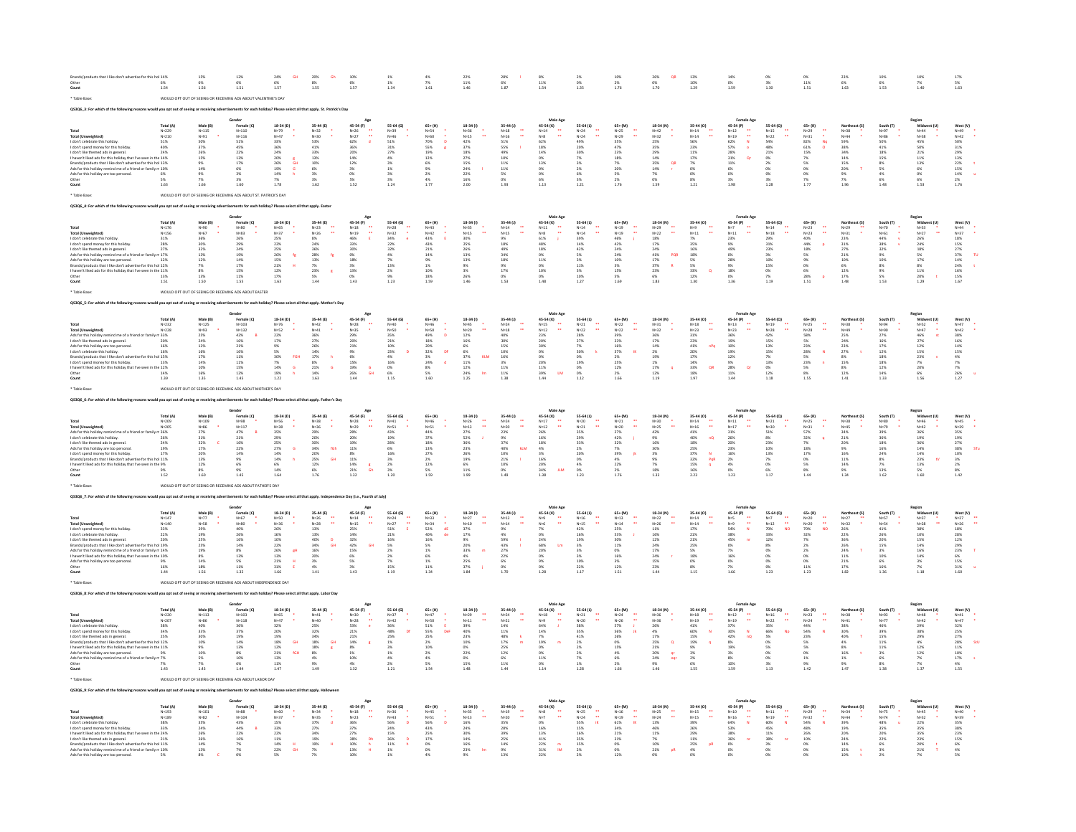| Brands/products that I like don't advertise for this hol 14%<br>Other<br>Count                                                                                                                                                                                                                                                                                                                                          | 1.54                                                                              | 15%<br><b>R%</b><br>1.56                                                                                         | 12%<br>1.51                                                                                                                                                                                                         | 24%<br><b>GH</b><br>6%<br>1.57                                                                                                                 | 20%<br>Gh<br>8%<br>$\frac{18}{1.55}$                                                                                                                                                           | 10%<br><b>R%</b><br>$\frac{1}{1.57}$                                                                                                                              | $1\%$<br>$\begin{array}{c} 1\% \\ 1.34 \end{array}$                                                                                                         | 4%<br>$7\%$ 1.61                                                                                                                         | 22%<br>$\begin{array}{c} 11\% \\ 1.46 \end{array}$                                                                                                                                    | 28%<br>$\begin{array}{c} 6\% \\ 1.87 \end{array}$                                                                                                                               | $8\%$<br>$\begin{array}{c} 11\% \\ 1.54 \end{array}$                                                                                | 2%<br>0%<br>1.35                                                                                   | 10%<br>2%<br>1.76                                                                                                                                                     | 26%<br>QR<br>$0\%$<br>1.70                                                                                                                                          | 13%<br>10%<br>1.29                                                                                                                                                                       | 14%<br>1.59                                                                                                                                                                             | 0%<br>3%<br>1.30                                                                                                                                                 | 0%<br>$\begin{array}{c} 11\% \\ 1.51 \end{array}$                                                                                                                                               | 23%<br>$6\%$ 1.63                                                                                                                                                         | 10%<br>6%<br>1.53                                                                                                                       | 10%<br>7%<br>1.40                                                                                                                                                                                             | 17%<br>5%<br>1.63                                                                                                                                        |
|-------------------------------------------------------------------------------------------------------------------------------------------------------------------------------------------------------------------------------------------------------------------------------------------------------------------------------------------------------------------------------------------------------------------------|-----------------------------------------------------------------------------------|------------------------------------------------------------------------------------------------------------------|---------------------------------------------------------------------------------------------------------------------------------------------------------------------------------------------------------------------|------------------------------------------------------------------------------------------------------------------------------------------------|------------------------------------------------------------------------------------------------------------------------------------------------------------------------------------------------|-------------------------------------------------------------------------------------------------------------------------------------------------------------------|-------------------------------------------------------------------------------------------------------------------------------------------------------------|------------------------------------------------------------------------------------------------------------------------------------------|---------------------------------------------------------------------------------------------------------------------------------------------------------------------------------------|---------------------------------------------------------------------------------------------------------------------------------------------------------------------------------|-------------------------------------------------------------------------------------------------------------------------------------|----------------------------------------------------------------------------------------------------|-----------------------------------------------------------------------------------------------------------------------------------------------------------------------|---------------------------------------------------------------------------------------------------------------------------------------------------------------------|------------------------------------------------------------------------------------------------------------------------------------------------------------------------------------------|-----------------------------------------------------------------------------------------------------------------------------------------------------------------------------------------|------------------------------------------------------------------------------------------------------------------------------------------------------------------|-------------------------------------------------------------------------------------------------------------------------------------------------------------------------------------------------|---------------------------------------------------------------------------------------------------------------------------------------------------------------------------|-----------------------------------------------------------------------------------------------------------------------------------------|---------------------------------------------------------------------------------------------------------------------------------------------------------------------------------------------------------------|----------------------------------------------------------------------------------------------------------------------------------------------------------|
| * Table Base:                                                                                                                                                                                                                                                                                                                                                                                                           |                                                                                   |                                                                                                                  | WOULD OPT OUT OF SEEING OR RECEIVING ADS ABOUT VALENTINE'S DAY                                                                                                                                                      |                                                                                                                                                |                                                                                                                                                                                                |                                                                                                                                                                   |                                                                                                                                                             |                                                                                                                                          |                                                                                                                                                                                       |                                                                                                                                                                                 |                                                                                                                                     |                                                                                                    |                                                                                                                                                                       |                                                                                                                                                                     |                                                                                                                                                                                          |                                                                                                                                                                                         |                                                                                                                                                                  |                                                                                                                                                                                                 |                                                                                                                                                                           |                                                                                                                                         |                                                                                                                                                                                                               |                                                                                                                                                          |
| QS3Q6 3: For which of the following reasons would you got out of seeing or receiving advertisements for each holiday? Please select all that agoly. St. Patrick's Day                                                                                                                                                                                                                                                   |                                                                                   |                                                                                                                  |                                                                                                                                                                                                                     |                                                                                                                                                |                                                                                                                                                                                                |                                                                                                                                                                   |                                                                                                                                                             |                                                                                                                                          |                                                                                                                                                                                       |                                                                                                                                                                                 |                                                                                                                                     |                                                                                                    |                                                                                                                                                                       |                                                                                                                                                                     |                                                                                                                                                                                          |                                                                                                                                                                                         |                                                                                                                                                                  |                                                                                                                                                                                                 |                                                                                                                                                                           |                                                                                                                                         |                                                                                                                                                                                                               |                                                                                                                                                          |
| .<br>Total (Unweighted)<br>I don't celebrate this holiday<br>I don't spend money for this holiday<br>I don't like themed ads in general.<br>haven't liked ads for this holiday that I've seen in the 14%<br>Brands/products that I like don't advertise for this hol 13%<br>Ads for this holiday remind me of a friend or family m 10%<br>Ads for this holiday are too personal.<br>Other<br>Count<br>* Table Base      | Total (A)<br>N=229<br>N=210<br>51%<br>40%<br>24%<br>6%<br>1.63                    | Male (B)<br>N=115<br>N=91<br>50%<br>37%<br>26%<br>15%<br>9%<br>14%<br>9%<br>7%<br>1.66                           | Gender<br>Female (C)<br>N=110<br>N=116<br>51%<br>45%<br>22%<br>$\substack{13\% \\ 17\%}$<br>6%<br>3%<br>1.60<br>WOULD OPT OUT OF SEEING OR RECEIVING ADS ABOUT ST. PATRICK'S DAY                                    | $18-34$ (D)<br>N=79<br>N=47<br>33%<br>36%<br>24%<br>20%<br>26%<br>19%<br>14%<br>$\frac{8}{6}$<br>G<br>7%<br>1.78                               | 35-44 (E)<br>N=32<br>N=30<br>53%<br>$41%$<br>$33%$<br>$^{13\%}_{10\%}$<br>6%<br>3%<br>1.62                                                                                                     | 45-54 (F)<br>N=26<br>N=27<br>$\mathbf{a}$<br>62%<br>36%<br>20%<br>14%<br>12%<br>3%<br>0%<br>5%<br>1.52                                                            | 55-64 (G)<br>N=39<br>N=46<br>51%<br>31%<br>27%<br>$\frac{4\%}{3\%}$<br>$1\%$<br>3%<br>$\frac{3\%}{1.24}$                                                    | $65+ (H)$<br>$N = 54$<br>$N = 60$<br>70%<br>$\sim$<br>55%<br>19%<br>12%<br>6%<br>$\frac{9\%}{2\%}$<br>$\frac{4\%}{1.77}$                 | $18-34(1)$<br>$N = 36$<br>$N = 15$<br>42%<br>$\frac{37\%}{18\%}$<br>27%<br>15%<br>24%<br>22%<br>16%<br>2.00                                                                           | 35-44 (J)<br>$\begin{array}{c} N=18\\ N=16 \end{array}$<br>$\ddot{\phantom{a}}$<br>51%<br>55%<br>49%<br>$\begin{array}{c} 10\% \\ 11\% \\ 11\% \end{array}$<br>5%<br>0%<br>1.93 | 45-54 (K)<br>$_{N=8}^{\scriptscriptstyle N=14}$<br>62%<br>18%<br>14%<br>0%<br>13%<br>0%<br>0%<br>6%<br>1.13                         | 55-64 (L)<br>N=24<br>N=24<br>49%<br>20%<br>30%<br>7%<br>2%<br>2%<br>6%<br>3%<br>1.21               | $65+ (M)$<br>N=25<br>N=29<br>55%<br>$\frac{47\%}{23\%}$<br>$\begin{array}{l} 18\% \\ 7\% \\ 20\% \end{array}$<br>5%<br>2%<br>1.76                                     | 18-34 (N)<br>N=42<br>N=32<br>25%<br>35%<br>29%<br>14%<br>35%<br>14%<br>QR<br>$7\%$<br>0%<br>1.59                                                                    | $35-44(0)$<br>$_{\mathrm{N=14}}^{\mathrm{N=14}}$<br>56%<br>$\frac{23\%}{11\%}$<br>$\begin{array}{l} 17\% \\ 7\% \\ 0\% \\ 0\% \end{array}$<br>$\begin{array}{c} 8\% \\ 1.21 \end{array}$ | 45-54 (P)<br>N=12<br>N=19<br>$\ddot{z}$<br>62%<br>N<br>57%<br>28%<br>31%<br>$^{\circ}$<br>11%<br>6%<br>0%<br>3%<br>1.98                                                                 | 55-64 (Q)<br>N=15<br>N=22<br>54%<br>$\frac{48\%}{21\%}$<br>$\frac{0\%}{2\%}$<br>O%<br>$0\%$<br>3%<br>1.28                                                        | $65 + (R)$<br>$N = 29$<br>$N = 31$<br>82%<br>No<br>$\begin{array}{l} 61\% \\ 15\% \end{array}$<br>7%<br>5%<br>$^{0\%}_{0\%}$<br>$\frac{7\%}{1.77}$                                              | Northeast (S)<br>$N = 38$<br>$N = 44$<br>59%<br>38%<br>34%<br>14%<br>15%<br>20%<br>9%<br>7%<br>1.96                                                                       | South (T)<br>N=97<br>N=86<br>50%<br>$41%$<br>$18%$<br>15%<br>8%<br>5%<br>4%<br>6%<br>1.48                                               | Region<br>Midwest (U)<br>N=44<br>N=38<br>45%<br>50%<br>21%<br>$\begin{array}{l} 11\% \\ 13\% \end{array}$<br>$\frac{6\%}{0\%}$<br>6%<br>1.53                                                                  | West (V)<br>N=49<br>N=42<br>50%<br>31%<br>29%<br>13%<br>22%<br>15%<br>14%<br>2%<br>1.76                                                                  |
| 05306 4: For which of the following reasons would you opt out of seeing or receiving advertisements for each holiday? Please select all that apply. Easter                                                                                                                                                                                                                                                              |                                                                                   |                                                                                                                  |                                                                                                                                                                                                                     |                                                                                                                                                |                                                                                                                                                                                                |                                                                                                                                                                   |                                                                                                                                                             |                                                                                                                                          |                                                                                                                                                                                       |                                                                                                                                                                                 |                                                                                                                                     |                                                                                                    |                                                                                                                                                                       |                                                                                                                                                                     |                                                                                                                                                                                          |                                                                                                                                                                                         |                                                                                                                                                                  |                                                                                                                                                                                                 |                                                                                                                                                                           |                                                                                                                                         |                                                                                                                                                                                                               |                                                                                                                                                          |
| <b>Total (Unweighted)</b><br>I don't celebrate this holiday<br>I don't spend money for this holiday<br>I don't like themed ads in general.<br>Ads for this holiday remind me of a friend or family m 17%<br>Ads for this holiday are too personal.<br>Brands/products that I like don't advertise for this hol 12%<br>I haven't liked ads for this holiday that I've seen in the 11%<br>Other<br>Count<br>* Table Base: | Total (A)<br>N=176<br>N=156<br>31%<br>28%<br>27%<br>13%<br>1.51                   | Male (B)<br>$N=90$<br>$N=67$<br>36%<br>30%<br>32%<br>13%<br>12%<br>7%<br>8%<br>13%<br>1.50                       | Female (C)<br>$N=80$<br>$N=83$<br>26%<br>29%<br>24%<br>$\frac{19\%}{14\%}$<br>$\begin{array}{l} 17\% \\ 15\% \end{array}$<br>$11\%$<br>1.55<br>WOULD OPT OUT OF SEEING OR RECEIVING ADS ABOUT EASTER                | 18-34 (D)<br>N=65<br>N=37<br>25%<br>22%<br>25%<br>$\frac{26\%}{15\%}$<br>- fg<br>$\mathbf{H}$<br>21%<br>12%<br>$17\%$<br>1.63                  | 35-44 (E)<br>$N = 23$<br>$N = 26$<br>$\ddot{\phantom{a}}$<br>$8\%$<br>24%<br>36%<br>28%<br>13%<br>$\mathfrak{f}_8$<br>$\frac{7\%}{23\%}$<br>1.44                                               | Age<br>45-54 (F)<br>$N=18$<br>$N=19$<br>46%<br>33%<br>30%<br>$\begin{array}{c} 0\% \\ 18\% \end{array}$<br>3%<br>13%<br>1.43                                      | 55-64 (G)<br>N=28<br>N=32<br>34%<br>22%<br>32%<br>4%<br>7%<br>13%<br>2%<br>1.23                                                                             | $65 + (H)$<br>$N = 43$<br>$N = 42$<br>43%<br>43%<br>21%<br>$\frac{14\%}{9\%}$<br>1%<br>10%<br>$18\%$<br>1.59                             | $18-34(1)$<br>$N = 35$<br>$N = 15$<br>30%<br>25%<br>26%<br>$\begin{array}{l} 13\% \\ 13\% \end{array}$<br>9%<br>3%<br>26%<br>1.46                                                     | $35-44(1)$<br>$N=14$<br>$N=15$<br>9%<br>18%<br>49%<br>34%<br>18%<br>9%<br>17%<br>0%<br>1.53                                                                                     | Male Age<br>45-54 (K)<br>N=11<br>N=8<br>61%<br>48%<br>18%<br>0%<br>11%<br>0%<br>10%<br>0%<br>1.48                                   | 55-64 (L)<br>N=14<br>N=14<br>39%<br>42%<br>5%<br>3%<br>11%<br>3%<br>10%<br>1.27                    | $65 + (M)$<br>$N = 19$<br>$N = 19$<br>46%<br>$42\%$<br>24%<br>$\frac{24\%}{10\%}$<br>3%<br>15%<br>1.69                                                                | 18-34 (N)<br>N=29<br>N=22<br>$\begin{array}{l} 18\% \\ 17\% \end{array}$<br>24%<br>41%<br>41%<br>17%<br>37%<br>PQR<br>$\overline{R}$<br>6%<br>1.83                  | 35-44 (0)<br>$N=9$<br>$N=11$<br>7%<br>35%<br>16%<br>$\begin{array}{l} 18\% \\ 5\% \end{array}$<br>5%<br>33%<br>$^{\circ}$<br>$12\%$<br>1.30                                              | Female Age<br>45-54 (P)<br>$N=7$<br>$N=11$<br>23%<br>9%<br>49%<br>0%<br>28%<br>9%<br>18%<br>1.36                                                                                        | 55-64 (Q)<br>$N = 14$<br>$N = 18$<br>29%<br>31%<br>23%<br>3%<br>10%<br>15%<br>$\frac{0\%}{7\%}$<br>1.19                                                          | $65 + (R)$<br>$N = 23$<br>$N = 23$<br>40%<br>$44\%$<br>18%<br>5%<br>9%<br>$\frac{0\%}{6\%}$<br>28%<br>1.51                                                                                      | Northeast (S)<br>$N=29$<br>$N=31$<br>23%<br>$\begin{array}{c} 31\% \\ 27\% \end{array}$<br>$\begin{array}{l} 21\% \\ 10\% \end{array}$<br>6%<br>12%<br>$17\%$<br>1.48     | South (T)<br>$N=70$<br>$N=61$<br>44%<br>$\frac{38\%}{32\%}$<br>9%<br>10%<br>8%<br>9%<br>1.53                                            | Region<br>Midwest (U)<br>$N = 33$<br>$N = 27$<br>26%<br>$\frac{24\%}{18\%}$<br>5%<br>17%<br>$\frac{8\%}{11\%}$<br>20%<br>1.29                                                                                 | West (V)<br>$N = 44$<br>$N = 37$<br>18%<br>15%<br>27%<br>37%<br>14%<br>24%<br>16%<br>T <sub>u</sub><br>$\mathbf{r}$<br>$15\%$<br>1.67                    |
| QS3Q6_5: For which of the following re-                                                                                                                                                                                                                                                                                                                                                                                 |                                                                                   |                                                                                                                  |                                                                                                                                                                                                                     |                                                                                                                                                | day? Please select all that apply. Mother's Day                                                                                                                                                |                                                                                                                                                                   |                                                                                                                                                             |                                                                                                                                          |                                                                                                                                                                                       |                                                                                                                                                                                 |                                                                                                                                     |                                                                                                    |                                                                                                                                                                       |                                                                                                                                                                     |                                                                                                                                                                                          |                                                                                                                                                                                         |                                                                                                                                                                  |                                                                                                                                                                                                 |                                                                                                                                                                           |                                                                                                                                         |                                                                                                                                                                                                               |                                                                                                                                                          |
| <b>Total (Unweighted)</b><br>Ads for this holiday<br>emind me of a friend or family m 33%<br>I don't like themed ads in general.<br>Ads for this holiday are too personal<br>I don't celebrate this holiday. 16% 16% 16%<br>don't spend money for this holiday.<br>haven't liked ads for this holiday that I've seen in the 12%<br>Other<br>Count                                                                       | Total (A)<br>$N = 232$<br>$N = 228$<br>20%<br>16%<br>13%<br>14%<br>1.39           | Male (B)<br>$N = 125$<br>$N = 93$<br>25%<br>24%<br>13%<br>16%<br>17%<br>14%<br>10%<br>16%<br>1.35                | Gender<br>Female (C)<br>N=103<br>N=132<br>42%<br>16%<br>21%<br>$\begin{array}{l} 16\% \\ 11\% \end{array}$<br>$\begin{array}{r} 11\% \\ 15\% \\ 12\% \end{array}$<br>1.45                                           | 18-34 (D)<br>$N=76$<br>$N=52$<br>$\frac{22\%}{17\%}$<br>9%<br>5%<br>30%<br>FGH<br>7%<br>14%<br>19%<br>$\epsilon$<br>h<br>1.22                  | 35-44 (E)<br>$N=42$<br>N=41<br>36%<br>27%<br>26%<br>$\frac{14\%}{17\%}$<br>$\,$ h<br>$\frac{8\%}{21\%}$<br>$\overline{G}$<br>$14\%$<br>1.63                                                    | Age<br>45-54 (F)<br>$N=28$<br>N=35<br>29%<br>20%<br>21%<br>9%<br>6%<br>15%<br>19%<br>26%<br>$\overline{a}$<br>GH<br>1.44                                          | 55-64 (G)<br>$N = 40$<br>$N = 50$<br>35%<br>21%<br>10%<br>23%<br>4%<br>$\begin{array}{c} 16\% \\ 0\% \\ 6\% \end{array}$<br>1.15                            | 65+ (H)<br>N=46<br>$N=50$<br>49%<br>$\sim$<br>18%<br>20%<br>32%<br>3%<br>DF<br>$\begin{array}{l} 24\% \\ 8\% \\ 5\% \end{array}$<br>1.60 | 18-34 (1)<br>$N = 45$<br>$\ddot{\phantom{a}}$<br>$_{12\%}^{\text{N=20}}$<br>16%<br>6%<br>6%<br>37%<br>KLM<br>$\begin{array}{r} 11\% \\ 12\% \\ 24\% \end{array}$<br><b>Im</b><br>1.25 | 35-44 (J)<br>N=24<br>$N=18$<br>$\frac{40\%}{30\%}$<br>15%<br>$\begin{array}{l} 10\% \\ 16\% \end{array}$<br>$\begin{array}{c} 3\% \\ 11\% \\ 11\% \end{array}$<br>1.38          | Male Age<br>45-54 (K)<br>$N = 15$<br>N=12<br>23%<br>20%<br>30%<br>0%<br>0%<br>20%<br>11%<br>39%<br><b>LM</b><br>1.44                | 55-64 (L)<br>$_{N=21}$<br>$N = 22$<br>28%<br>27%<br>7%<br>30%<br>0%<br>19%<br>0%<br>1.12           | $\begin{array}{c} 65* (M) \\ N=22 \end{array}$<br>$N = 22$<br>39%<br>33%<br>16%<br>$\frac{37\%}{2\%}$<br>$\begin{array}{l} 25\% \\ 12\% \end{array}$<br>$2\%$<br>1.66 | 18-34 (N)<br>$N = 31$<br>$N=32$<br>36%<br>$17\%$<br>14%<br>2%<br>19%<br>$\begin{array}{c} 1\% \\ 17\% \\ 12\% \end{array}$<br>1.19                                  | 35-44 (0)<br>$N = 18$<br>÷,<br>N=23<br>31%<br>23%<br>41%<br>nPa<br>20%<br>17%<br>$\begin{array}{c} 14\% \\ 33\% \\ 18\% \end{array}$<br>OR<br>1.97                                       | <b>Female Age</b><br>45-54 $(P)$<br>N=13<br>$\ddot{\phantom{a}}$<br>$N = 23$<br>36%<br>19%<br>10%<br>19%<br>12%<br>$\begin{array}{l} 9\% \\ 28\% \\ 11\% \end{array}$<br>$\sim$<br>1.44 | 55-64 (Q)<br>$N = 19$<br>$N = 28$<br>42%<br>15%<br>13%<br>15%<br>7%<br>$\begin{array}{r} 13\% \\ 0\% \\ 12\% \end{array}$<br>1.18                                | $\begin{array}{c} 65+ (R) \\ \mathsf{N} = 25 \end{array}$<br>$\bullet\bullet$<br>$N=28$<br>$58\%$<br>5%<br>23%<br>28%<br>5%<br>N<br>$\begin{array}{l} 23\% \\ 5\% \end{array}$<br>$8\%$<br>1.55 | Northeast (S)<br>$N=38$<br>$N = 49$<br>25%<br>24%<br>23%<br>$\frac{27\%}{8\%}$<br>$\frac{15\%}{8\%}$<br>12%<br>1.41                                                       | South (T)<br>N=94<br>N=90<br>27%<br>16%<br>17%<br>$\frac{12\%}{18\%}$<br>$\begin{array}{c} 18\% \\ 12\% \\ 14\% \end{array}$<br>1.33    | Region<br>Midwest (U)<br>$N=52$<br>$N=47$<br>$46\%$<br>$27\%$<br>$27\%$<br>12%<br>$\begin{array}{l} 15\% \\ 23\% \end{array}$<br>7%<br>20%<br>6%<br>1.56                                                      | West (V)<br>$_{\mathrm{N=47}}$<br>$N=42$<br>$38%$<br>$16%$<br>14%<br>$\begin{array}{l} 15\% \\ 4\% \end{array}$<br>7%<br>7%<br>26%<br>$^{\circ}$<br>1.27 |
| * Table Base:                                                                                                                                                                                                                                                                                                                                                                                                           |                                                                                   |                                                                                                                  | WOULD OPT OUT OF SEEING OR RECEIVING ADS ABOUT MOTHER'S DAY                                                                                                                                                         |                                                                                                                                                |                                                                                                                                                                                                |                                                                                                                                                                   |                                                                                                                                                             |                                                                                                                                          |                                                                                                                                                                                       |                                                                                                                                                                                 |                                                                                                                                     |                                                                                                    |                                                                                                                                                                       |                                                                                                                                                                     |                                                                                                                                                                                          |                                                                                                                                                                                         |                                                                                                                                                                  |                                                                                                                                                                                                 |                                                                                                                                                                           |                                                                                                                                         |                                                                                                                                                                                                               |                                                                                                                                                          |
| QS3Q6_6: For which of the following reasons would you opt o                                                                                                                                                                                                                                                                                                                                                             |                                                                                   |                                                                                                                  |                                                                                                                                                                                                                     |                                                                                                                                                |                                                                                                                                                                                                |                                                                                                                                                                   |                                                                                                                                                             |                                                                                                                                          |                                                                                                                                                                                       |                                                                                                                                                                                 |                                                                                                                                     |                                                                                                    |                                                                                                                                                                       |                                                                                                                                                                     |                                                                                                                                                                                          |                                                                                                                                                                                         |                                                                                                                                                                  |                                                                                                                                                                                                 |                                                                                                                                                                           |                                                                                                                                         |                                                                                                                                                                                                               |                                                                                                                                                          |
| Total<br>Total (Unweighted)<br>Ads for this holiday remind me of a friend or family r<br>I don't celebrate this holiday.<br>I don't like themed ads in general<br>Ads for this holiday are too persona<br>I don't spend money for this holiday.<br>Brands/products that I like don't advertise for this hol 11%<br>I haven't liked ads for this holidav that I've seen in the 9%<br>Other<br>Count                      | Total (A)<br>$N = 209$<br>N=205<br>.36%<br>26%<br>24%<br>19%<br>17%<br>9%<br>1.52 | Male (B)<br>$N = 109$<br>N=86<br>27%<br>31%<br>32%<br>17%<br>20%<br>13%<br>12%<br>8%<br>1.60                     | Female (C)<br>$N = 98$<br>N=117<br>47%<br>21%<br>16%<br>$22%$<br>$14%$<br>9%<br>6%<br>1.45                                                                                                                          | 18-34 (D)<br>N=56<br>N=38<br>35%<br>29%<br>25%<br>27%<br>14%<br>G<br>$\begin{array}{l} 14\% \\ 6\% \end{array}$<br>$\mathbf{h}$<br>14%<br>1.64 | 35-44 (E)<br>N=38<br>N=36<br>29%<br>20%<br>30%<br>34%<br>20%<br>fGh<br>25%<br>12%<br><b>GH</b><br>6%<br>1.76                                                                                   | Age<br>45-54 (F)<br>$N = 28$<br>N=29<br>28%<br>20%<br>19%<br>$11\%$<br>8%<br>$\begin{array}{r} 11\% \\ 14\% \\ 21\% \end{array}$<br>$\frac{8}{\text{Gh}}$<br>1.32 | 55-64 (G)<br>$N = 41$<br>$N = 51$<br>43%<br>19%<br>28%<br>6%<br>16%<br>$3\%$<br>$\frac{2\%}{3\%}$<br>1.20                                                   | $65+ (H)$<br>$N = 46$<br>$N=51$<br>44%<br>37%<br>18%<br>13%<br>27%<br>$\begin{array}{l} 2\% \\ 12\% \end{array}$<br>5%<br>1.59           | $18-34(1)$<br>$N = 26$<br>$\frac{\mathsf{N} \times \mathsf{13}}{27\%}$<br>52%<br>36%<br>23%<br>26%<br>19%<br>$\frac{6\%}{11\%}$<br>1.99                                               | 35-44 (J)<br>$N=24$<br>$N = 20$<br>23%<br>9%<br>37%<br>40%<br>10%<br>ktw<br>21%<br>10%<br>0%<br>1.49                                                                            | Male Age<br>45-54 (K)<br>$N=17$<br>N=12<br>26%<br>16%<br>18%<br>$\frac{4\%}{3\%}$<br>16%<br>20%<br>20%<br>34%<br>1.38<br><b>JLM</b> | 55-64 (L)<br>$N = 20$<br>N=21<br>35%<br>29%<br>33%<br>2%<br>20%<br>0%<br>$\frac{4\%}{0\%}$<br>1.23 | $65+ (M)$<br>$N = 21$<br>$_{\rm 27\%}^{\rm N=20}$<br>42%<br>J.<br>32%<br>7%<br>39%<br><b>IR</b><br>$\frac{4\%}{22\%}$<br>2%<br>1.76                                   | 18-34 (N)<br>$N=30$<br>$_{42\%}^{\text{N=25}}$<br>9%<br>16%<br>30%<br>3%<br>9%<br>7%<br>18%<br>1.33                                                                 | 35-44 (O)<br>ă<br>$N = 14$<br>$\substack{\text{N=16}\ \text{41\%}}$<br>nQ<br>40%<br>18%<br>25%<br>37%<br>$\mathbf{N}$<br>32%<br>15%<br>16%<br>PQR<br>$\mathbf{q}$<br>2.23                | Female Age<br>45-54 (P)<br>$N = 17$<br>31%<br>26%<br>20%<br>23%<br>16%<br>$\begin{array}{l} 2 \% \ 4 \% \end{array}$<br>0%<br>1.23                                                      | 55-64 (Q)<br>$N = 21$<br>N=30<br>51%<br>$\frac{8\%}{23\%}$<br>$\begin{array}{l} 10\% \\ 13\% \end{array}$<br>7%<br>0%<br>6%<br>1.17                              | $65 + (R)$<br>$N=25$<br>$N=31$<br>57%<br>32%<br>$\alpha$<br>7%<br>$\begin{array}{l} 18\% \\ 17\% \end{array}$<br>0%<br>5%<br>8%<br>1.44                                                         | Northeast (S)<br>$N = 38$<br>NoAS<br>34%<br>21%<br>20%<br>9%<br>16%<br>$\begin{array}{l} 11\% \\ 14\% \end{array}$<br>9%<br>1.34                                          | South (T)<br>$_{\rm N=80}$<br>N=79<br>39%<br>36%<br>18%<br>$\frac{16\%}{24\%}$<br>8%<br>7%<br>13%<br>1.62                               | Region<br>Midwest (U)<br>$N=46$<br>$N=42$<br>$36\%$<br>$n=1$<br>19%<br>36%<br>$\frac{14\%}{14\%}$<br>23%<br>13%<br>5%<br>1.60                                                                                 | West (V) $_{\rm N=45}$<br>N=39<br>35%<br>19%<br>27%<br>38%<br>10%<br>STu<br>3%<br>2%<br>8%<br>$1.42\,$                                                   |
| * Table Base:                                                                                                                                                                                                                                                                                                                                                                                                           |                                                                                   |                                                                                                                  | WOULD OPT OUT OF SEEING OR RECEIVING ADS ABOUT FATHER'S DAY                                                                                                                                                         |                                                                                                                                                |                                                                                                                                                                                                |                                                                                                                                                                   |                                                                                                                                                             |                                                                                                                                          |                                                                                                                                                                                       |                                                                                                                                                                                 |                                                                                                                                     |                                                                                                    |                                                                                                                                                                       |                                                                                                                                                                     |                                                                                                                                                                                          |                                                                                                                                                                                         |                                                                                                                                                                  |                                                                                                                                                                                                 |                                                                                                                                                                           |                                                                                                                                         |                                                                                                                                                                                                               |                                                                                                                                                          |
| QS3Q6_7: For which of the following reasons would you opt out of seeing or receiving                                                                                                                                                                                                                                                                                                                                    |                                                                                   |                                                                                                                  |                                                                                                                                                                                                                     | vy? Please select all that apply. Indepe                                                                                                       |                                                                                                                                                                                                | Day (i.e., Fourth of July                                                                                                                                         |                                                                                                                                                             |                                                                                                                                          |                                                                                                                                                                                       |                                                                                                                                                                                 | Male Ag                                                                                                                             |                                                                                                    |                                                                                                                                                                       |                                                                                                                                                                     |                                                                                                                                                                                          |                                                                                                                                                                                         |                                                                                                                                                                  |                                                                                                                                                                                                 |                                                                                                                                                                           |                                                                                                                                         |                                                                                                                                                                                                               |                                                                                                                                                          |
| Total<br>Total (Unweighted)<br>I don't spend money for this holiday<br>I don't celebrate this holiday.<br>I don't like themed ads in general.<br>Brands/products that I like don't advertise for this hol 19%<br>Ads for this holiday remind me of a friend or family m 14%<br>haven't liked ads for this holiday that I've seen in the 10%<br>Ads for this holiday are too personal.<br>Other<br>Count                 | Total (A)<br>$N = 147$<br>$N=140$<br>33%<br>22%<br>20%<br>9%<br>16%<br>1.44       | Male (B)<br>N=77<br>N=58<br>29%<br>19%<br>25%<br>25%<br>19%<br>8%<br>14%<br>18%<br>1.56                          | Female (C)<br>N=67<br>N=80<br>40%<br>26%<br>16%<br>$14\%$<br>$\begin{array}{c} 8\% \\ 13\% \end{array}$<br>5%<br>11%<br>1.32                                                                                        | 18-34 (D)<br>$N=50$<br>$N = 36$<br>26%<br>16%<br>10%<br>$22\%$<br>$\frac{26\%}{13\%}$<br>gH<br>21%<br>31%<br><b>E</b><br>1.66                  | 35-44 (E)<br>N=26<br>N=28<br>13%<br>$\ddot{\phantom{1}}$<br>$\begin{array}{l} 13\% \\ 40\% \\ 34\% \end{array}$<br>$\frac{\mathsf{D}}{\mathsf{GH}}$<br>16%<br>20%<br>$\frac{3\%}{4\%}$<br>1.41 | 45-54 (F)<br>$N = 14$<br>N=15<br>25%<br>44<br>14%<br>$\frac{32\%}{42\%}$<br><b>GH</b><br>15%<br>6%<br>5%<br>3%<br>1.43                                            | 55-64 (G)<br>$N = 24$<br>N=27<br>51%<br>$\ddot{\phantom{a}}$<br>21%<br>$\frac{16\%}{5\%}$<br>$\begin{array}{l} 2\% \\ 2\% \end{array}$<br>7%<br>15%<br>1.19 | $65+ (H)$<br>$N = 33$<br>$N=34$<br>52%<br>$\frac{40\%}{16\%}$<br>5%<br>$^{1\%}_{6\%}$<br>1%<br>11%<br>1.34                               | $18-34(1)$<br>$N=27$<br>$\frac{N+10}{37\%}$<br>$\mathbf{r}$<br>$\begin{array}{l} 17\% \\ 9\% \end{array}$<br>20%<br>$\substack{33\% \\ 4\%}$<br>m<br>25%<br>37%<br>1.84               | 35-44 (J)<br>$N=13$<br>$N=14$<br>9%<br>4%<br>59%<br>43%<br>$\frac{27\%}{22\%}$<br>6%<br>0%<br>1.70                                                                              | 45-54 (K)<br>$N=9$<br>$\frac{\mathsf{N=6}}{\mathsf{7}\%}$<br>-44<br>0%<br>24%<br>68%<br><b>Lm</b><br>20%<br>0%<br>9%<br>0%<br>1.28  | 55-64 (L)<br>$N = 16$<br>N=15<br>42%<br>16%<br>19%<br>3%<br>3%<br>3%<br>10%<br>22%                 | $65 + (M)$<br>$N=13$<br>N=14<br>25%<br>53%<br>30%<br>11%<br>$\begin{array}{l} 0\% \\ 16\% \end{array}$<br>3%<br>12%                                                   | 18-34 (N)<br>$N=22$<br>$N=26$<br>11%<br>$\begin{array}{l} 16\% \\ 12\% \end{array}$<br>$24\%$<br>$\frac{17\%}{24\%}$<br>15%<br>23%                                  | 35-44 (O)<br>$N = 14$<br>$_{17\%}^{\text{N=14}}$<br>21%<br>21%<br>25%<br>$5\%$ 18%<br>$\frac{0\%}{8\%}$<br>1.15                                                                          | 45-54 (P)<br>$N = 5$<br>N=9<br>54%<br>$\rightarrow$<br>$\mathbf{N}$<br>38%<br>45%<br><b>DE</b><br>0%<br>7%<br>16%<br>0%<br>7%                                                           | 55-64 (Q)<br>$N=7$<br>$\frac{N+12}{70\%}$<br>$\ddot{\phantom{a}}$<br>$\begin{array}{c} 33\% \\ 12\% \\ 8\% \end{array}$<br>$\frac{0\%}{0\%}$<br>0%<br>0%<br>1.23 | $65 + (R)$<br>$N=20$<br>$N=20$<br>70%<br>$\sim$<br>$\begin{array}{c} 32\% \\ 7\% \\ 2\% \end{array}$<br>$\frac{2\%}{0\%}$<br>0%<br>11%<br>1.23                                                  | Northeast (S)<br>$N=27$<br>$\begin{array}{l} N=32 \\ 26\% \end{array}$<br>22%<br>36%<br>26%<br>$\begin{array}{l} 24\% \\ 11\% \end{array}$<br>$\frac{21\%}{17\%}$<br>1.82 | South (T)<br>N=57<br>N=54<br>41%<br>26%<br>20%<br>15%<br>$\frac{3\%}{10\%}$<br>6%<br>16%<br>1.36                                        | $\begin{array}{c} \mathsf{Region} \\ \mathsf{Midwest}\left(\mathsf{U}\right) \\ \mathsf{N} = 37 \end{array}$<br>N=28<br>38%<br>10%<br>$\frac{15\%}{14\%}$<br>$\frac{16\%}{14\%}$<br>$\frac{3\%}{7\%}$<br>1.18 | West (V)<br>N=27<br>N=26<br>18%<br>28%<br>12%<br>29%<br>23%<br>6%<br>15%<br>31%<br>$^{\circ}$<br>1.60                                                    |
| * Table Base:<br>OS3O6 8: For which of the following reasons would you got out of seeing or receiving adv                                                                                                                                                                                                                                                                                                               |                                                                                   |                                                                                                                  | WOULD OPT OUT OF SEEING OR RECEIVING ADS ABOUT INDEPENDENCE DAY                                                                                                                                                     | ments for each holiday? Please select all that apply. Labor Day                                                                                |                                                                                                                                                                                                |                                                                                                                                                                   |                                                                                                                                                             |                                                                                                                                          |                                                                                                                                                                                       |                                                                                                                                                                                 |                                                                                                                                     |                                                                                                    |                                                                                                                                                                       |                                                                                                                                                                     |                                                                                                                                                                                          |                                                                                                                                                                                         |                                                                                                                                                                  |                                                                                                                                                                                                 |                                                                                                                                                                           |                                                                                                                                         |                                                                                                                                                                                                               |                                                                                                                                                          |
|                                                                                                                                                                                                                                                                                                                                                                                                                         |                                                                                   |                                                                                                                  |                                                                                                                                                                                                                     |                                                                                                                                                |                                                                                                                                                                                                | Age                                                                                                                                                               |                                                                                                                                                             |                                                                                                                                          |                                                                                                                                                                                       |                                                                                                                                                                                 |                                                                                                                                     |                                                                                                    |                                                                                                                                                                       |                                                                                                                                                                     |                                                                                                                                                                                          |                                                                                                                                                                                         |                                                                                                                                                                  |                                                                                                                                                                                                 |                                                                                                                                                                           |                                                                                                                                         | Regio                                                                                                                                                                                                         |                                                                                                                                                          |
| Total<br>Total (Unweighted)<br>I don't celebrate this holiday.<br>don't sneed money for this holida<br>don't like themed ads in general.<br>Brands/products that I like don't advertise for this hol 12%<br>I haven't liked ads for this holiday that I've seen in the 11%<br>Ads for this holiday are too personal. 9%<br>Ads for this holiday remind me of a friend or family m 7%<br>Other<br>Count<br>* Table Rase  | Total (A)<br>$N = 220$<br>$N = 207$<br>38%<br>34%<br>25%<br>1.43                  | Male (B)<br>$N = 113$<br>N=86<br>40%<br>33%<br>30%<br>10%<br>9%<br>10%<br>5%<br>$\overline{\phantom{a}}$<br>1.43 | Female (C)<br>N=103<br>N=118<br>36%<br>$\begin{array}{c} 37\% \\ 19\% \\ 14\% \end{array}$<br>$\begin{array}{l} 13\% \\ 8\% \end{array}$<br>10%<br>1.44<br>WOULD OPT OUT OF SEEING OR RECEIVING ADS ABOUT LABOR DAY | 18-34 (D)<br>N=65<br>N=47<br>32%<br>20%<br>19%<br>GH<br>18%<br>$\begin{array}{l} 12\% \\ 21\% \end{array}$<br>fGH<br>13%<br>11%<br>1.47        | 35-44 (E)<br>$N=41$<br>$N=40$<br>$25%$<br>32%<br>34%<br>18%<br>GH<br>$\frac{18\%}{8\%}$<br>$\mathbf{s}$<br>4%<br>1.49                                                                          | 45-54 (F)<br>$N = 30$<br>$N=28$<br>53%<br>$^{\circ}$<br>21%<br>$\frac{1}{21\%}$<br>14%<br>$\begin{array}{c} 8\% \\ 1\% \end{array}$<br>10%<br>as.<br>$1.32\,$     | 55-64 (G)<br>$N=37$<br>$N=42$<br>36%<br>48%<br>25%<br>of<br>1%<br>3%<br>1%<br>4%<br>$\overline{\mathbf{z}}$<br>1.21                                         | $65+ (H)$<br>$N=47$<br>$N = 50$<br>$51%$<br><b>E</b><br>55%<br>25%<br>Def<br>2%<br>10%<br>2%<br>4%<br>5%<br>1.54                         | $18-34(1)$<br>$N = 29$<br>$N=11$<br>$39%$<br>$40%$<br>$23%$<br>10%<br>$\frac{0\%}{22\%}$<br>0%<br>15%<br>1.48                                                                         | $35-44(1)$<br>$N = 24$<br>$N=21$<br>$\mathbf{r}$<br>14%<br>$\frac{11\%}{48\%}$<br>17%<br>25%<br>12%<br>6%<br>$\frac{11\%}{1.44}$                                                | 45-54 (K)<br>$N=18$<br>$N=9$<br>64%<br>- 11<br>14%<br>7%<br>19%<br>0%<br>0%<br>11%<br>ns.<br>$\frac{1}{1.14}$                       | 55-64 (L)<br>$N = 21$<br>$N = 20$<br>38%<br>35%<br>41%<br>2%<br>2%<br>2%<br>7%<br>is<br>1.28       | $65+ (M)$<br>$N = 24$<br>$N = 26$<br>57%<br>J.<br>56%<br>26%<br>0%<br>15%<br>4%<br>6%<br>$\overline{\mathbf{z}}$<br>1.66                                              | 18-34 (N)<br>$N=36$<br>$N=36$<br>$26%$<br>$\frac{4\%}{17\%}$<br>$\alpha$<br>25%<br>21%<br>20%<br>$-qr$<br>$\begin{array}{l} 24\% \\ 9\% \\ 1.46 \end{array}$<br>ogr | 35-44 (0)<br>$N=18$<br>$N=19$<br>$41\%$<br>$\ddot{\phantom{a}}$<br>$\bar{N}$<br>60%<br>15%<br>19%<br>$\overline{a}$<br>9%<br>3%<br>2%<br>6%<br>1.55                                      | 45-54 (P)<br>$N = 12$<br>$N=19$<br>37%<br>$\ddot{\phantom{1}}$<br>$\frac{N}{nC}$<br>30%<br>42%<br>8%<br>19%<br>3%<br>8%<br>ins.<br>1.59                                                 | 55-64 (Q)<br>$N=16$<br>$N = 22$<br>35%<br>66%<br>5%<br>0%<br>Np<br>5%<br>0%<br>0%<br>2%<br>1.13                                                                  | $65 + (R)$<br>$N=23$<br>N=24<br>44%<br>54%<br>23%<br>$\sim$<br>M<br>5%<br>5%<br>0%<br>1%<br>$\frac{9\%}{1.42}$                                                                                  | Northeast (S)<br>$N = 38$<br>N=41<br>38%<br>30%<br>40%<br>÷<br>4%<br>$\begin{array}{l} 8\% \\ 16\% \end{array}$<br>$\begin{array}{c} 1\% \\ 9\% \\ 1.47 \end{array}$      | South (T)<br>$N = 93$<br>$N=77$<br>46%<br>$\begin{array}{c} 39\% \\ 15\% \\ 11\% \end{array}$<br>$\frac{11\%}{3\%}$<br>6%<br>8%<br>1.38 | Midwest (U)<br>N=48<br>$N=42$<br>29%<br>38%<br>29%<br>4%<br>$\begin{array}{l} 12\% \\ 12\% \end{array}$<br>$\frac{7\%}{7\%}$<br>$rac{1}{1.37}$                                                                | West (V)<br>N=41<br>N=47<br>32%<br>25%<br>27%<br>28%<br>stu<br>11%<br>10%<br>17%<br>4%<br>1.55                                                           |
| Q53Q6 9: For which of the following reasons would you got out of seeing or receiving adv                                                                                                                                                                                                                                                                                                                                |                                                                                   |                                                                                                                  | ements for early                                                                                                                                                                                                    |                                                                                                                                                | ? Please select all that apoly. Halloween                                                                                                                                                      | Age                                                                                                                                                               |                                                                                                                                                             |                                                                                                                                          |                                                                                                                                                                                       |                                                                                                                                                                                 | Male Age                                                                                                                            |                                                                                                    |                                                                                                                                                                       |                                                                                                                                                                     |                                                                                                                                                                                          | <b>Female Age</b>                                                                                                                                                                       |                                                                                                                                                                  |                                                                                                                                                                                                 |                                                                                                                                                                           |                                                                                                                                         | Region                                                                                                                                                                                                        |                                                                                                                                                          |
| Total<br><b>Total (Unweighted)</b><br>I don't celebrate this holiday<br>I don't spend money for this holiday<br>haven't liked ads for this holidav that I've seen in the 24%<br>don't like themed ads in general.<br>Brands/oroducts that I like don't advertise for this hol 11%<br>Ads for this holiday remind me of a friend or family n 10%<br>Ads for this holiday are too personal.                               | Total (A)<br>N=193<br>N=189<br>38%<br>33%<br>21%<br>5%                            | Male (B)<br>$N=101$<br>$N=82$<br>35%<br>24%<br>26%<br>26%<br>14%<br>13%<br>8%                                    | Female (C)<br>$N=88$<br>$N=104$<br>43%<br>44%<br><b>B</b><br>22%<br>16%<br>7%<br>7%<br>$\sim$                                                                                                                       | 18-34 (D)<br>$N=60$<br>$N=37$<br>15%<br>$33\%$<br>22%<br>11%<br>$\frac{14\%}{22\%}$<br>H<br>GH<br>5%                                           | 35-44 (E)<br>$N = 34$<br>$N = 35$<br>$37%$<br>$\mathbf d$<br>$27\%$<br>34%<br>19%<br>19%<br>7%<br>$\overline{\mathbf{H}}$                                                                      | 45-54 (F)<br>$N=18$<br>$N=23$<br>$\alpha$<br>36%<br>37%<br>27%<br>38%<br>10%<br>13%<br>Dh<br>10%                                                                  | 55-64 (G)<br>$N=36$<br>$N=43$<br>56%<br>$\mathbf D$<br>24%<br>$\begin{array}{l} 15\% \\ 36\% \\ 11\% \\ 1\% \end{array}$<br>$\mathbf{D}$<br>1%              | $65+$ (H)<br>$N = 45$<br>$N = 51$<br>56%<br>$\mathbf{D}$<br>43%<br>25%<br>17%<br>0%<br>0%<br>4%                                          | $18-34(1)$<br>$N=35$<br>$N=13$<br>$16%$<br>24%<br>30%<br>14%<br>$\frac{16\%}{23\%}$<br>9%                                                                                             | 35-44 (J)<br>$N=19$<br>$N=20$<br>35%<br>28%<br>39%<br>25%<br>$\frac{14\%}{9\%}$<br>13%                                                                                          | 45-54 (K)<br>$N=8$<br>$N=7$<br>0%<br>$\begin{array}{c} 16\% \\ 13\% \\ 41\% \end{array}$<br>$22%$<br>$31%$<br>.m<br>22%             | 55-64 (L)<br>N=25<br>N=24<br>55%<br>180<br>15%<br>16%<br>35%<br>$\frac{15\%}{2\%}$<br>2%           | $65 + (M)$<br>$N=16$<br>$N=19$<br>$61%$<br>$\mathbb{R}^n$<br>34%<br>21%<br>31%<br>0%<br>0%<br>12%                                                                     | 18-34 (N)<br>$N = 25$<br>$N = 24$<br>13%<br>$\begin{array}{l} 46\% \\ 11\% \end{array}$<br>7%<br>10%<br>21%<br>pR<br>0%                                             | 35-44 (0)<br>$N=15$<br>$N=15$<br>39%<br>26%<br>$\frac{29\%}{11\%}$<br>$\frac{25\%}{4\%}$<br>pR<br>0%                                                                                     | 45-54 (P)<br>$\ddot{\phantom{1}}$<br>$N=10$<br>$N=16$<br>$64%$<br>$\ddot{\phantom{a}}$<br>$\mathbf N$<br>53%<br>38%<br>36%<br><b>nr</b><br>$0%$<br>$0%$<br>0%                           | 55-64 (Q)<br>$N=11$<br>$N=19$<br>$60%$<br>$\ddot{\phantom{a}}$<br>N<br>45%<br>11%<br>38%<br>3%<br>0%<br>0%                                                       | 65+ (R)<br>N=29<br>N=32<br>54%<br>$\mathbf{M}$<br>48%<br>26%<br>10%<br>0%<br>0%<br>0%                                                                                                           | Northeast (S)<br>N=34<br>N=44<br>39%<br>19%<br>20%<br>24%<br>$\begin{array}{l} 14\% \\ 15\% \end{array}$<br>10%                                                           | South (T)<br>$N=75$<br>$N=74$<br>$48%$<br><b>ALC</b><br>35%<br>$\frac{20\%}{22\%}$<br>$\frac{6\%}{3\%}$<br>2%                           | Midwest (U)<br>N=45<br>N=32<br>22%<br>35%<br>35%<br>23%<br>20%<br>21%<br>7%                                                                                                                                   | West (V)<br>N=40<br>N=39<br>35%<br>38%<br>23%<br>15%<br>$6%$<br>$4%$<br>5%                                                                               |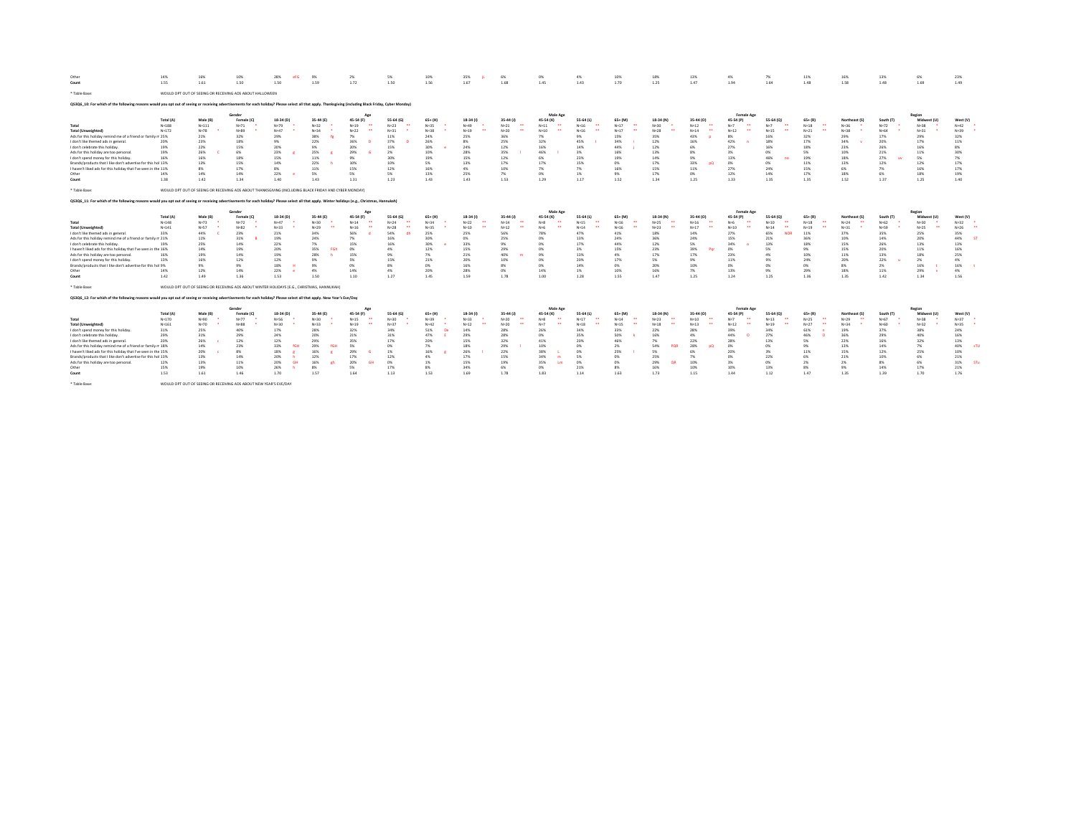| Other                                                                                                                                                                                                    | 14%       | 16%        | 10%                                                                                                   | 28%        | 9%         | 2%                    | 5%                               | 10%              | 35%        | 6%             | 0%                                    | 4%                               | 10%                                    | 1.8%       | 13%           | 4%                | 7%                               | 11%                                    | 169           | 13%             | 6%          | 23%                      |
|----------------------------------------------------------------------------------------------------------------------------------------------------------------------------------------------------------|-----------|------------|-------------------------------------------------------------------------------------------------------|------------|------------|-----------------------|----------------------------------|------------------|------------|----------------|---------------------------------------|----------------------------------|----------------------------------------|------------|---------------|-------------------|----------------------------------|----------------------------------------|---------------|-----------------|-------------|--------------------------|
| Count                                                                                                                                                                                                    | 1.55      | 1.61       | 1.50                                                                                                  | 1.50       | 1.59       | 1.72                  | 1.50                             | 1.56             | 1.67       | 1.68           | 1.45                                  | 1.43                             | 1.70                                   | 1.25       | 1.47          | 1.94              | 1.64                             | 1.48                                   | 1.58          | 1.48            | 1.69        | 1.49                     |
| * Table Base:                                                                                                                                                                                            |           |            | WOULD OPT OUT OF SEEING OR RECEIVING ADS ABOUT HALLOWEEN                                              |            |            |                       |                                  |                  |            |                |                                       |                                  |                                        |            |               |                   |                                  |                                        |               |                 |             |                          |
| QS3Q6_10: For which of the following reasons would you opt out of seeing or receiving advertisements for each holiday? Please select all that apply. Thanksgiving (including Black Friday, Cyber Monday) |           |            |                                                                                                       |            |            |                       |                                  |                  |            |                |                                       |                                  |                                        |            |               |                   |                                  |                                        |               |                 |             |                          |
|                                                                                                                                                                                                          |           |            | Gender                                                                                                |            |            | Agg                   |                                  |                  |            |                | Male Age                              |                                  |                                        |            |               | <b>Female Age</b> |                                  |                                        |               |                 | Region      |                          |
|                                                                                                                                                                                                          | Total (A) | Male (B)   | Female (C)                                                                                            | 18-34 (D)  | 35-44 (E)  | 45-54 (F)<br>$\cdots$ | 55-64 (G)<br>$\cdots$            | $65+ (H)$        | 18-34 (I   | $35-44(1)$<br> | 45-54 (K)<br>$\overline{\phantom{a}}$ | 55-64 (L)<br>$\cdots$            | $65 + (M)$<br>$\overline{\phantom{a}}$ | 18-34 (N)  | 35-44 (0)<br> | 45-54 (P)         | 55-64 (<br>                      | $65 + (R)$<br>$\overline{\phantom{a}}$ | Northeast (S) | South (T)       | Midwest (U) | West (V)                 |
| Total                                                                                                                                                                                                    | $N = 188$ | $N = 111$  | $N = 71$                                                                                              | $N=79$     | $N = 32$   | $N=19$                | $N = 23$                         | $N=35$           | $N = 49$   | $N=21$         | $N=11$                                | $N = 16$                         | $N=17$                                 | $Na-20$    | $N=12$        |                   | $N = 7$                          | $N=18$                                 | $N = 36$      | $N = 72$        | $Na-2.8$    | $N=42$                   |
| <b>Total (Unweighted)</b>                                                                                                                                                                                | $N = 172$ | $N = 78$   | $N=89$                                                                                                | $N=47$     | $N = 34$   | $N=22$                | $N = 31$                         | $N=38$           | $N=19$     | $N=20$         | $N=10$                                | $N = 16$                         | $N=17$                                 | $N = 28$   | $N = 14$      | Nu <sub>12</sub>  | $N=15$                           | $N=21$                                 | $N = 38$      | $N = 64$        | $N = 31$    | $N=39$                   |
| Ads for this holiday remind me of a friend or family n 25%                                                                                                                                               | 20%       | 21%<br>23% | 32%<br>18%                                                                                            | 29%<br>9%  | 38%<br>22% | 7%<br>36%             | 11%<br>37%                       | 24%<br>26%       | 25%<br>8%  | 36%<br>25%     | 7%<br>32%                             | 9%<br>45%                        | 15%<br>34%                             | 35%<br>12% | 43%<br>169    | 8%<br>42%         | 16%<br>18%                       | 32%<br>17%                             | 29%<br>34%    | 17%<br>20%      | 29%<br>17%  | 32%<br>11%               |
| I don't like themed ads in general.                                                                                                                                                                      | 19%       |            | 15%                                                                                                   | 20%        | 9%         | 20%                   |                                  |                  | 24%        | 12%            | 16%                                   | 14%                              |                                        | 12%        | 6%            | 27%               | 16%                              | 18%                                    | 23%           | 26%             | 16%         | 8%                       |
| I don't celebrate this holiday.<br>Ads for this holiday are too personal                                                                                                                                 | 19%       | 22%<br>26% | 6%                                                                                                    | 23%        | 25%        | 29%                   | 15%<br>2%                        | 30%<br>10%       | 28%        | 35%            | 46%                                   | 3%                               | 44%<br>16%                             | 13%        | <b>RM</b>     | 3%                | n%                               | 5%                                     | 10%           | 21%             | 11%         | 30%                      |
| I don't spend money for this holiday.                                                                                                                                                                    | 16%       | 16%        | 18%                                                                                                   | 15%        | 11%        | 9%                    | 30%                              | 19%              | 15%        | 12%            | 6%                                    | 23%                              | 19%                                    | 14%        | 9%            | 13%               | 46%                              | 19%                                    | 18%           | 27%<br><b>u</b> | 5%          | 7%                       |
| Brands/products that I like don't advertise for this hol 13%                                                                                                                                             |           | 13%        | 15%                                                                                                   | 14%        | 22%        | 10%                   | 10%                              | 5%               | 13%        | 17%            | 17%                                   | 15%                              | 0%                                     | 17%        | 33%           | 0%                | 0%                               | 11%                                    | 13%           | 12%             | 12%         | 17%                      |
| I haven't liked ads for this holiday that I've seen in the 11%                                                                                                                                           |           | 8%         | 17%                                                                                                   | 8%         | 11%        | 15%                   | 12%                              | 16%              | 4%         | 10%            | 7%                                    | 7%                               | 16%                                    | 15%        | 11%           | 27%               | 24%                              | 15%                                    | 6%            | 7%              | 16%         | 17%                      |
| Other                                                                                                                                                                                                    | 14%       | 14%        | 14%                                                                                                   | 22%        | 5%         | 5%                    | 5%                               | 13%              | 25%        | 7%             | 0%                                    | 1%                               | 9%                                     | 17%        | 0%            | 12%               | 14%                              | 17%                                    | 18%           | 6%              | 18%         | 19%                      |
| Count                                                                                                                                                                                                    | 1.38      | 1.42       | 1.34                                                                                                  | 1.40       | 1.43       | 1.31                  | 1.23                             | 1.43             | 1.43       | 1.53           | 1.29                                  | 1.17                             | 1.52                                   | 1.34       | 1.25          | 1.33              | 1.35                             | 1.35                                   | 1.52          | 1.37            | 1.25        | 1.40                     |
| * Table Base:                                                                                                                                                                                            |           |            | WOULD OPT OUT OF SEEING OR RECEIVING ADS ABOUT THANKSGIVING (INCLUDING BLACK FRIDAY AND CYBER MONDAY) |            |            |                       |                                  |                  |            |                |                                       |                                  |                                        |            |               |                   |                                  |                                        |               |                 |             |                          |
| QS3Q6_11: For which of the following reasons would you opt out of seeing or receiving advertisements for each holiday? Please select all that apply. Winter holidays (e.g., Christmas, Hannukah)         |           |            |                                                                                                       |            |            |                       |                                  |                  |            |                |                                       |                                  |                                        |            |               |                   |                                  |                                        |               |                 |             |                          |
|                                                                                                                                                                                                          |           |            | Gender                                                                                                |            |            | Agg                   |                                  |                  |            |                | Male Age                              |                                  |                                        |            |               | <b>Female Age</b> |                                  |                                        |               |                 | Region      |                          |
|                                                                                                                                                                                                          | Total (A) | Male (B)   | Female (C)                                                                                            | 18-34 (D)  | 35-44 (E)  | 45-54 (F)             | 55-64 (                          | 65+ (H)          | 18-34      | 35-44 (J)      | 45-54 (K)                             | 55-64 (L)                        | $65 + (M)$                             | 18-34 (N)  | 35-44 (0)     | 45.54 (P          | 55-64 (                          | $65 + (R)$                             | Northeast (S) | South (T)       | Midwest (U) | West (V)                 |
| Total                                                                                                                                                                                                    | $N = 148$ | $N=73$     | $N = 72$                                                                                              | $N=47$     | $N = 30$   | $N = 14$<br>$\cdots$  | $\mathbf{a}$<br>$N = 24$         | $N = 34$         | $N=22$     | $N = 14$       | $\overline{\phantom{a}}$<br>$N=8$     | <br>$N=15$                       | $\ddot{\phantom{1}}$<br>$N=16$         | $N=25$     | $N = 16$      | $N=6$             | $N = 10$<br>$\cdots$             | $\sim$<br>$N=18$                       | $N = 24$      | $N = 62$        | $N=30$      | $N = 32$                 |
| <b>Total (Unweighted)</b>                                                                                                                                                                                | $N = 141$ | $N = 57$   | $N = 82$                                                                                              | $N = 22$   | $N=29$<br> | $N = 16$              | $N = 28$<br>$\ddot{\phantom{1}}$ | $N=35$           | $N = 10$   | $N = 12$       | $N=6$                                 | $N = 14$                         | $N=16$<br>$\ddot{\phantom{0}}$         | $N=23$     | $N = 17$      | $N = 10$          | $N = 14$<br>$\ddot{\phantom{0}}$ | $N=19$<br>$\ddot{\phantom{1}}$         | $N = 31$      | $N = 59$        | $N=25$      | $N=26$                   |
| I don't like themed ads in general.                                                                                                                                                                      | 33%       | 44%        | 23%                                                                                                   | 21%        | 34%        | 56%                   | 54%                              | 25%              | 25%        | 56%            | 78%                                   | 47%                              | 41%                                    | 18%        | 14%           | 27%               | 65%<br><b>NOS</b>                | 11%                                    | 37%           | 35%             | 25%         | 35%                      |
| Ads for this holiday remind me of a friend or family n 21%                                                                                                                                               |           | 11%        | 31%                                                                                                   | 19%        | 24%        | 7%                    | 16%                              | 30%              | 0%         | 25%            | 0%                                    | 13%                              | 24%                                    | 36%        | 24%           | 15%               | 21%                              | 36%                                    | 10%           | 14%             | 20%         | 44%                      |
| I don't celebrate this holiday.                                                                                                                                                                          | 19%       | 25%        | 14%                                                                                                   | 22%        | 7%         | 15%                   | 16%                              | 30%              | 33%        | 9%             | 0%                                    | 17%                              | 44%                                    | 12%        | 5%            | 34%               | 13%                              | 18%                                    | 15%           | 26%             | 13%         | 13%                      |
| I haven't liked ads for this holiday that I've seen in the 16%                                                                                                                                           |           | 14%        | 19%                                                                                                   | 20%        | 35%        | 0%                    | 4%                               | 12%              | 15%        | 29%            | 0%                                    | 3%                               | 15%                                    | 23%        | 39%           | 0%                | 5%                               | 9%                                     | 15%           | 20%             | 11%         | 16%                      |
| Ads for this holiday are too personal                                                                                                                                                                    | 16%       | 19%        | 14%                                                                                                   | 19%        | 28%        | 15%                   | 9%                               | 7%               | 21%        | 40%            | 9%                                    | 13%                              | 4%                                     | 17%        | 17%           | 23%               | 4%                               | 10%                                    | 11%           | 13%             | 18%         | 25%                      |
| I don't spend money for this holiday.                                                                                                                                                                    | 13%       | 16%        | 12%                                                                                                   | 12%        | 9%         | 5%                    | 15%                              | 21%              | 20%        | 10%            | 0%                                    | 20%                              | 17%                                    | 5%         | 9%            | 11%               | 9%                               | 24%                                    | 20%           | 22%             | 2%          | 4%                       |
| Brands/products that I like don't advertise for this hol 9%                                                                                                                                              |           | 9%         | 9%                                                                                                    | 18%        | 9%         | n%                    | R%                               | 0%               | 16%        | $R$ %          | 0%                                    | 14%                              | 0%                                     | 20%        | 10%           | 0%                | m                                | 0%                                     | 8%            | 2%              | 16%         | 16%                      |
| Other                                                                                                                                                                                                    | 14%       | 12%        | 14%                                                                                                   | 22%        | 4%         | 14%                   | 4%                               | 20%              | 28%        | 0%             | 14%                                   | 1%                               | 10%                                    | 16%        | 7%            | 13%               | 9%                               | 29%                                    | 18%           | 11%             | 29%         | 4%                       |
| Count                                                                                                                                                                                                    | 1.42      | 1.49       | 1.36                                                                                                  | 1.53       | 1.50       | 1.10                  | 1.27                             | 1.45             | 1.59       | 1.78           | 1.00                                  | 1.28                             | 1.55                                   | 1.47       | 1.25          | 1.24              | 1.25                             | 1.36                                   | 1.35          | 1.42            | 1.34        | 1.56                     |
| * Table Base:                                                                                                                                                                                            |           |            | WOULD OPT OUT OF SEEING OR RECEIVING ADS ABOUT WINTER HOLIDAYS (E.G., CHRISTMAS, HANNUKAH)            |            |            |                       |                                  |                  |            |                |                                       |                                  |                                        |            |               |                   |                                  |                                        |               |                 |             |                          |
| QS3Q6_12: For which of the following reasons would you opt out of seeing or receiving advertisements for each holiday? Please select all that apply. New Year's Eve/Day                                  |           |            |                                                                                                       |            |            |                       |                                  |                  |            |                |                                       |                                  |                                        |            |               |                   |                                  |                                        |               |                 |             |                          |
|                                                                                                                                                                                                          |           |            | Gender                                                                                                |            |            | Agg                   |                                  |                  |            |                | Male Age                              |                                  |                                        |            |               | <b>Female Age</b> |                                  |                                        |               |                 | Region      |                          |
|                                                                                                                                                                                                          | Total (A) | Male (B)   | Female (C)                                                                                            | 18-34 (D)  | 35-44 (E)  | 45-54 (F)             | $55 - 64$ (G)                    | $65+ (H)$        | 18-34      | 35-44 (J)      | 45-54 (K)                             | 55-64 (L)                        | $65 + (M)$                             | 18-34 (N)  | 35-44 (0)     | 45-54 (P)         | 55-64 (0)                        | $65 + (R)$                             | Northeast (S) | South (T)       | Midwest (U) | West (V)                 |
| Total                                                                                                                                                                                                    | $N = 170$ | $N = 90$   | $N = 77$                                                                                              | N=56       | $N = 30$   | $N=15$                | $N=30$                           | $N = 39$         | $N = 33$   | $N=20$         | $\overline{a}$<br>$N = 8$             | $N = 17$<br>$\ddot{\phantom{1}}$ | $\ddot{\phantom{0}}$<br>$N = 14$       | $N=23$     | $N=10$        | $N=7$             | $N = 13$                         | $N=25$<br>$\mathbf{r}$                 | $N=29$        | $N = 67$        | $N=38$      | $N = 37$                 |
| <b>Total (Unweighted)</b>                                                                                                                                                                                | $N = 161$ | $N = 70$   | $N=88$                                                                                                | $N = 30$   | $N = 33$   | $N=19$                | $N = 37$                         | $N=42$           | $N = 12$   | $N=20$         | $N=7$                                 | $N=18$                           | $\ddot{\phantom{0}}$<br>$N=15$         | $N=18$     | ×<br>$N=13$   | $N = 12$          | $N=19$                           | <br>$N=27$                             | $N = 34$      | $N = 60$        | $N=32$      | $N = 35$                 |
| I don't spend money for this holiday.                                                                                                                                                                    | 31%       | 25%        | 40%                                                                                                   | 17%        | 28%        | 32%                   | 34%                              | 51%<br><b>De</b> | 14%        | 28%            | 26%                                   | 34%                              | 33%                                    | 22%        | 28%           | 39%               | 34%                              | 61%                                    | 19%           | 37%             | 38%         | 24%                      |
| I don't celebrate this holiday.                                                                                                                                                                          | 29%       | 31%        | 29%                                                                                                   | 24%        | 20%        | 21%                   | 31%                              | 47%              | 29%        | 28%            | n <sub>%</sub>                        | 35%                              | 50%                                    | 16%        | 4%            | 44%               | 27%                              | 46%                                    | 36%           | 29%             | 40%         | 16%                      |
| I don't like themed ads in general.                                                                                                                                                                      | 20%       | 26%        | 12%                                                                                                   | 12%        | 29%<br>fGE | 35%<br>5%             | 17%<br>0%                        | 20%<br>7%        | 15%        | 32%            | 41%                                   | 20%<br>0%                        | 469                                    | 7%         | 22%           | 28%               | 13%<br>0%                        | 5%                                     | 22%<br>13%    | 16%             | 32%         | 13%<br>40%<br><b>STU</b> |
| Ads for this holiday remind me of a friend or family n 18%                                                                                                                                               |           | 14%        | 23%                                                                                                   | 33%        | 29%        |                       |                                  |                  | 18%        | 29%            | 10%                                   |                                  | 2%<br>25%                              | 54%<br>5%  | 28%           | 0%                |                                  | 9%                                     |               | 14%<br>12%      | 7%          | 10%                      |
| I haven't liked ads for this holiday that I've seen in the 15%<br>Brands/products that I like don't advertise for this hol 13%                                                                           |           | 20%<br>13% | 8%<br>14%                                                                                             | 18%<br>20% | 16%<br>12% | 29%<br>17%            | 1%<br>12%                        | 16%<br>4%        | 26%<br>17% | 22%<br>15%     | 38%<br>34%                            | 0%<br>5%                         | 0%                                     | 25%        | 6%<br>7%      | 20%<br>0%         | 3%<br>22%                        | 11%<br>6%                              | 15%<br>21%    | 10%             | 25%<br>6%   | 21%                      |
| Ads for this holiday are too personal                                                                                                                                                                    | 12%       | 13%        | 11%                                                                                                   | 20%        | 16%        | 20%                   | 0%                               | 1%               | 15%        | 19%            | 35%                                   | 0%                               | 0%                                     | 29%<br>OB  | 10%           | 3%                | n%                               | 2%                                     | 2%            | 8%              | 6%          | 31%<br>STu               |
| Other                                                                                                                                                                                                    | 15%       | 19%        | 10%                                                                                                   | 26%        | 8%         | 5%                    | 17%                              | $8\%$            | 34%        | 6%             | 0%                                    | 21%                              | 8%                                     | 16%        | 10%           | 10%               | 13%                              | 8%                                     | 9%            | 14%             | 17%         | 21%                      |
| Count                                                                                                                                                                                                    | 1.53      | 1.61       | 1.46                                                                                                  | 1.70       | 1.57       | 1.64                  | 1.13                             | 1.53             | 1.69       | 1.78           | 1.83                                  | 1.14                             | 1.63                                   | 1.73       | 1.15          | 1.44              | 1.12                             | 1.47                                   | 1.35          | 1.39            | 1.70        | 1.76                     |
|                                                                                                                                                                                                          |           |            |                                                                                                       |            |            |                       |                                  |                  |            |                |                                       |                                  |                                        |            |               |                   |                                  |                                        |               |                 |             |                          |
| * Table Base:                                                                                                                                                                                            |           |            | WOULD OPT OUT OF SEEING OR RECEIVING ADS ABOUT NEW YEAR'S EVE/DAY                                     |            |            |                       |                                  |                  |            |                |                                       |                                  |                                        |            |               |                   |                                  |                                        |               |                 |             |                          |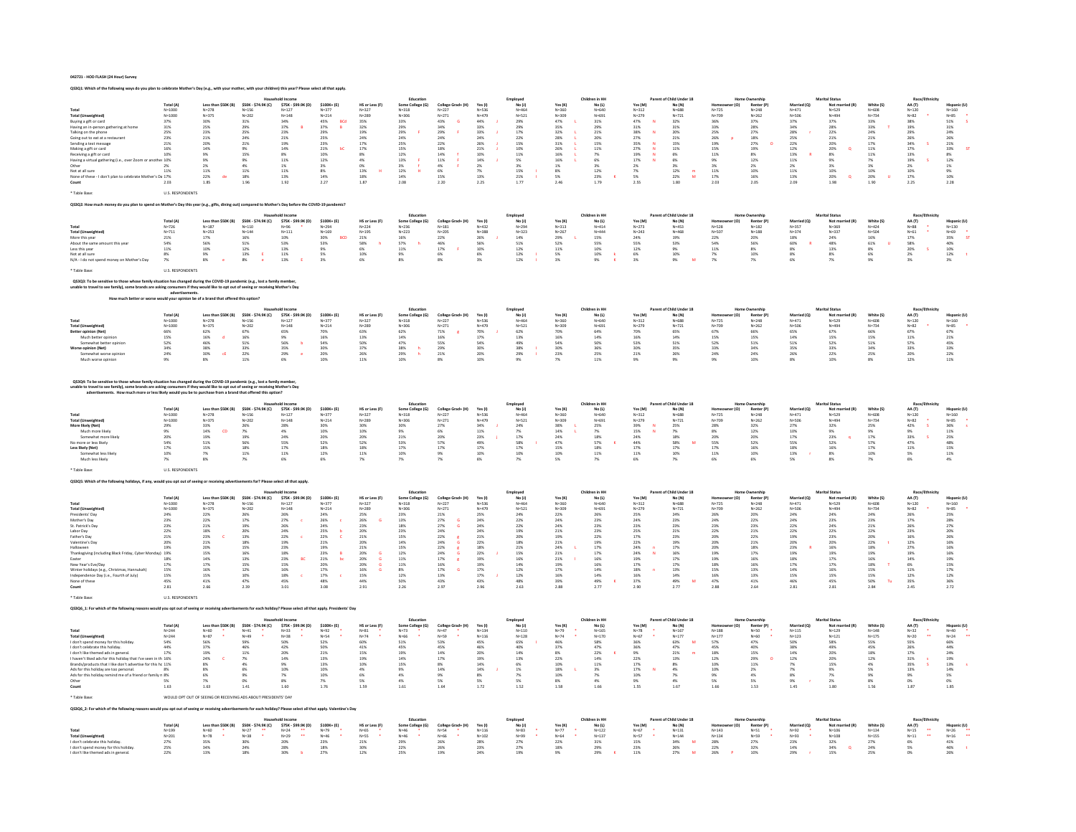### 042721 - HOD FLASH (24 Hour) Survey

|                                                                                                                                                                                                                                                                     |                                             |                                                     |                                                                                          | with your children) this year? Please select all that appl |                                                                      |                                             |                                                                       |                                                                                                      |                                                     |                                             |                                                     |                                                     |                                                               |                                                  |                                             |                                                               |                          |                              |                                                     |                                             |                                                                                                     |
|---------------------------------------------------------------------------------------------------------------------------------------------------------------------------------------------------------------------------------------------------------------------|---------------------------------------------|-----------------------------------------------------|------------------------------------------------------------------------------------------|------------------------------------------------------------|----------------------------------------------------------------------|---------------------------------------------|-----------------------------------------------------------------------|------------------------------------------------------------------------------------------------------|-----------------------------------------------------|---------------------------------------------|-----------------------------------------------------|-----------------------------------------------------|---------------------------------------------------------------|--------------------------------------------------|---------------------------------------------|---------------------------------------------------------------|--------------------------|------------------------------|-----------------------------------------------------|---------------------------------------------|-----------------------------------------------------------------------------------------------------|
|                                                                                                                                                                                                                                                                     |                                             |                                                     |                                                                                          |                                                            |                                                                      |                                             | Educatio                                                              |                                                                                                      |                                                     | Employee                                    |                                                     | Children in HI                                      |                                                               | Parent of Child Under 18                         |                                             | Home Ownershi                                                 |                          | <b>Marital Status</b>        |                                                     | Race/Eth                                    |                                                                                                     |
| Total                                                                                                                                                                                                                                                               | Total (A)<br>$N = 1000$                     | Less than \$50K (B)<br>$N = 278$                    | \$50K - \$74.9K (C)<br>$N = 156$                                                         | \$75K - \$99.9K (D)<br>$N = 127$                           | $$100K+ (E)$<br>$N = 377$                                            | HS or Less (F)<br>$N = 327$                 | Some College (G)<br>$N = 318$                                         | College Grad+ (H)<br>$N = 227$                                                                       | Yes (I)<br>$N = 536$                                | No(1)<br>$N = 464$                          | Yes $(K)$<br>$N = 360$                              | No (L)<br>$N = 640$                                 | Yes (M<br>$N = 312$                                           | No (N)<br>$N = 688$                              | $N = 725$                                   | Renter (P)<br>$N = 248$                                       | Married (Q)<br>$N = 471$ | Not mar<br>$N = 529$         | White (S)<br>$N = 608$                              | AA (T)<br>$N = 120$                         | Hispanic (U<br>$N = 160$                                                                            |
| <b>Total (Unweighted)</b>                                                                                                                                                                                                                                           | $N=1000$                                    | $N = 375$                                           | $N = 202$                                                                                | $N = 148$                                                  | $N = 214$                                                            | $N = 289$<br>35%                            | $N = 306$                                                             | $N = 271$                                                                                            | $N = 479$                                           | $N = 521$                                   | $N = 309$                                           | $N = 691$                                           | $N = 279$                                                     | $N = 721$                                        | $N = 709$                                   | $N = 262$                                                     | N=506                    | $N = 49$                     | $N = 734$                                           | $N = 82$                                    | $N = 85$<br>51%                                                                                     |
| Buying a gift or card                                                                                                                                                                                                                                               | 37%                                         | 30%                                                 | 31%                                                                                      | 34%                                                        | 45%<br>BCd                                                           |                                             | 33%                                                                   | 43%                                                                                                  | 44%                                                 |                                             | 47%                                                 | 31%                                                 | 47%                                                           | 32%                                              | 36%                                         | 37%                                                           | 37%                      | 37%                          | 33%                                                 | 38%                                         |                                                                                                     |
| Having an in-person gathering at hom<br>Talking on the phone                                                                                                                                                                                                        | 31%<br>25%                                  | 25%<br>23%                                          | 29%<br>25%                                                                               | 37%<br>23%                                                 | 37%<br>29%<br>$\,$ 8                                                 | 32%<br>19%                                  | 29%<br>29%                                                            | 34%<br>29%                                                                                           | 33%<br>33%                                          | 29%<br>29%<br>17%                           | 35%<br>32%                                          | 29%<br>21%                                          |                                                               | $31\%$<br>20%                                    | 33%<br>25%                                  | 28%<br>27%                                                    | 34%<br>28%               | 28%<br>22%                   | 33%<br>24%                                          | 19%<br>29%                                  | $\frac{31\%}{24\%}$                                                                                 |
| Going out to eat at a restauran                                                                                                                                                                                                                                     | 23%<br>21%                                  | 21%<br>20%                                          | 24%                                                                                      | $21\%$                                                     | 25%<br>23%                                                           | 24%<br>17%                                  | $24\%$                                                                | 24%<br>22%                                                                                           | 24%<br>26%                                          | 22%<br>15%                                  | 28%<br>31%                                          | 20%<br>15%                                          |                                                               | $\begin{array}{l} 21\% \\ 15\% \end{array}$      | 26%<br>19%                                  | $\begin{array}{l} 18\% \\ 27\% \end{array}$                   | 25%<br>22%               | $21\%$                       | 21%<br>17%                                          | 26%<br>34%                                  | 26%<br>21%                                                                                          |
| Sending a text message                                                                                                                                                                                                                                              |                                             | 14%                                                 | 21%                                                                                      | 19%<br>14%                                                 | ЪC                                                                   |                                             | 25%                                                                   |                                                                                                      |                                                     |                                             |                                                     |                                                     | 31%<br>38%<br>27%<br>27%<br>35%<br>27%<br>19%<br>$\mathbf{M}$ |                                                  |                                             |                                                               |                          | 20%<br>20%<br>$\alpha$       |                                                     | ś                                           | $\overline{a}$                                                                                      |
| Making a gift or card<br>Receiving a gift or card                                                                                                                                                                                                                   | $16\%$ $10\%$                               | 9%                                                  | $\frac{9\%}{15\%}$                                                                       | 8%                                                         | $21\%$<br>10%                                                        | $17\%$<br>$8\%$                             | $\begin{array}{l} 15\% \\ 12\% \end{array}$                           | $\begin{array}{c} 18\% \\ 14\% \\ 11\% \end{array}$                                                  | $\begin{array}{c} 21\% \\ 10\% \\ 14\% \end{array}$ | $10\%$ $11\%$                               | 26%<br>16%<br>16%<br>16%                            | $11\%$<br>7%                                        |                                                               | $11\%$<br>6%                                     | $15\%$ 11%                                  | 19%<br>8%                                                     | 12%<br>13%               | $8\%$                        | $\begin{array}{l} 11\% \\ 11\% \end{array}$         | $\begin{array}{l} 17\% \\ 13\% \end{array}$ | $\begin{array}{r} 33\% \\ 8\% \\ 12\% \\ 1\% \\ 9\% \\ 10\% \\ 2.28 \end{array}$                    |
| Having a virtual gathering (i.e., over Zoom or<br>Other                                                                                                                                                                                                             | another 10%                                 | $9\%$                                               | $\frac{9\%}{4\%}$                                                                        | 11%                                                        | 12%                                                                  | 4%                                          |                                                                       |                                                                                                      |                                                     | 5%<br>3%                                    |                                                     | 6%                                                  |                                                               | 6%                                               | 9%<br>3%                                    | 12%                                                           | 11%                      | 9%                           | 7%<br>3%                                            | 19%                                         |                                                                                                     |
| Not at all sure                                                                                                                                                                                                                                                     | 2%<br>11%                                   | 2%<br>11%                                           | 11%                                                                                      | $1\%$<br>11%                                               | 3%<br>8%                                                             | 0%<br>13%                                   | $\begin{array}{l} 13\% \\ 3\% \\ 12\% \end{array}$<br>$\mathbf{H}$    | $4\%$ 6%                                                                                             | $2\%$<br>7%                                         | 15%                                         |                                                     | 3%<br>12%                                           | 2%<br>7%                                                      | 3%<br>12%                                        | 11%                                         | $2\%$<br>10%                                                  | $2\%$<br>11%             | 3%<br>10%                    | 10%                                                 | $2\%$<br>10%                                |                                                                                                     |
| None of these - I don't plan to celebrate Mother                                                                                                                                                                                                                    |                                             | 22%<br>de                                           | 18%                                                                                      | 13%                                                        | $14\%$                                                               | 18%                                         | $14\%$                                                                | $15\%$                                                                                               | 13%                                                 | $21\%$                                      | $\frac{8\%}{5\%}$                                   | 23%                                                 | 5%                                                            | $22\%$<br>$\overline{M}$                         | 17%                                         | 16%                                                           | 13%                      | 20%<br>$\alpha$              | 20%<br>1.90                                         | $17\%$                                      |                                                                                                     |
| Count                                                                                                                                                                                                                                                               | 2.03                                        | 1.85                                                | 1.96                                                                                     | 1.92                                                       | 2.27                                                                 | 1.87                                        | 2.08                                                                  | 2.20                                                                                                 | 2.25                                                | 1.77                                        | 2.46                                                | 1.79                                                | 2.55                                                          | 1.80                                             | 2.03                                        | 2.05                                                          | 2.09                     | 1.98                         |                                                     | 2.25                                        |                                                                                                     |
| Table Base                                                                                                                                                                                                                                                          | <b>U.S. RESPONDENTS</b>                     |                                                     |                                                                                          |                                                            |                                                                      |                                             |                                                                       |                                                                                                      |                                                     |                                             |                                                     |                                                     |                                                               |                                                  |                                             |                                                               |                          |                              |                                                     |                                             |                                                                                                     |
|                                                                                                                                                                                                                                                                     |                                             |                                                     |                                                                                          |                                                            |                                                                      |                                             |                                                                       |                                                                                                      |                                                     |                                             |                                                     |                                                     |                                                               |                                                  |                                             |                                                               |                          |                              |                                                     |                                             |                                                                                                     |
| Q\$3Q2: How much money do you plan to spend on Mother's Day this year (e.g., gifts, dining out) compared to Mother's Day before the COVID-19 pandemic?                                                                                                              |                                             |                                                     |                                                                                          |                                                            |                                                                      |                                             |                                                                       |                                                                                                      |                                                     |                                             |                                                     |                                                     |                                                               |                                                  |                                             |                                                               |                          |                              |                                                     |                                             |                                                                                                     |
|                                                                                                                                                                                                                                                                     |                                             |                                                     |                                                                                          |                                                            |                                                                      |                                             | Educatio                                                              |                                                                                                      |                                                     | Employee                                    |                                                     | Children in HI                                      |                                                               | of Child Under 18                                |                                             | <b>Iome Ownership</b>                                         |                          | <b>Marital Status</b>        |                                                     | Race/Et                                     |                                                                                                     |
|                                                                                                                                                                                                                                                                     | Total (A)<br>$N = 726$                      | Less than \$50K (B)<br>N=187                        | \$50K - \$74.9K (C)<br>$N = 110$                                                         | \$75K - \$99.9K (D)                                        | $5100K + (F)$<br>$N = 294$                                           | HS or Less (F)<br>$N = 224$                 | Some College (G)<br>$N = 236$                                         | College Grad+ (H)<br>$N = 181$                                                                       | Yes (I)<br>$N = 432$                                | No (J)<br>N=294                             | Yes (K)<br>$N=313$                                  | No (L)<br>$N = 414$                                 | Yes (M)<br>$N = 273$                                          | No (N)<br>$N = 453$                              | (n)<br>$N = 528$                            | $\begin{array}{c}\n\textbf{Renter (P)} \\ N=182\n\end{array}$ | Married (O)<br>$N = 357$ | Not mar<br>N=369<br>ried (R) | White (S)<br>$N = 424$                              | $AA(T)$<br>N=88                             | <b>Hispanic (U)</b><br>$N = 130$                                                                    |
| Total<br><b>Total (Unweighted)</b>                                                                                                                                                                                                                                  | $N = 711$                                   |                                                     | $N = 144$                                                                                | $N = 96$<br>$N = 111$                                      | $N = 169$                                                            | $N = 195$                                   | $N=222$                                                               | $N = 205$                                                                                            | $N = 388$                                           | $N = 323$                                   | $N = 267$                                           | $N = 4.4.4$                                         | $N = 243$                                                     | $N = 468$                                        | $N = 507$                                   | $N = 188$                                                     | $N = 274$                | $N = 227$                    | $N = 504$                                           | $N = 61$                                    |                                                                                                     |
| More this year                                                                                                                                                                                                                                                      | 21%                                         | N=253<br>17%                                        | $16\%$                                                                                   | $10\%$                                                     | $30\%$<br>BCD                                                        | 21%                                         |                                                                       | 22%                                                                                                  | 26%                                                 |                                             |                                                     | $15\%$                                              |                                                               | $19\%$                                           |                                             | 20%<br>56%                                                    | $18\%$                   | $24\%$                       | $16\%$                                              | $17\%$                                      | N=69<br>35%                                                                                         |
| About the same amount this year<br>Less this year                                                                                                                                                                                                                   | 54%<br>$11\%$                               | 56%<br>10%                                          | $51\%$ $12\%$                                                                            | $\begin{array}{c} 53\% \\ 13\% \\ 11\% \end{array}$        | 53%<br>9%<br>5%                                                      | 58%<br>6%                                   | $\begin{array}{l} 16\% \\ 57\% \\ 11\% \end{array}$<br>$\overline{a}$ | $^{46\%}_{17\%}$                                                                                     | 56%<br>10%<br>6%                                    |                                             | 29%<br>52%<br>52%<br>11%<br>5%                      | 55%<br>10%<br>10%                                   | 24%<br>55%<br>12%                                             | 53%                                              | 22%<br>54%<br>11%                           |                                                               | 60%<br>8%<br>8%          | 48%<br>$13\%$                | 61%                                                 | 58%<br>20%<br>2%<br>2%<br>ś                 | $\begin{array}{r} 40\% \\ 10\% \\ 12\% \\ 3\% \end{array}$                                          |
| Not at all sure                                                                                                                                                                                                                                                     | 8%                                          | 9%                                                  | -E<br>13%                                                                                |                                                            |                                                                      | 10%                                         |                                                                       | 6%                                                                                                   |                                                     |                                             |                                                     |                                                     | 6%                                                            | 9%<br>10%                                        |                                             | 8%<br>10%                                                     |                          | 8%                           | 8%<br>6%                                            |                                             |                                                                                                     |
| N/A - I do not sp<br>nd money on Mother's Da                                                                                                                                                                                                                        |                                             | 8%                                                  | $8\%$                                                                                    | 13%                                                        | 3%                                                                   | 6%                                          | $\frac{9\%}{8\%}$                                                     |                                                                                                      |                                                     | $12\%$                                      |                                                     | 9%                                                  | 3%                                                            |                                                  | 7%<br>7%                                    | 7%                                                            | 6%                       |                              |                                                     |                                             |                                                                                                     |
|                                                                                                                                                                                                                                                                     | <b>U.S. RESPONDENTS</b>                     |                                                     |                                                                                          |                                                            |                                                                      |                                             |                                                                       |                                                                                                      |                                                     |                                             |                                                     |                                                     |                                                               |                                                  |                                             |                                                               |                          |                              |                                                     |                                             |                                                                                                     |
|                                                                                                                                                                                                                                                                     |                                             |                                                     |                                                                                          |                                                            |                                                                      |                                             |                                                                       |                                                                                                      |                                                     |                                             |                                                     |                                                     |                                                               |                                                  |                                             |                                                               |                          |                              |                                                     |                                             |                                                                                                     |
| OS3O3: To be sensitive to those whose family situation has changed during the COVID-19 pandemic (e.g., lost a family member<br>able to travel to see family), some brands are asking consumers if they would like to opt out of seeing or receiving Mother's Day    |                                             |                                                     |                                                                                          |                                                            |                                                                      |                                             |                                                                       |                                                                                                      |                                                     |                                             |                                                     |                                                     |                                                               |                                                  |                                             |                                                               |                          |                              |                                                     |                                             |                                                                                                     |
|                                                                                                                                                                                                                                                                     | advertisements                              |                                                     |                                                                                          |                                                            |                                                                      |                                             |                                                                       |                                                                                                      |                                                     |                                             |                                                     |                                                     |                                                               |                                                  |                                             |                                                               |                          |                              |                                                     |                                             |                                                                                                     |
| How much better or worse would your opinion be of a brand that offered this option                                                                                                                                                                                  |                                             |                                                     |                                                                                          |                                                            |                                                                      |                                             |                                                                       |                                                                                                      |                                                     |                                             |                                                     |                                                     |                                                               |                                                  |                                             |                                                               |                          |                              |                                                     |                                             |                                                                                                     |
|                                                                                                                                                                                                                                                                     |                                             |                                                     |                                                                                          |                                                            |                                                                      |                                             | Educatio                                                              |                                                                                                      |                                                     |                                             |                                                     | Children in H                                       |                                                               | arent of Child Under 18                          |                                             |                                                               |                          | Marital Status               |                                                     |                                             |                                                                                                     |
|                                                                                                                                                                                                                                                                     | Total (A)                                   | Less than \$50K (B)                                 | \$50K - \$74.9K (C)                                                                      | \$75K - \$99.9K (D)                                        | $$100K+ (E)$                                                         | HS or Less (F)                              | Some College (G)                                                      | College Grad+ (H)                                                                                    | Yes(1)                                              | Employed<br>No (J)                          | Yes(K)                                              | No (L)                                              | Yes (M)                                                       | No (N)                                           | (n)                                         | Renter (P                                                     | Married (Q)              | Not married (R)              | White (S)                                           | AA (T)                                      | Hispanic (U                                                                                         |
| Total<br><b>Total (Unweighted)</b>                                                                                                                                                                                                                                  | $N = 1000$<br>$N = 1000$                    | $N = 278$<br>N=375                                  | $N=156$<br>$N = 202$                                                                     | $N = 12$<br>$N = 148$                                      | $N = 37$<br>$N = 214$                                                | $N = 327$<br>$N = 289$                      | $N = 318$<br>$N = 306$                                                | $N = 227$<br>$N = 271$                                                                               | $N = 536$<br>$N = 479$                              | $N = 46$<br>$N = 521$                       | $N = 360$<br>$N = 309$                              | $N = 640$<br>$N = 691$                              | $N = 312$<br>$N = 279$                                        | $N = 688$<br>$N = 721$                           | $N = 725$<br>$N = 709$                      | $N = 248$<br>$N = 262$                                        | $N = 471$<br>N=506       | $N=529$<br>$N = 494$         | $N = 608$<br>$N = 734$                              | $N = 120$<br>$N = 82$                       | $N = 160$<br>$N = 85$                                                                               |
| <b>Better opinion (Net)</b>                                                                                                                                                                                                                                         | 66%                                         | 62%                                                 | $67\%$                                                                                   | $65\%$                                                     | 70%                                                                  | 63%                                         | $62\%$<br>14%                                                         | $71\%$                                                                                               | 70%<br>17%                                          | 62%<br>13%                                  |                                                     | 64%                                                 | 70%<br>16%                                                    | 65%                                              | $67\%$                                      | $\begin{array}{l} 66\% \\ 15\% \end{array}$                   | 65%                      | 67%                          | 66%                                                 | 67%                                         | 67%<br>21%                                                                                          |
| Much better opinion                                                                                                                                                                                                                                                 | 15%                                         | d.                                                  | 16%                                                                                      |                                                            | 16%                                                                  | 13%                                         |                                                                       | 16%                                                                                                  |                                                     |                                             |                                                     | 14%                                                 |                                                               | $14\%$                                           | 15%                                         |                                                               | 14%                      | 15%                          | 15%                                                 | 11%                                         |                                                                                                     |
| Somewhat better opinic<br>Worse opinion (Net)                                                                                                                                                                                                                       | 52%<br>34%                                  | $\begin{array}{l} 16\% \\ 46\% \\ 38\% \end{array}$ | $51\%$<br>33%                                                                            | 9%<br>56%<br>35%<br>b                                      | 54%<br>30%                                                           | 50%<br>37%                                  | $\frac{47\%}{38\%}$<br>h                                              | 55%<br>29%                                                                                           | 54%<br>30%                                          | 49%<br>38%                                  | 70%<br>16%<br>54%<br>54%                            | 50%<br>36%                                          | 53%<br>30%                                                    | $51\%$<br>35%                                    | 52%<br>33%                                  | 51%<br>34%                                                    | $51\%$<br>35%            | $52\%$<br>33%                | 51%<br>34%                                          | 57%<br>33%                                  | 45%<br>33%                                                                                          |
| Somewhat worse opinio                                                                                                                                                                                                                                               | 24%<br>9%                                   | $\frac{30\%}{8\%}$<br>$\epsilon$                    | $\begin{array}{l} 22\% \\ 11\% \end{array}$                                              | 29%<br>6%                                                  | 20%<br>10%                                                           | 26%<br>11%                                  | 29%<br>10%                                                            | $\frac{21\%}{8\%}$                                                                                   | $\begin{array}{l} 20\% \\ 10\% \end{array}$         | 29%<br>9%                                   | 23%<br>7%                                           | 25%<br>11%                                          | 21%                                                           | 26%<br>9%                                        | 24%<br>9%                                   | 24%<br>10%                                                    | 26%<br>8%                | 22%                          | 25%<br>8%                                           | 20%<br>12%                                  | 22%<br>11%                                                                                          |
|                                                                                                                                                                                                                                                                     |                                             |                                                     |                                                                                          |                                                            |                                                                      |                                             |                                                                       |                                                                                                      |                                                     |                                             |                                                     |                                                     |                                                               |                                                  |                                             |                                                               |                          | 10%                          |                                                     |                                             |                                                                                                     |
|                                                                                                                                                                                                                                                                     |                                             |                                                     |                                                                                          |                                                            |                                                                      |                                             |                                                                       |                                                                                                      |                                                     |                                             |                                                     |                                                     |                                                               |                                                  |                                             |                                                               |                          |                              |                                                     |                                             |                                                                                                     |
|                                                                                                                                                                                                                                                                     |                                             |                                                     |                                                                                          |                                                            |                                                                      |                                             |                                                                       |                                                                                                      |                                                     |                                             |                                                     |                                                     |                                                               |                                                  |                                             |                                                               |                          |                              |                                                     |                                             |                                                                                                     |
| QS3Q4: To be sensitive to those whose family situation has changed during the COVID-19 pandemic (e.g., lost a family member,<br>unable to travel to see family), some brands are asking consumers if they would like to oot out of seeing or receiving Mother's Day |                                             |                                                     |                                                                                          |                                                            |                                                                      |                                             |                                                                       |                                                                                                      |                                                     |                                             |                                                     |                                                     |                                                               |                                                  |                                             |                                                               |                          |                              |                                                     |                                             |                                                                                                     |
| nts. How much more or less likely would you be to purchase from a brand that offered this option                                                                                                                                                                    |                                             |                                                     |                                                                                          |                                                            |                                                                      |                                             |                                                                       |                                                                                                      |                                                     |                                             |                                                     |                                                     |                                                               |                                                  |                                             |                                                               |                          |                              |                                                     |                                             |                                                                                                     |
|                                                                                                                                                                                                                                                                     |                                             |                                                     |                                                                                          |                                                            |                                                                      |                                             |                                                                       |                                                                                                      |                                                     |                                             |                                                     |                                                     |                                                               | Child Under 18                                   |                                             |                                                               |                          | larital Status               |                                                     |                                             |                                                                                                     |
|                                                                                                                                                                                                                                                                     | Total (A)                                   | Less than \$50K (B)                                 | \$50K - \$74.9K (C)                                                                      | \$75K - \$99.9K (D)                                        | \$100K+ (E)                                                          | HS or Less (F)                              | Some College (G)                                                      | College Grad+ (H)                                                                                    | Yes(1)                                              | Employed<br>No (J)                          | Yes(K)                                              | No(L)                                               | Yes (M)                                                       | No (N)                                           |                                             | Renter (P                                                     | Married (Q)              | Not ma                       | White (S)                                           | AA (T)                                      | Hispanic (U                                                                                         |
| Total<br><b>Total (Unweighted)</b>                                                                                                                                                                                                                                  | $N = 1000$                                  | $N = 278$<br>$N = 375$                              | $N = 156$                                                                                | $N = 127$                                                  | $N = 377$                                                            | $N = 327$                                   | $N = 318$                                                             | $N = 227$                                                                                            | $N = 536$                                           | $N = 464$<br>$N = 521$                      | $N = 360$<br>$N = 309$                              | $N=640$                                             | $N = 312$                                                     | $N=688$<br>$N=721$                               | $N = 725$                                   | $N = 248$                                                     | $N = 471$                | $N = 529$                    | $N = 608$                                           | $N = 120$                                   | $N = 160$                                                                                           |
| More likely (Net)                                                                                                                                                                                                                                                   | $N = 1000$<br>29%                           |                                                     | $N = 202$                                                                                | $N = 148$<br>$28\%$                                        | $N = 214$<br>$30\%$                                                  | $N = 289$                                   | $N = 306$<br>30%                                                      | $N = 271$                                                                                            | $N = 479$                                           |                                             |                                                     | $N = 691$                                           | $N = 279$                                                     |                                                  | $N = 709$<br>$28\%$                         | $N = 262$                                                     | $N = 506$                | $N = 494$<br>32%             | $N = 734$<br>25%                                    | $N = 82$<br>$42\%$<br>s                     | $N = 85$                                                                                            |
| Much more likely                                                                                                                                                                                                                                                    | 9%                                          | $\begin{array}{c} 33\% \\ 14\% \end{array}$<br>co   | $\frac{26\%}{7\%}$                                                                       | $4\%$                                                      | 10%                                                                  | 30%<br>10%                                  | 9%                                                                    | $\substack{27\% \\ 6\%}$                                                                             | $\frac{34\%}{11\%}$                                 | 24%<br>7%                                   | 38%<br>14%                                          | 25%<br>7%                                           |                                                               | $\frac{25\%}{7\%}$                               | 8%                                          | $32\%$ 12%                                                    | 27%<br>10%               | 9%                           | 9%                                                  | 9%                                          | $36\%$ 11%                                                                                          |
| Somewhat more likely                                                                                                                                                                                                                                                | 20%<br>54%                                  | 19%<br>51%                                          | 19%<br>56%                                                                               | 24%<br>55%                                                 | 20%<br>52%                                                           | 20%<br>52%                                  | 21%<br>53%                                                            | 20%<br>57%                                                                                           | 23%<br>49%                                          | 17%<br>58%                                  | $\frac{24\%}{47\%}$                                 | 18%<br>57%                                          | 39%<br>15%<br>24%<br>44%                                      | 18%<br>58%<br>$\overline{M}$                     | 20%<br>55%                                  | 20%<br>52%                                                    | 17%<br>55%               | 23%<br>52%                   | 17%<br>57%                                          | 33%<br>47%                                  | 25%<br>48%                                                                                          |
| No more or less likely                                                                                                                                                                                                                                              |                                             |                                                     |                                                                                          |                                                            |                                                                      |                                             |                                                                       |                                                                                                      |                                                     |                                             |                                                     |                                                     |                                                               |                                                  |                                             |                                                               |                          |                              |                                                     |                                             |                                                                                                     |
| Less likely (Net)<br>Somewhat less likely                                                                                                                                                                                                                           | 17%<br>10%                                  | $\frac{15\%}{7\%}$                                  | $\begin{array}{l} 18\% \\ 11\% \end{array}$                                              | $\frac{17\%}{11\%}$                                        | $\begin{array}{l} 18\% \\ 12\% \end{array}$                          | $\begin{array}{l} 18\% \\ 11\% \end{array}$ | $\begin{array}{l} 17\% \\ 10\% \end{array}$                           | $\frac{17\%}{9\%}$                                                                                   | $\begin{array}{l} 17\% \\ 10\% \end{array}$         | $\frac{17\%}{10\%}$                         | $\begin{array}{l} 15\% \\ 10\% \end{array}$         | $\frac{18\%}{11\%}$                                 | $\begin{array}{c} 17\% \\ 11\% \end{array}$                   | $\begin{array}{l} 17\% \\ 10\% \end{array}$      | $\begin{array}{l} 17\% \\ 11\% \end{array}$ | 16%<br>10%                                                    | 18%<br>13%               | $\substack{16\% \\ 8\%}$     | 17%<br>10%                                          | $\begin{array}{l} 11\% \\ 5\% \end{array}$  | 15%<br>11%                                                                                          |
| Much less likely                                                                                                                                                                                                                                                    | 7%                                          | 8%                                                  | 7%                                                                                       | 6%                                                         | 6%                                                                   | 7%                                          | 7%                                                                    | 7%                                                                                                   | 6%                                                  | 7%                                          | 5%                                                  | 7%                                                  | 6%                                                            | 7%                                               | 6%                                          | 6%                                                            | S%                       | 8%                           | 7%                                                  | 6%                                          | 4%                                                                                                  |
| <b>Table Rase</b>                                                                                                                                                                                                                                                   | <b>U.S. RESPONDENTS</b>                     |                                                     |                                                                                          |                                                            |                                                                      |                                             |                                                                       |                                                                                                      |                                                     |                                             |                                                     |                                                     |                                                               |                                                  |                                             |                                                               |                          |                              |                                                     |                                             |                                                                                                     |
|                                                                                                                                                                                                                                                                     |                                             |                                                     | ould you oot out of seeing or receiving advertisements for? Please select all that apply |                                                            |                                                                      |                                             |                                                                       |                                                                                                      |                                                     |                                             |                                                     |                                                     |                                                               |                                                  |                                             |                                                               |                          |                              |                                                     |                                             |                                                                                                     |
|                                                                                                                                                                                                                                                                     |                                             |                                                     |                                                                                          |                                                            |                                                                      |                                             |                                                                       |                                                                                                      |                                                     |                                             |                                                     |                                                     |                                                               |                                                  |                                             |                                                               |                          |                              |                                                     |                                             |                                                                                                     |
|                                                                                                                                                                                                                                                                     | Total (A)                                   | Less than \$50K (B)                                 | \$50K - \$74,9K (C)                                                                      | lousehold Income<br>\$75K - \$99,9K (D)                    | $5100K + (F)$                                                        | HS or Less (F)                              | Education<br>Some College (G)                                         | College Grad+ (H)                                                                                    | Yes (f)                                             | Employee<br>No U                            | Yes(K)                                              | Children in HH<br>No (L)                            | Yes (M)                                                       | Parent of Child Under 18<br>No (N)               |                                             | <b>Home Ownership</b>                                         | Married (O)              | <b>Marital Status</b>        | White (S)                                           | Race/Ethr                                   |                                                                                                     |
|                                                                                                                                                                                                                                                                     | $N = 1000$                                  | $N = 278$                                           | $N = 156$                                                                                | $N = 127$                                                  | $N = 377$                                                            | $N = 327$                                   | $N = 318$                                                             | $N = 227$                                                                                            | $N = 536$                                           | $N = 464$                                   | $N = 360$                                           | $N = 640$                                           | $N = 312$                                                     | $N = 688$                                        | $N = 725$                                   | Renter (P)<br>N=248                                           | $N = 471$                | Not ma<br>N=529              | $N = 608$                                           | AA (T)<br>$N = 120$                         | $N = 160$                                                                                           |
| <b>Total (Unweighted)</b>                                                                                                                                                                                                                                           | $N = 1000$                                  | $N = 375$                                           | $N = 202$                                                                                | $N = 1.48$                                                 | $N = 214$                                                            | $N = 289$                                   | $N = 306$                                                             | $N = 271$                                                                                            | $N = 479$                                           | $N = 521$                                   | $N = 309$                                           | N=691                                               | $N = 279$                                                     | $N = 721$                                        | $N = 709$                                   | $N = 262$                                                     | N=506                    | $N = 49.6$                   | $N = 734$                                           | $N = R2$                                    | $N = 85$                                                                                            |
| Presidents' Day<br>Mother's Day                                                                                                                                                                                                                                     | 24%                                         | 22%                                                 | 26%<br>17%                                                                               | 26%<br>27%                                                 | 24%                                                                  | 25%                                         | 23%                                                                   | 21%                                                                                                  | 25%                                                 | 24%                                         | 22%                                                 | 26%                                                 | 25%                                                           | 24%<br>23%                                       | 26%<br>24%                                  | 20%<br>22%                                                    | 24%                      | 24%<br>23%                   | 24%<br>22%                                          | 26%<br>17%                                  | 25%                                                                                                 |
| St. Patrick's Day                                                                                                                                                                                                                                                   | 23%<br>23%                                  | $\frac{22\%}{21\%}$                                 | 19%                                                                                      | 26%                                                        | 26%<br>24%                                                           | 26%<br>23%                                  | $\begin{array}{l} 13\% \\ 18\% \end{array}$                           | 27%<br>27%                                                                                           | $\begin{array}{l} 24\% \\ 24\% \end{array}$         | 22%<br>22%                                  | 24%<br>24%                                          | 23%<br>23%                                          | 24%<br>23%                                                    | 23%                                              | 23%                                         | 23%                                                           | 24%<br>22%               | 24%                          | 21%                                                 | 26%                                         | 28%<br>27%                                                                                          |
| Labor Day                                                                                                                                                                                                                                                           | $\begin{array}{l} 22\% \\ 21\% \end{array}$ | 18%<br>23%                                          | 20%                                                                                      | 24%                                                        | 25%                                                                  | $\begin{array}{l} 20\% \\ 21\% \end{array}$ | $\begin{array}{l} 23\% \\ 15\% \end{array}$                           | $\begin{array}{l} 24\% \\ 22\% \end{array}$                                                          | $\substack{24\% \\ 21\%}$                           | 19%<br>20%                                  | $\begin{array}{l} 21\% \\ 19\% \end{array}$         | 23%<br>22%                                          | $\begin{array}{l} 25\% \\ 17\% \end{array}$                   | $\begin{array}{l} 21\% \\ 23\% \end{array}$      | 22%                                         | $\begin{array}{l} 21\% \\ 22\% \end{array}$                   | 22%<br>19%               | 22%                          | 22%                                                 | 23%                                         |                                                                                                     |
| Father's Day<br>Valentine's Day                                                                                                                                                                                                                                     |                                             |                                                     | 13%<br>18%                                                                               | 22%                                                        | 22%                                                                  |                                             |                                                                       |                                                                                                      |                                                     |                                             |                                                     |                                                     |                                                               |                                                  | 20%                                         |                                                               |                          | 23%                          | 20%                                                 | 16%                                         |                                                                                                     |
| Halloween                                                                                                                                                                                                                                                           | $\frac{20\%}{19\%}$                         | $\begin{array}{l} 21\% \\ 20\% \\ 15\% \end{array}$ | 15%                                                                                      | 19%<br>23%                                                 | $\begin{array}{r} 21\% \\ 19\% \\ 23\% \end{array}$                  | 20%<br>21%<br>20%<br>20%<br>20%             | $\begin{array}{l} 14\% \\ 15\% \end{array}$                           | $\substack{24\% \\ 22\%}$                                                                            | 22%<br>18%<br>22%                                   | $\substack{18\% \\ 21\%}$                   | $\begin{array}{l} 21\% \\ 24\% \\ 21\% \end{array}$ | $\begin{array}{c} 19\% \\ 17\% \\ 17\% \end{array}$ | 22%<br>24%<br>24%<br>24%<br>19%<br>17%                        | $^{19\%}_{17\%}$                                 | 20%<br>20%                                  | $\begin{array}{r} 21\% \\ 18\% \\ 17\% \end{array}$           | 20%<br>23%               | 20%<br>16%                   | $\begin{array}{r} 22\% \\ 18\% \\ 19\% \end{array}$ | $\frac{12\%}{27\%}$                         | $\begin{array}{l} 20\% \\ 26\% \\ 16\% \\ 16\% \\ 16\% \\ 19\% \\ 19\% \\ 17\% \\ 12\% \end{array}$ |
| Thanksgiving (including Black Friday, Cyber Mond                                                                                                                                                                                                                    | av) 19%                                     |                                                     | 16%                                                                                      | 18%                                                        | B                                                                    |                                             | 12%                                                                   | 24%                                                                                                  |                                                     | 15%                                         |                                                     |                                                     |                                                               | 16%                                              | 19%                                         |                                                               | 19%                      | 19%                          |                                                     | 19%                                         |                                                                                                     |
| New Year's Eve/Day                                                                                                                                                                                                                                                  | 18%<br>17%                                  | 14%<br>17%                                          | 13%<br>15%                                                                               | 23%<br>BC<br>15%                                           | $21\%$<br>bo<br>20%                                                  | G                                           | $11\%$<br>11%                                                         | $17\%$<br>16%                                                                                        | 19%<br>19%                                          | $16\%$<br>14%                               | 21%<br>19%<br>19%<br>17%<br>16%                     | $\frac{16\%}{16\%}$                                 |                                                               | $\begin{array}{l} 17\% \\ 17\% \end{array}$      | 19%<br>18%                                  | 16%<br>16%                                                    | 18%<br>17%               | 17%<br>17%                   | $16\%$ 18%                                          | 14%<br>6%                                   |                                                                                                     |
| Winter holidays (e.g., Christmas, Ha                                                                                                                                                                                                                                | 15%                                         | 16%<br>15%                                          | $12\%$                                                                                   | 16%                                                        | $\begin{array}{l} 17\% \\ 17\% \end{array}$                          | 16%                                         | $\begin{array}{l} 8\% \\ 12\% \end{array}$                            | $17\%$                                                                                               | $\frac{17\%}{17\%}$                                 | $12\%$                                      |                                                     | $\frac{14\%}{14\%}$                                 | $18\%$ 16%                                                    | $\begin{array}{l} 13\% \\ 14\% \end{array}$      | 15%                                         | $13\%$                                                        | 14%                      | 16%                          | 15%                                                 | $11\%$                                      |                                                                                                     |
| Independence Day (i.e., Fourth of July)<br>None of these                                                                                                                                                                                                            | 15%<br>45%                                  | 41%                                                 | 10%<br>$47\%$                                                                            | 18%<br>45%                                                 | 48%                                                                  | 15%<br>44%                                  | 50%                                                                   | 13%<br>43%                                                                                           | 43%                                                 | 12%<br>48%                                  |                                                     |                                                     |                                                               | <b>M</b>                                         | 16%<br>47%                                  | 13%<br>41%                                                    | 15%                      | 15%<br>45%                   | 15%<br>$T_{\rm H}$                                  | 12%<br>35%                                  |                                                                                                     |
| Count                                                                                                                                                                                                                                                               | 2.81                                        | 2.66                                                | 2.39                                                                                     | 3.01                                                       | 3.08                                                                 | 2.91                                        | 2.26                                                                  | 2.97                                                                                                 | 2.96                                                | 2.63                                        | 39%<br>2.88                                         | 49%<br>2.77                                         | 37%<br>2.90                                                   | 49%<br>2.77                                      | 2.88                                        | 2.64                                                          | 46%<br>2.81              | 2.81                         | 50%<br>2.84                                         | 2.45                                        | 36%<br>2.72                                                                                         |
|                                                                                                                                                                                                                                                                     | <b>U.S. RESPONDENTS</b>                     |                                                     |                                                                                          |                                                            |                                                                      |                                             |                                                                       |                                                                                                      |                                                     |                                             |                                                     |                                                     |                                                               |                                                  |                                             |                                                               |                          |                              |                                                     |                                             |                                                                                                     |
|                                                                                                                                                                                                                                                                     |                                             |                                                     |                                                                                          |                                                            |                                                                      |                                             |                                                                       |                                                                                                      |                                                     |                                             |                                                     |                                                     |                                                               |                                                  |                                             |                                                               |                          |                              |                                                     |                                             |                                                                                                     |
|                                                                                                                                                                                                                                                                     |                                             |                                                     |                                                                                          |                                                            | day? Please select all that apply. Presidents' Day                   |                                             |                                                                       |                                                                                                      |                                                     |                                             |                                                     |                                                     |                                                               |                                                  |                                             |                                                               |                          |                              |                                                     |                                             |                                                                                                     |
|                                                                                                                                                                                                                                                                     |                                             |                                                     |                                                                                          |                                                            |                                                                      |                                             | Educatio                                                              |                                                                                                      |                                                     | Employee                                    |                                                     | Children in HI                                      |                                                               | Parent of Child Under 18                         |                                             |                                                               |                          | Marital Status               |                                                     | Race/Et                                     |                                                                                                     |
|                                                                                                                                                                                                                                                                     | Total (A)                                   | Less than \$50K (B)                                 | \$50K - \$74.9K (C)                                                                      | \$75K - \$99.9K (D)                                        | \$100K+ (E)                                                          | HS or Less (F)                              | Some College (G)                                                      | College Grad+ (H)                                                                                    | Yes (I)                                             | No (J)                                      | Yes (K)                                             | No (L)                                              | Yes (M)                                                       | No (N)                                           | r (O)                                       | Renter (P)                                                    | Married (O)              | Not married (R)              | White (S)                                           | AA (T)                                      | <b>Hispanic (U</b>                                                                                  |
| <b>Total (Unweighted)</b>                                                                                                                                                                                                                                           | $N = 244$<br>$N = 244$                      | $N=60$<br>$N=87$                                    | $_{\mathsf{N=41}}$<br>$N = 49$                                                           | $N = 33$<br>$N=38$                                         | $N = 92$<br>$N = 54$                                                 | $N=81$<br>$N=74$                            | $N = 73$<br>$N = 66$                                                  | $N = 47$<br>$N = 59$                                                                                 | $N = 134$<br>$N = 116$                              | $N = 110$<br>$N = 128$                      | $N = 79$<br>$N = 74$                                | $N = 165$<br>$N = 170$                              | $N = 78$<br>$N = 67$                                          | $N = 167$<br>$N = 177$                           | $N = 188$<br>$N = 177$                      | $N = 50$<br>$N = 60$                                          | $N = 115$<br>$N = 123$   | $N = 129$<br>$N = 121$       | $N = 148$<br>$N = 175$                              | $N = 32$<br>Ċ,<br>$N = 20$                  | $N = 40$<br>$N = 24$                                                                                |
| I don't spend money for this holida                                                                                                                                                                                                                                 | $\frac{54\%}{44\%}$                         | 56%<br>37%                                          | 59%<br>46%                                                                               | $50\%$                                                     | $52\%$                                                               | 60%                                         | $51\%$                                                                | $53\%$                                                                                               | $45\%$                                              | 65%<br>40%                                  | 46%<br>37%                                          | 58%<br>47%                                          | 36%<br>36%                                                    | $\begin{array}{l} 63\% \\ 47\% \end{array}$<br>M | $57\%$                                      | $47\%$                                                        | 50%<br>38%               | 58%                          | 55%                                                 | $55\%$                                      | 66%<br>44%                                                                                          |
| I don't celebrate this holiday.                                                                                                                                                                                                                                     |                                             |                                                     |                                                                                          | 42%                                                        | 50%                                                                  | 41%                                         | 45%                                                                   | 45%                                                                                                  | 46%                                                 |                                             |                                                     |                                                     |                                                               |                                                  | 45%                                         | 40%                                                           |                          | 49%                          | 45%                                                 | 26%                                         |                                                                                                     |
| don't like themed ads in genera<br>haven't liked ads for this holiday that I've seen in th 16%                                                                                                                                                                      | 17%                                         | 19%<br>24%<br>$\epsilon$                            | $11\%$<br>7%                                                                             | 20%<br>14%                                                 | $21\%$<br>13%                                                        | 15%<br>19%                                  | 19%<br>14%                                                            | $\begin{array}{c} 14\% \\ 17\% \end{array}$                                                          | 20%<br>19%                                          | $\begin{array}{l} 14\% \\ 13\% \end{array}$ | $\begin{array}{l} 8\% \\ 22\% \end{array}$          | 22%<br>14%                                          | 9%<br>22%                                                     | $21\%$<br>13%                                    | $\begin{array}{l} 18\% \\ 12\% \end{array}$ | 15%<br>29%<br>$\circ$                                         | 14%<br>12%               | 20%<br>20%                   | $18\%$ 12%                                          | $\frac{17\%}{31\%}$                         |                                                                                                     |
| Brands/products that I like don't advertise for this hc 11%                                                                                                                                                                                                         |                                             | 8%                                                  | $4\%$                                                                                    | 9%                                                         | $13\%$                                                               | 10%                                         | $15\%$                                                                | $8\%$                                                                                                | $\begin{array}{l} 14\% \\ 14\% \end{array}$         | $6\%$                                       | $10\%$ 18%                                          | $11\%$                                              | $\begin{array}{l} 17\% \\ 17\% \end{array}$                   | 8%                                               | 10%                                         | $11\%$                                                        | 7%<br>7%                 | 15%                          | 4%<br>5%                                            | 35%<br>13%                                  | 24%<br>19%<br>13%<br>14%                                                                            |
| Ads for this holiday are too personal.                                                                                                                                                                                                                              | 8%                                          | $8\%$<br><b>RN</b>                                  | 6%<br>9%                                                                                 | 10%<br>7%                                                  | 10%                                                                  | 4%                                          | 9%                                                                    | 14%                                                                                                  |                                                     | 1%                                          |                                                     | 3%<br>7%                                            |                                                               | 4%<br>7%                                         | 10%                                         | 2%<br>4%                                                      |                          | 9%<br>7%                     | 9%                                                  |                                             |                                                                                                     |
| Ads for this holiday remind me of a friend or family n 8%<br>Other                                                                                                                                                                                                  | 5%                                          |                                                     | 0%                                                                                       |                                                            | $10\%$                                                               | $6\%$<br>5%                                 | $4\%$<br>4%                                                           | 9%<br>5%                                                                                             | $8\%$                                               |                                             | 10%                                                 | 4%                                                  | 10%                                                           | 4%                                               | 9%<br>5%                                    | 5%                                                            | 8%                       | 2%                           |                                                     | $9\%$                                       | $\frac{5\%}{0\%}$<br>1.85                                                                           |
| Count                                                                                                                                                                                                                                                               | 1.63                                        | 1.63                                                | 1.41                                                                                     | 8%<br>1.60                                                 | $\frac{7\%}{1.76}$                                                   | 1.59                                        | 1.61                                                                  | 1.64                                                                                                 | $\frac{5\%}{1.72}$                                  | 5%<br>1.52                                  | $8\%$ 1.58                                          | 1.66                                                | 9%<br>1.55                                                    | 1.67                                             | 1.66                                        | 1.53                                                          | $\frac{9\%}{1.45}$       | 1.80                         | 8%<br>1.56                                          | 0%<br>1.87                                  |                                                                                                     |
| Table Base                                                                                                                                                                                                                                                          |                                             |                                                     | WOULD OPT OUT OF SEEING OR RECEIVING ADS ABOUT PRESIDENTS' DAY                           |                                                            |                                                                      |                                             |                                                                       |                                                                                                      |                                                     |                                             |                                                     |                                                     |                                                               |                                                  |                                             |                                                               |                          |                              |                                                     |                                             |                                                                                                     |
|                                                                                                                                                                                                                                                                     |                                             |                                                     |                                                                                          |                                                            |                                                                      |                                             |                                                                       |                                                                                                      |                                                     |                                             |                                                     |                                                     |                                                               |                                                  |                                             |                                                               |                          |                              |                                                     |                                             |                                                                                                     |
| 05306 2: For which of the following reasons                                                                                                                                                                                                                         |                                             |                                                     |                                                                                          |                                                            | ents for each holiday? Please select all that apoly. Valentine's Day |                                             |                                                                       |                                                                                                      |                                                     |                                             |                                                     |                                                     |                                                               |                                                  |                                             |                                                               |                          |                              |                                                     |                                             |                                                                                                     |
|                                                                                                                                                                                                                                                                     |                                             |                                                     |                                                                                          | Household Incom                                            |                                                                      |                                             | Education                                                             |                                                                                                      |                                                     | Employed                                    |                                                     | Children in HH                                      |                                                               | Parent of Child Under 18                         |                                             | <b>Home Ownership</b>                                         |                          | <b>Marital Status</b>        |                                                     | Race/Ethnicity                              |                                                                                                     |
| Total                                                                                                                                                                                                                                                               | Total (A)                                   | Less than \$50K (B)                                 | \$50K - \$74.9K (C)                                                                      | \$75K - \$99.9K (D)                                        | $$100K + (E)$                                                        | HS or Less (F)                              | Some College (G)<br>N=46                                              | $\underset{\mathsf{N}= \mathsf{S}4}{\mathsf{College}} \ \mathsf{Grad}{} + \left( \mathsf{H} \right)$ | Yes(1)                                              | $No (1)$<br>$N = 83$                        | Yes (K)<br>N=77                                     | No(L)                                               | Yes (M)                                                       | $No(N)$<br>$N=131$                               | er (O)<br>Homeo<br>N=143                    | Renter (P)<br>$N=51$                                          | Married (Q)              | Not ma                       | White (S)                                           | $AA(T)$<br>N=15                             | Hispanic (U)<br>$N=26$                                                                              |
| <b>Total (Unweighted)</b>                                                                                                                                                                                                                                           | $N = 199$<br>$N = 201$                      | $N = 60$                                            | $N = 27$<br>$_{\mathsf{N=38}}$                                                           | $N=24$<br>$\ddot{\phantom{1}}$<br>$N=29$                   | $N = 79$<br>$N = 46$                                                 | $N = 65$                                    | $\sim$<br>$N = 46$                                                    |                                                                                                      | $N = 116$<br>$N = 102$                              |                                             |                                                     | $N = 122$<br>$N = 137$                              | $N = 67$<br>$N = 57$                                          | $N = 144$                                        | $N = 134$                                   |                                                               | $N=92$<br>$N=93$<br>×    | $N = 106$<br>$N = 108$       | $N = 134$<br>$N = 155$                              | $\mathbb{Z}$<br>$N = 11$                    |                                                                                                     |
| I don't celebrate this holiday                                                                                                                                                                                                                                      | 27%                                         | N=78<br>35%                                         | 30%                                                                                      | 20%                                                        | 23%                                                                  | $N = 55$<br>21%                             | 29%                                                                   | $N=66$<br>$26\%$                                                                                     | 28%                                                 | $N = 99$<br>27%                             | N=64<br>22%                                         | 31%                                                 | 15%                                                           | $\mathbf{M}$<br>34%                              | 28%                                         | N=59<br>27%                                                   | 23%                      | 32%                          | 27%                                                 | 6%                                          | $\substack{\text{N=16}\ \text{41\%}}$                                                               |
| I don't spend money for this holidar                                                                                                                                                                                                                                | 25%<br>22%                                  | 34%<br>13%                                          | 24%<br>18%                                                                               | 28%<br>30%                                                 | 18%<br>27%                                                           | 30%<br>12%                                  | 22%<br>25%                                                            | 26%<br>19%                                                                                           | $23\%$<br>24%                                       | $27\%$<br>19%                               | 18%<br>9%                                           | 29%<br>29%                                          | $\begin{array}{l} 23\% \\ 11\% \end{array}$                   | 26%<br>27%<br>$\overline{M}$                     | 22%<br>26%                                  | $32\%$                                                        | $14\%$<br>29%            | 34%<br>15%<br>$\mathbf{Q}$   | 24%<br>25%                                          | 5%<br>0%                                    | 46%<br>26%                                                                                          |
| I don't like themed ads in general                                                                                                                                                                                                                                  |                                             |                                                     |                                                                                          |                                                            |                                                                      |                                             |                                                                       |                                                                                                      |                                                     |                                             |                                                     |                                                     |                                                               |                                                  |                                             | 10%                                                           |                          |                              |                                                     |                                             |                                                                                                     |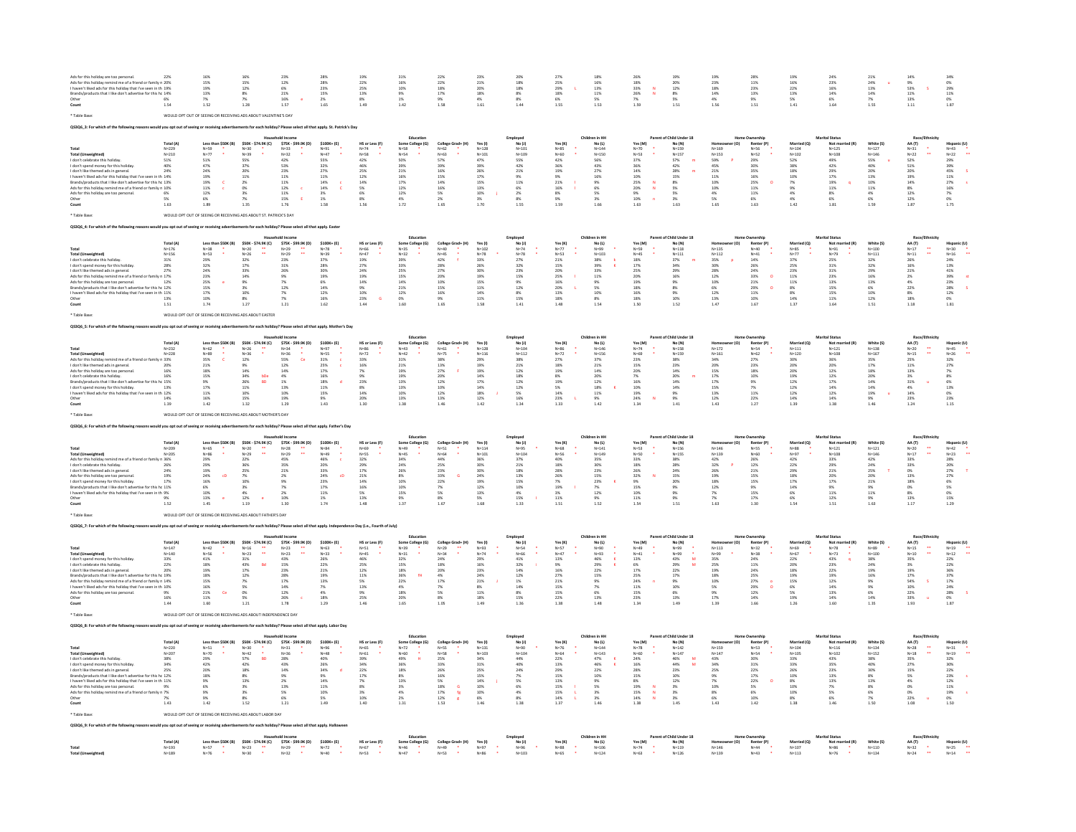| Ads for this holiday remind me of a friend or family n 20%<br>I haven't liked ads for this holiday that I've seen in th 19%<br>Brands/products that I like don't advertise for this hc 14%<br>Other<br>Count                                                                                                                                                                                                                                                                       | 6%<br>1.54                                                                                                                         | 16%<br>15%<br>$19%$<br>$13%$<br>1.52                                                                                                                                               | 169<br>15%<br>12%<br>$\frac{8\%}{7\%}$<br>1.28                                                                                                                      | 23%<br>12%<br>6%<br>21%<br>16%<br>1.57                                                                                                                                | 28%<br>28%<br>23%<br>23%<br>15%<br>2%<br>1.65                                                                                                                                        | 19%<br>22%<br>$\frac{25\%}{13\%}$<br>$\frac{8\%}{1.49}$                                                                                          | 31%<br>$\begin{array}{r} 16\% \\ 10\% \\ 9\% \\ 1\% \\ 1.42 \end{array}$                                                                           | 22%<br>22%<br>$\frac{18\%}{17\%}$<br>$\frac{9\%}{1.58}$                                                                                                                                    | 23)<br>21%<br>20%<br>20%<br>18%<br>4%<br>1.61                                                                                                                                                             | 20%<br>18%<br>$\begin{array}{r} 18\% \\ 18\% \\ 8\% \\ 8\% \end{array}$<br>1.44                                                                                                                             | 27%<br>25%<br>29%<br>18%<br>6%<br>1.55                                                            | 18%<br>16%<br>$\frac{13\%}{11\%}$<br>$\frac{5\%}{1.53}$                                                                                                 | 18%<br>33%<br>33%<br>26%<br>7%<br>7%                                                                                                               | 19%<br>20%<br>$12\%$<br>$8\%$<br>$5\%$<br>1.51                                                                                                                 | $\begin{array}{l} 23\% \\ 18\% \\ 14\% \\ 4\% \end{array}$<br>1.56                                                          | 11%<br>23%<br>23%<br>13%<br>9%<br>1.51                                                                                                                                                                                                         | 16%<br>22%<br>22%<br>13%<br>5%<br>1.41                                                                                                         | 23%<br>16%<br>16%<br>14%<br>6%<br>1.64                                                                                                                                     | 21%<br>$\begin{array}{r} 24\% \\ 13\% \\ 14\% \\ 7\% \\ 1.55 \end{array}$                                                              | 14%<br>$\begin{array}{r} 9\% \\ 53\% \\ 11\% \\ 13\% \\ 1.11 \end{array}$                                                                                                     | $\begin{array}{r} 34\% \\ 0\% \\ 29\% \\ 11\% \\ 0\% \\ 1.87 \end{array}$                                                              |
|------------------------------------------------------------------------------------------------------------------------------------------------------------------------------------------------------------------------------------------------------------------------------------------------------------------------------------------------------------------------------------------------------------------------------------------------------------------------------------|------------------------------------------------------------------------------------------------------------------------------------|------------------------------------------------------------------------------------------------------------------------------------------------------------------------------------|---------------------------------------------------------------------------------------------------------------------------------------------------------------------|-----------------------------------------------------------------------------------------------------------------------------------------------------------------------|--------------------------------------------------------------------------------------------------------------------------------------------------------------------------------------|--------------------------------------------------------------------------------------------------------------------------------------------------|----------------------------------------------------------------------------------------------------------------------------------------------------|--------------------------------------------------------------------------------------------------------------------------------------------------------------------------------------------|-----------------------------------------------------------------------------------------------------------------------------------------------------------------------------------------------------------|-------------------------------------------------------------------------------------------------------------------------------------------------------------------------------------------------------------|---------------------------------------------------------------------------------------------------|---------------------------------------------------------------------------------------------------------------------------------------------------------|----------------------------------------------------------------------------------------------------------------------------------------------------|----------------------------------------------------------------------------------------------------------------------------------------------------------------|-----------------------------------------------------------------------------------------------------------------------------|------------------------------------------------------------------------------------------------------------------------------------------------------------------------------------------------------------------------------------------------|------------------------------------------------------------------------------------------------------------------------------------------------|----------------------------------------------------------------------------------------------------------------------------------------------------------------------------|----------------------------------------------------------------------------------------------------------------------------------------|-------------------------------------------------------------------------------------------------------------------------------------------------------------------------------|----------------------------------------------------------------------------------------------------------------------------------------|
|                                                                                                                                                                                                                                                                                                                                                                                                                                                                                    |                                                                                                                                    |                                                                                                                                                                                    | WOULD OPT OUT OF SEEING OR RECEIVING ADS ABOUT VALENTINE'S DAY                                                                                                      |                                                                                                                                                                       |                                                                                                                                                                                      |                                                                                                                                                  |                                                                                                                                                    |                                                                                                                                                                                            |                                                                                                                                                                                                           |                                                                                                                                                                                                             |                                                                                                   |                                                                                                                                                         |                                                                                                                                                    |                                                                                                                                                                |                                                                                                                             |                                                                                                                                                                                                                                                |                                                                                                                                                |                                                                                                                                                                            |                                                                                                                                        |                                                                                                                                                                               |                                                                                                                                        |
|                                                                                                                                                                                                                                                                                                                                                                                                                                                                                    |                                                                                                                                    |                                                                                                                                                                                    |                                                                                                                                                                     |                                                                                                                                                                       |                                                                                                                                                                                      |                                                                                                                                                  |                                                                                                                                                    |                                                                                                                                                                                            |                                                                                                                                                                                                           |                                                                                                                                                                                                             |                                                                                                   |                                                                                                                                                         |                                                                                                                                                    |                                                                                                                                                                |                                                                                                                             |                                                                                                                                                                                                                                                |                                                                                                                                                |                                                                                                                                                                            |                                                                                                                                        |                                                                                                                                                                               |                                                                                                                                        |
| Total<br><b>Total (Unweighted)</b><br>I don't celebrate this holiday<br>I don't spend money for this holiday<br>don't like themed ads in general.<br>I haven't liked ads for this holiday that I've seen in th 14%<br>Brands/products that I like don't advertise for this hc 13%<br>Ads for this holiday remind me of a friend or family n 10%<br>Ads for this holiday are too pers<br>Other<br>Count                                                                             | Total (A<br>$N = 229$<br>N=229<br>N=210<br>51%<br>40%<br>24%<br>6%<br>5%<br>1.63                                                   | Less than \$50K (B)<br>N=59<br>N=77<br>51%<br>47%<br>24%<br>19%<br>19%<br>11%<br>$12\%$<br>$\frac{6\%}{1.89}$                                                                      | \$50K - \$74.9K (C)<br>N=30<br>N=39<br>S5%<br>37%<br>20%<br>11%<br>2%<br>0%<br>3%<br>7%<br>1.35<br>WOULD OPT OUT OF SEEING OR RECEIVING ADS ABOUT ST. PATRICK'S DAY | \$75K - \$99.9K (D)<br>N=33<br>N=32<br>42%<br>53%<br><b>23%</b><br>11%<br>11%<br>12%<br>12%<br>15%<br>15%<br><b>c</b><br>$\mathbf{E}$                                 | \$100K+ (E)<br>$N=91$<br>$N=47$<br>55%<br>32%<br>$27%$<br>11%<br>14%<br>14%<br>3%<br>1%<br>1%<br>1.58                                                                                | HS or Less (F)<br>N=74<br>N=58<br>42%<br>46%<br>$25%$<br>$12%$<br>$\begin{array}{r} 12.4 \\ 14\% \\ 5\% \\ 6\% \\ 8\% \end{array}$<br>1.56       | Some College (G)<br>$N=58$<br>$N=54$<br>$50%$<br>39%<br>21%<br>16%<br>17%<br>17%<br>12%<br>4%<br>4%<br>1.72                                        | $\begin{array}{ll} \textbf{Collect Grad+ (H)} \\ \mathsf{N=62} & \bullet \\ \mathsf{N=63} & \bullet \\ \textbf{57\%} & \end{array}$<br>39%<br>16%<br>15%<br>14%<br>16%<br>5%<br>2%<br>1.65 | Yes (I)<br>$N = 128$<br>$N=101$<br>47%<br>39%<br>26%<br>17%<br>15%<br>13%<br>10%<br>3%<br>1.70                                                                                                            | Employed<br>No (J)<br>$N = 101$<br>$N = 105$<br>55%<br>42%<br>21%<br>9%<br>11%<br>$\begin{array}{r} 6\% \\ 2\% \\ 8\% \end{array}$<br>1.55                                                                  | Yes (K)<br>N=85<br>N=60<br>42%<br>36%<br>36%<br>19%<br>21%<br>16%<br>8%<br>9%<br>1.59             | Children in HI<br>No (L)<br>$N = 144$<br>N=150<br>56%<br>43%<br>27%<br>$\begin{array}{r} 16\% \\ 9\% \\ 6\% \\ 5\% \\ 3\% \\ 1.66 \end{array}$          | Yes (M)<br>N=70<br>N=53<br>37%<br>36%<br>36%<br>14%<br>25%<br>20%<br>25%<br>20%<br>9%<br>10%<br>$\boldsymbol{\mathsf{N}}$<br>$\overline{a}$        | nt of Child Under 18<br>No (N)<br>$N = 159$<br>$N=157$<br>57%<br>$^{42\%}_{28\%}$<br>$\mathbf{r}$<br>15%<br>8%<br>5%<br>5%<br>3%<br>1.63                       | $N = 169$<br>N=169<br>N=153<br>59%<br>45%<br>45%<br>11%<br>10%<br>10%<br>4%<br>5%<br>1.65                                   | Renter (P)<br>N=56<br>N=52<br>29%<br>30%<br>35%<br>35%<br>16%<br>25%<br>11%<br>11%<br>$\frac{6\%}{1.63}$                                                                                                                                       | Married (Q<br>$\begin{array}{l} N{=}104\\ N{=}102\\ 52\%\\ 38\%\\ 18\%\\ 10\%\\ 7\%\\ 4\%\\ 4\%\\ 4\%\\ 4\%\\ 1.42 \end{array}$                | Marital Statu<br>Not ma<br>$N = 125$<br>$N = 108$<br>49%<br>42%<br>29%<br>17%<br>$\begin{array}{r} 177 \\ 19\% \\ 11\% \\ 8\% \\ 6\% \\ 1.81 \end{array}$                  | White (S)<br>$N = 127$<br>$N = 146$<br>55%<br>40%<br>$\begin{array}{r} 20\% \\ 13\% \\ 10\% \\ 11\% \\ 4\% \\ 6\% \\ 1.59 \end{array}$ | AA (T)<br>$N = 31$<br>$N=22$<br>$52%$<br>$51%$<br>$20%$<br>19%<br>14%<br>14%<br>12%<br>12%<br>1.87                                                                            | Hispanic (U)<br>N=43<br>N=22<br>29%<br>39%<br>39%<br>45%<br>45%<br>27%<br>16%<br>7%<br>0%<br>1.75                                      |
|                                                                                                                                                                                                                                                                                                                                                                                                                                                                                    |                                                                                                                                    |                                                                                                                                                                                    |                                                                                                                                                                     |                                                                                                                                                                       |                                                                                                                                                                                      |                                                                                                                                                  |                                                                                                                                                    |                                                                                                                                                                                            |                                                                                                                                                                                                           |                                                                                                                                                                                                             |                                                                                                   |                                                                                                                                                         |                                                                                                                                                    |                                                                                                                                                                |                                                                                                                             |                                                                                                                                                                                                                                                |                                                                                                                                                |                                                                                                                                                                            |                                                                                                                                        |                                                                                                                                                                               |                                                                                                                                        |
| <b>Total (Unweighted)</b><br>I don't celebrate this holiday<br>don't spend money for this holiday<br>don't like themed ads in general.<br>Ads for this holiday remind me of a friend or fa<br>Ads for this holiday are too personal.<br>Brands/products that I like don't advertise for this hc 12%<br>I haven't liked ads for this holiday that I've seen in th 11%<br>Other                                                                                                      | <b>Total (A</b><br>$N = 176$<br>$N = 156$<br>31%<br>28%<br>27%<br>$\begin{array}{c} 1.7\% \\ 1.2\% \end{array}$<br>13%<br>$1.51\,$ | Less than \$50K (B)<br>N=38<br>N=53<br>29%<br>32%<br>24%<br>23%<br>25%<br>15%<br>17%<br>10%<br>1.74                                                                                | \$50K - \$74.9K (C)<br>N=20<br>N=26<br>32%<br>17%<br>33%<br>$\ddot{\phantom{a}}$<br>14%<br>9%<br>3%<br>10%<br>8%<br>1.27                                            | $$75K - $99.9K (D)$<br>$N=29$<br>$N=29$<br>$23\%$<br>$31\%$<br>26%<br>7%<br>12%<br>7%<br>7%<br>1.21                                                                   | \$100K+ (E)<br>N=78<br>N=78<br>N=39<br>37%<br>28%<br>30%<br>19%<br>6%<br>14%<br>12%<br>16%<br>1.62                                                                                   | HS or Less (F)<br>$N = 66$<br>$N = 47$<br>19%<br>27%<br>24%<br>19%<br>14%<br>9%<br>10%<br>23%<br><b>G</b><br>1.44                                | Some College (G)<br>$N = 35$<br>$N = 32$<br>39%<br>33%<br>25%<br>15%<br>14%<br>21%<br>21%<br>12%<br>0%<br>1.60                                     | College Grad+ (H<br>$N = 40$<br>$N = 45$<br>42%<br>$\frac{28\%}{27\%}$<br>20%<br>10%<br>15%<br>16%<br>9%<br>1.65                                                                           | Yes(1)<br>$N=102$<br>$N=78$<br>33%<br>26%<br>30%<br>19%<br>15%<br>11%<br>14%<br>11%<br>1.58                                                                                                               | Employed<br>No (J)<br>N=74<br>N=78<br>220<br>27%<br>32%<br>23%<br>15%<br>9%<br>12%<br>8%<br>15%<br>1.41                                                                                                     | Yes $(K)$<br>$N = 77$<br>$N = 53$<br>21%<br>15%<br>20%<br>25%<br>16%<br>20%<br>13%<br>18%<br>1.48 | No (L)<br>N=99<br>N=103<br>38%<br>39%<br>33%<br>$11\%$<br>9%<br>5%<br>10%<br>8%<br>1.54                                                                 | Yes (M)<br>N=59<br>N=45<br>N=45<br>18%<br>17%<br>25%<br>20%<br>19%<br>18%<br>16%<br>18%<br>1.50                                                    | No (N)<br>$N=118$<br>$N=111$<br>37%<br>34%<br>29%<br>16%<br>$\begin{array}{l} 9\% \\ 8\% \\ 9\% \\ 10\% \end{array}$<br>1.52                                   | $N=135$<br>$N=112$<br>35%<br>30%<br>28%<br>12%<br>10%<br>$\begin{array}{l} 6\% \\ 12\% \\ 13\% \end{array}$<br>1.47         | Renter (P)<br>$N = 40$<br>$N = 41$<br>14%<br>26%<br>24%<br>33%<br>33%<br>21%<br>29%<br>11%<br>10%<br>ø<br>$\circ$<br>1.67                                                                                                                      | Married (O)<br>N=85<br>N=77<br>37%<br>25%<br>23%<br>11%<br>11%<br>$\begin{array}{l} 8\% \\ 8\% \\ 14\% \end{array}$<br>1.37                    | Not married (R)<br>$N = 91$<br>$N = 79$<br>25%<br>$31\%$<br>31%<br>23%<br>13%<br>$\begin{array}{c} 15\% \\ 15\% \\ 11\% \end{array}$<br>1.64                               | White (S)<br>N=100<br>N=111<br>32%<br>32%<br>$\begin{array}{r} 29\% \\ 16\% \\ 13\% \end{array}$<br>6%<br>10%<br>12%<br>1.51           | AA (T)<br>$N=17$<br>$N=11$<br>$\begin{array}{l} 26\% \\ 16\% \\ 21\% \end{array}$<br>$\begin{array}{r} 2\% \\ 4\% \\ 22\% \\ 8\% \\ 18\% \\ 1.18 \\ \end{array}$              | Hispanic (U)<br>N=30<br>N=16<br>24%<br>24%<br>41%<br>42%<br>28%<br>28%<br>28%<br>28%<br>12%<br>01%<br>1.81                             |
|                                                                                                                                                                                                                                                                                                                                                                                                                                                                                    |                                                                                                                                    | WOULD OPT OUT OF SEEING OR RECEIVING ADS AROUT FASTER                                                                                                                              |                                                                                                                                                                     |                                                                                                                                                                       |                                                                                                                                                                                      |                                                                                                                                                  |                                                                                                                                                    |                                                                                                                                                                                            |                                                                                                                                                                                                           |                                                                                                                                                                                                             |                                                                                                   |                                                                                                                                                         |                                                                                                                                                    |                                                                                                                                                                |                                                                                                                             |                                                                                                                                                                                                                                                |                                                                                                                                                |                                                                                                                                                                            |                                                                                                                                        |                                                                                                                                                                               |                                                                                                                                        |
|                                                                                                                                                                                                                                                                                                                                                                                                                                                                                    |                                                                                                                                    |                                                                                                                                                                                    |                                                                                                                                                                     |                                                                                                                                                                       |                                                                                                                                                                                      |                                                                                                                                                  |                                                                                                                                                    |                                                                                                                                                                                            |                                                                                                                                                                                                           |                                                                                                                                                                                                             |                                                                                                   |                                                                                                                                                         |                                                                                                                                                    |                                                                                                                                                                |                                                                                                                             |                                                                                                                                                                                                                                                |                                                                                                                                                |                                                                                                                                                                            |                                                                                                                                        |                                                                                                                                                                               |                                                                                                                                        |
| <b>Total (Unweighted)</b><br>Ads for this holiday re<br>I don't like themed ads in general.<br>Ads for this holiday are too person<br>I don't celebrate this holiday.<br>Brands/products that I like don't ad<br>Brands/products that I like don't advertise for this he 15%<br>I don't spend money for this holiday. (13%)<br>I haven't liked ads for this holiday that I've seen in th 12%                                                                                       | <b>Total (A)</b><br>$N = 232$<br>$N = 228$<br>n 33%<br>20%<br>16%<br>16%<br>$\frac{14\%}{1.39}$                                    | Less than \$50K (B)<br>$N=62$<br>$N=89$<br>$\frac{35\%}{21\%}$<br>$\begin{array}{l} 18\% \\ 15\% \end{array}$<br>$\begin{array}{l} 9\% \\ 17\% \\ 11\% \end{array}$<br>$16\%$ 1.42 | \$50K - \$74.9K (C)<br>N=26<br>N=36<br>12%<br>9%<br>14%<br>34%<br>26%<br>11%<br>10%<br>15%<br>1.32<br>$rac{\text{bDe}}{\text{BD}}$                                  | $$75K - $99.9K (D)$<br>$N=34$<br>$N=36$<br>$\frac{55\%}{12\%}$<br>$\alpha$<br>$\begin{array}{r} 14\% \\ 4\% \\ 1\% \\ 13\% \\ 10\% \end{array}$<br>19%<br>1.29        | \$100K+ (E)<br>$N = 97$<br>$N = 55$<br>$\begin{array}{r} 31\% \\ 25\% \\ 17\% \\ 16\% \\ 18\% \\ 11\% \\ 15\% \end{array}$<br>$\epsilon$<br>$\epsilon$<br>$\mathbf{d}$<br>9%<br>1.43 | HS or Less (F)<br>$N = 86$<br>$N = 72$<br>$33\%$<br>16%<br>7%<br>9%<br>$\begin{array}{l} 23\% \\ 8\% \\ 14\% \end{array}$<br>$\frac{20\%}{1.30}$ | Educatio<br>Some College (G)<br>$N=43$<br>$N=42$<br>$31\%$<br>$21\%$<br>19%<br>19%<br>13%<br>13%<br>10%<br>13%<br>13%                              | College Grad+ (H)<br>N=61<br>N=75<br>$38%$<br>$13%$<br>27%<br>20%<br>$\begin{array}{r} 12\% \\ 10\% \\ 12\% \end{array}$<br>13%<br>1.46                                                    | Yes (I)<br>$N=128$<br>$N = 116$<br>29%<br>19%<br>$\begin{array}{r} 19\% \\ 14\% \\ 17\% \\ 14\% \\ 18\% \\ 18\% \\ 12\% \\ 1.42 \end{array}$                                                              | Employed<br>No (J)<br>N=104<br>$N = 112$<br>$\begin{array}{l} 38\% \\ 21\% \end{array}$<br>$\begin{array}{l} 12\% \\ 18\% \end{array}$<br>$\begin{array}{r} 12\% \\ 12\% \\ 5\% \end{array}$<br>16%<br>1.34 | Yes (K)<br>N=86<br>N=72<br>27%<br>18%<br>19%<br>8%<br>19%<br>5%<br>14%<br>23%<br>1.33             | Children in HF<br>No (L)<br>N=146<br>$N = 156$<br>37%<br>21%<br>14%<br>20%<br>$\begin{array}{r} 12\% \\ 18\% \\ 11\% \end{array}$<br>$\frac{9\%}{1.42}$ | Yes (M)<br>$N=74$<br>$N = 69$<br>23%<br>15%<br>$\begin{array}{r} 20\% \\ 7\% \\ 16\% \\ 10\% \\ 19\% \\ 24\% \\ 1.34 \end{array}$                  | Parent of Child Under 18<br>$No(N)$<br>$N=158$<br>$N = 159$<br>38%<br>23%<br>$\begin{array}{r} 14\% \\ 20\% \\ 14\% \\ 14\% \\ 9\% \\ 9\% \\ 1.41 \end{array}$ | $N = 172$<br>$N = 161$<br>34%<br>20%<br>$\begin{array}{r} 15\% \\ 17\% \\ 17\% \\ 15\% \\ 13\% \\ 12\% \\ 1.43 \end{array}$ | <b>Jome Ownershi</b><br>Nenter (P)<br>Renter (P)<br>N=54<br>$N = 62$<br>$\frac{27\%}{23\%}$<br>$\begin{array}{l} 18\% \\ 10\% \end{array}$<br>$\begin{array}{l} 9\% \\ 7\% \\ 11\% \end{array}$<br>$\begin{array}{c} 22\% \\ 1.27 \end{array}$ | Married (O)<br>$N = 111$<br>$N = 120$<br>$\begin{array}{l} 30\% \\ 20\% \\ 20\% \\ 19\% \\ 12\% \\ 12\% \\ 12\% \\ 14\% \\ 1.39 \end{array}$   | <b>Marital Status</b><br>Mot mai<br>N=121<br>$N = 108$<br>20%<br>$\begin{array}{c} 12\% \\ 12\% \end{array}$<br>17%<br>17%<br>14%<br>12%<br>14%                            | White (S)<br>$N = 138$<br>$N = 167$<br>$\begin{array}{l} 35\% \\ 17\% \end{array}$<br>18%<br>20%<br>14%<br>14%<br>19%<br>9%<br>1.46    | Race/E<br>AA (T)<br>N=20<br>N=15<br>$\frac{25\%}{11\%}$<br>$\begin{array}{r} 13\% \\ 3\% \\ 31\% \\ 4\% \\ 14\% \\ 23\% \\ 1.24 \end{array}$                                  | Hispanic (U<br>N=45<br>N=26<br>$\begin{array}{r} 32\% \\ 27\% \\ 7\% \\ 8\% \\ 6\% \\ 13\% \\ 0\% \\ 23\% \\ 1.15 \end{array}$         |
|                                                                                                                                                                                                                                                                                                                                                                                                                                                                                    |                                                                                                                                    |                                                                                                                                                                                    | WOULD OPT OUT OF SEEING OR RECEIVING ADS ABOUT MOTHER'S DAY                                                                                                         |                                                                                                                                                                       |                                                                                                                                                                                      |                                                                                                                                                  |                                                                                                                                                    |                                                                                                                                                                                            |                                                                                                                                                                                                           |                                                                                                                                                                                                             |                                                                                                   |                                                                                                                                                         |                                                                                                                                                    |                                                                                                                                                                |                                                                                                                             |                                                                                                                                                                                                                                                |                                                                                                                                                |                                                                                                                                                                            |                                                                                                                                        |                                                                                                                                                                               |                                                                                                                                        |
|                                                                                                                                                                                                                                                                                                                                                                                                                                                                                    |                                                                                                                                    |                                                                                                                                                                                    |                                                                                                                                                                     |                                                                                                                                                                       |                                                                                                                                                                                      |                                                                                                                                                  |                                                                                                                                                    |                                                                                                                                                                                            |                                                                                                                                                                                                           |                                                                                                                                                                                                             |                                                                                                   |                                                                                                                                                         |                                                                                                                                                    |                                                                                                                                                                |                                                                                                                             |                                                                                                                                                                                                                                                |                                                                                                                                                |                                                                                                                                                                            |                                                                                                                                        |                                                                                                                                                                               |                                                                                                                                        |
| Total (Un<br>Ads for this holiday remind me of a friend or family n 36%<br>Aus not into interest ethis holiday.<br>1 don't celebrate this holiday.<br>1 don't like thermed ads in general.<br>24% Ads for this holiday are too personal.<br>24% Ads for this holiday are too personal.<br>199% Brands/products that<br>haven't liked ads for this holiday that I've seen in th 9%                                                                                                  | Total (A)<br>$N = 209$<br>$N = 205$<br>1.52                                                                                        | Less than \$50K (B)<br>N=65<br>N=86<br>29%<br>29%<br>29%<br>24%<br>16%<br>6%<br>CD<br>10%<br>13%<br><b>e</b><br>1.45                                                               | \$50K - \$74.9K (C)<br>$N=20$<br>$N=29$<br>$22%$<br>$36%$<br>$25%$<br>÷<br>$\begin{array}{r} 7\% \\ 10\% \\ 3\% \\ 4\% \\ 12\% \end{array}$<br>1.19                 | \$75K - \$99.9K (D)<br>N=28<br>N=29<br>45%<br>35%<br>21%<br>2%<br>9%<br>$7\%$<br>2%<br>10%<br>1.30                                                                    | \$100K+ (E)<br>N=84<br>N=49<br>46%<br>$\epsilon$<br>20%<br>33%<br>24%<br>23%<br>17%<br>cD<br>$\begin{array}{r} 11\% \\ 1\% \\ 1.74 \end{array}$                                      | HS or Less (F)<br>N=69<br>N=55<br>32%<br>29%<br>17%<br>$\substack{21\% \\ 14\%}$<br>16%<br>5%<br>13%<br>1.48                                     | Educatio<br>N=45<br>34%<br>$\frac{24\%}{26\%}$<br>8%<br>10%<br>10%<br>15%<br>9%<br>1.37                                                            | College Grad+ (H<br>N=51<br>N=64<br>44%<br>25%<br>23%<br>33%<br>22%<br>G<br>7%<br>5%<br>8%<br>1.67                                                                                         | Yes (I)<br>$N = 114$<br>$N = 101$<br>36%<br>30%<br>30%<br>24%<br>19%<br>19%<br>13%<br>5%<br>1.68                                                                                                          | Employed<br>No (J)<br>$N = 95$<br>N=104<br>37%<br>$\begin{array}{c} 21\% \\ 18\% \end{array}$<br>13%<br>15%<br>10%<br>4%<br>15%<br>1.33                                                                     | Yes (K)<br>$N = 68$<br>N=56<br>40%<br>18%<br>28%<br>26%<br>7%<br>19%<br>3%<br>3%<br>1.51          | Children in HF<br>No (L)<br>$N = 141$<br>$N = 1.45$<br>35%<br>30%<br>23%<br>15%<br>23%<br>7%<br>12%<br>9%<br>1.52                                       | Yes (M)<br>$N = 53$<br>N=50<br>33%<br>18%<br>26%<br>32%<br>9%<br>9%<br>10%<br>11%<br>1.54                                                          | Parent of Child Under 18<br>$\mathsf{No}\left(\mathsf{N}\right)$<br>$N = 156$<br>$N=155$<br>38%<br>28%<br>24%<br>15%<br>20%<br>9%<br>9%<br>9%<br>1.51          | $N = 146$<br>N-140<br>N=139<br>42%<br>32%<br>26%<br>18%<br>18%<br>12%<br>7%<br>7%<br>1.63                                   | Home Ownershi<br>Renter (P)<br>$N = 55$<br>$N=50$<br>$N=60$<br>$26%$<br>$12%$<br>$21%$<br>$\begin{array}{l} 15\% \\ 15\% \end{array}$<br>9%<br>15%<br>17%<br>1.30                                                                              | Married (Q<br>N=88<br>N=97<br>42%<br>22%<br>29%<br>18%<br>17%<br>17%<br>6%<br>6%<br>1.54                                                       | <b>Marital Status</b><br>Not may<br>$N = 121$<br>$N = 108$<br>33%<br>29%<br>21%<br>$\substack{20\% \\ 17\%}$<br>$\begin{array}{c} 9\% \\ 11\% \\ 12\% \end{array}$<br>1.51 | White (S)<br>$N = 121$<br>N=146<br>42%<br>24%<br>25%<br>$\begin{array}{r} 20\% \\ 21\% \\ 9\% \\ 11\% \\ \end{array}$<br>9%<br>1.63    | Race/Et<br>AA (T)<br>$N=20$<br>$\begin{array}{c} N=17 \\ 33\% \end{array}$<br>$\frac{33\%}{0\%}$<br>$\begin{array}{r} 13\% \\ 13\% \\ 0\% \\ 8\% \\ 13\% \end{array}$<br>1.17 | Hispanic (U)<br>N=42<br>N=23<br>28%<br>20%<br>27%<br>27%<br>S%<br>6%<br>5%<br>5%<br>15%<br>15%                                         |
|                                                                                                                                                                                                                                                                                                                                                                                                                                                                                    |                                                                                                                                    |                                                                                                                                                                                    | T OUT OF SEEING OR RECEIVING ADS ABOUT FATHER'S DAY                                                                                                                 |                                                                                                                                                                       |                                                                                                                                                                                      |                                                                                                                                                  |                                                                                                                                                    |                                                                                                                                                                                            |                                                                                                                                                                                                           |                                                                                                                                                                                                             |                                                                                                   |                                                                                                                                                         |                                                                                                                                                    |                                                                                                                                                                |                                                                                                                             |                                                                                                                                                                                                                                                |                                                                                                                                                |                                                                                                                                                                            |                                                                                                                                        |                                                                                                                                                                               |                                                                                                                                        |
|                                                                                                                                                                                                                                                                                                                                                                                                                                                                                    |                                                                                                                                    |                                                                                                                                                                                    |                                                                                                                                                                     |                                                                                                                                                                       |                                                                                                                                                                                      |                                                                                                                                                  |                                                                                                                                                    |                                                                                                                                                                                            |                                                                                                                                                                                                           |                                                                                                                                                                                                             |                                                                                                   |                                                                                                                                                         |                                                                                                                                                    |                                                                                                                                                                |                                                                                                                             |                                                                                                                                                                                                                                                |                                                                                                                                                |                                                                                                                                                                            |                                                                                                                                        |                                                                                                                                                                               |                                                                                                                                        |
| Total<br>Total (Unweighted)<br>I don't spend money for this holiday.<br>I don't celebrate this holiday.<br>I don't like themed ads in general<br>Brands/products that I like don't advertise for this hc 19%<br>Ads for this holiday remind me of a friend or family n 14%<br>haven't liked ads for this holiday that I've seen in th 10%<br>Ads for this holiday are too personal.<br>Other                                                                                       | Total (A<br>$N=147$<br>$N=140$<br>33%<br>22%<br>20%<br>$\frac{9\%}{16\%}$<br>1.44                                                  | Less than \$50K (B)<br>N=42<br>N=56<br>$\frac{41\%}{18\%}$<br>19%<br>18%<br>15%<br>16%<br>21%<br><b>Ce</b><br>11%<br>1.60                                                          | \$50K - \$74.9K (C)<br>$N = 16$<br>$N = 23$<br>$\mathbb{Z}$<br>$31\%$ 43%<br>$\begin{array}{r} 17\% \\ 12\% \\ 7\% \\ 5\% \\ 0\% \end{array}$<br>5%<br>1.21         | \$75K - \$99.9K (D)<br>$N = 23$<br>$N = 23$<br>$\begin{array}{l} 43\% \\ 15\% \end{array}$<br>23%<br>28%<br>17%<br>$\begin{array}{l} 14\% \\ 12\% \end{array}$<br>26% | $$100K+ (E)$<br>N=63<br>N=33<br>26%<br>22%<br>21%<br>19%<br>13%<br>$\frac{7\%}{4\%}$<br>18%                                                                                          | HS or Less (F)<br>N=51<br>N=45<br>46%<br>25%<br>$\begin{array}{l} 12\% \\ 11\% \\ 5\% \end{array}$<br>13%<br>9%<br>25%                           | Some College (G)<br>N=39<br>N=31<br>¥<br>32%<br>15%<br>18%<br>36%<br>22%<br>fH<br>$\begin{array}{l} 4\% \\ 18\% \end{array}$<br>20%<br>1.65        | College Grad+ (H)<br>$N = 29$<br>$N = 34$<br>24%<br>$18\%$<br>$\begin{array}{c} 20\% \\ 4\% \\ 17\% \end{array}$<br>7%<br>5%<br>8%<br>1.05                                                 | Yes (I)<br>N=93<br>N=74<br>29%<br>16%<br>23%<br>24%<br>24%<br>$\frac{8\%}{11\%}$<br>18%<br>1.49                                                                                                           | Employed<br>No (J)<br>N=54<br>N=66<br>41%<br>32%<br>14%<br>$\frac{12\%}{1\%}$<br>14%<br>8%<br>15%<br>1.36                                                                                                   | Yes(K)<br>N=57<br>N=47<br>13%<br>9%<br>16%<br>27%<br>21%<br>15%<br>15%<br>22%<br>1.38             | No (L)<br>N=90<br>N=93<br>46%<br>29%<br>22%<br>15%<br>9%<br>7%<br>6%<br>13%<br>1.48                                                                     | Yes (M)<br>$\begin{array}{r} \mathsf{N}{=}49 \\ \mathsf{N}{=}41 \\ 13\% \\ 6\% \\ 17\% \\ 25\% \\ 24\% \\ 11\% \\ 15\% \end{array}$<br>23%<br>1.34 | No (N)<br>N=99<br>N=99<br>×<br>43%<br>29%<br>22%<br>17%<br>9%<br><b>Ad</b><br>10%<br>6%<br>13%<br>1.45                                                         | (0)<br>Hoheon<br>N=113<br>N=99<br>35%<br>25%<br>25%<br>19%<br>18%<br>10%<br>5%<br>9%<br>17%<br>1.39                         | Renter (P)<br>N=32<br>N=38<br>$\begin{array}{l} 24\% \\ 11\% \end{array}$<br>24%<br>25%<br>27%<br>29%<br>29%<br>$\ddot{\circ}$<br>14%                                                                                                          | Married (Q)<br>N=69<br>N=67<br>22%<br>20%<br>20%<br>18%<br>15%<br>5%<br>5%<br>19%<br>1.26                                                      | Not mar<br>$N = 78$<br>$N = 73$<br>$\frac{43\%}{23\%}$<br>$\begin{array}{r} 22\% \\ 19\% \\ 12\% \end{array}$<br>$\begin{array}{l} 14\% \\ 13\% \end{array}$<br>14%        | White (S)<br>N=89<br>N=100<br>38%<br>24%<br>19%<br>16%<br>9%<br>9%<br>6%<br>14%<br>1.35                                                | AA (T)<br>$N=15$<br>$N=10$<br>$\mathbb{Z}$<br>$\frac{35\%}{3\%}$<br>19%<br>17%<br>54%<br>54%<br>10%<br>22%<br>$\mathbf{u}$<br>1.93                                            | Hispanic (U)<br>$N=19$<br>$N=12$<br>$\begin{array}{r} 22\% \\ 22\% \\ 36\% \\ 37\% \\ 17\% \\ 24\% \\ 28\% \\ 0\% \\ 1.87 \end{array}$ |
|                                                                                                                                                                                                                                                                                                                                                                                                                                                                                    |                                                                                                                                    |                                                                                                                                                                                    | WOULD OPT OUT OF SEEING OR RECEIVING ADS ABOUT INDEPENDENCE DAY                                                                                                     |                                                                                                                                                                       |                                                                                                                                                                                      |                                                                                                                                                  |                                                                                                                                                    |                                                                                                                                                                                            |                                                                                                                                                                                                           |                                                                                                                                                                                                             |                                                                                                   |                                                                                                                                                         |                                                                                                                                                    |                                                                                                                                                                |                                                                                                                             |                                                                                                                                                                                                                                                |                                                                                                                                                |                                                                                                                                                                            |                                                                                                                                        |                                                                                                                                                                               |                                                                                                                                        |
|                                                                                                                                                                                                                                                                                                                                                                                                                                                                                    |                                                                                                                                    |                                                                                                                                                                                    |                                                                                                                                                                     |                                                                                                                                                                       | all that annly. Labor Day                                                                                                                                                            |                                                                                                                                                  |                                                                                                                                                    |                                                                                                                                                                                            |                                                                                                                                                                                                           |                                                                                                                                                                                                             |                                                                                                   |                                                                                                                                                         |                                                                                                                                                    |                                                                                                                                                                |                                                                                                                             |                                                                                                                                                                                                                                                |                                                                                                                                                |                                                                                                                                                                            |                                                                                                                                        |                                                                                                                                                                               |                                                                                                                                        |
| <b>Total (Unweighted</b><br>$\begin{array}{r} \mathsf{N} = \angle \mathsf{U} \\ 38\% \\ 34\% \\ 25\% \\ \end{array}$ rtise for this he<br>12%<br>1<br>don't celebrate this ho<br>I don't spend money for this holiday<br>don't like themed ads in general.<br>Brands/products that I like don't adver<br>haven't liked ads for this holiday that I've seen in th 11%<br>ds for this holiday are too personal<br>Ads for this holiday remind me of a friend or family n 7%<br>Other | <b>Total (A)</b><br>$N = 220$<br>$N = 207$<br>7%<br>1.43                                                                           | Less than \$50K (B)<br>N=51<br>N=70<br>29%<br>29%<br>42%<br>20%<br>18%<br>9%<br>6%<br>$9\%$<br>9%<br>1.42                                                                          | $$50K - $74.9K (C)\nN=30\nN=42$<br>57%<br>57%<br>42%<br>18%<br>8%<br>BD<br>13%<br>$3\%$<br>$3\%$<br>$3\%$<br>1.52<br>OF SEEING OR RECEIVING ADS ABOUT LABOR DA      | $$75K \cdot $99.9K (D)$<br>$N=31$<br>$N=36$<br>28%<br>43%<br>14%<br>9%<br>2%<br>13%<br>5%<br>6%<br>1.21                                                               | \$100K+ (E)<br>$N=96$<br>$N=48$<br>40%<br>26%<br>34%<br>9%<br>14%<br>11%<br>11%<br>10%<br>5%<br>1.49                                                                                 | HS or Less (F)<br>N=65<br>N=61<br>N=61<br>$\sqrt{ }$<br>39%<br>39%<br>34%<br>22%<br>17%<br>7%<br>8%<br>3%<br>10%<br>1.40                         | Education<br>Some College (G)<br>$N=72$<br>$N=60$<br>49%<br>36%<br>18%<br>8%<br>8%<br>13%<br>$\bar{\mathbf{H}}$<br>$3\%$<br>$4\%$<br>$2\%$<br>1.31 | $N=55$<br>$N=58$<br>25%<br>33%<br>26%<br>16%<br>5%<br>18%<br>17%<br>12%<br>1.53<br>G<br>fg                                                                                                 | $\begin{array}{c} \mathsf{Yes}\left(\mathsf{I}\right) \\ \mathsf{N}{=}131 \end{array}$<br>$N = 103$<br>$\begin{array}{r} 34\% \\ 31\% \\ 25\% \\ 15\% \\ 14\% \\ 10\% \\ 10\% \\ 6\% \\ 1.46 \end{array}$ | Employed<br>No (J)<br>N=90<br>$N = 104$<br>44%<br>$\begin{array}{r} 40\% \\ 24\% \\ 7\% \\ 5\% \\ 6\% \\ 4\% \end{array}$<br>8%<br>1.38                                                                     | Yes (K)<br>N=76<br>N=64<br>22%<br>13%<br>29%<br>15%<br>13%<br>15%<br>15%<br>14%<br>14%            | Children in HH<br>$No (L)$<br>$N=144$<br>$N = 143$<br>47%<br>46%<br>22%<br>10%<br>9%<br>5%<br>3%<br>3%<br>3%<br>1.46                                    | Yes (M)<br>Yes (Im<br>N=78<br>N=60<br>24%<br>16%<br>28%<br>15%<br>15%<br>8%<br>19%<br>19%<br>14%<br>1.38                                           | Parent of Child Under 18<br>$No(N)$<br>$N=142$<br>$N = 147$<br>46%<br>44%<br>23%<br>10%<br>M<br>M<br>12%<br>3%<br>3%<br>3%<br>1.45                             | $N = 159$<br>$N = 147$<br>43%<br>34%<br>25%<br>9%<br>7%<br>7%<br>10%<br>8%<br>6%<br>1.43                                    | Renter (P)<br>N=53<br>N=54<br>$\begin{array}{r} 30\% \\ 31\% \\ 22\% \\ 17\% \\ 22\% \\ 5\% \\ 6\% \\ 10\% \\ 1.42 \end{array}$                                                                                                                | Married (O<br>N=104<br>N=104<br>N=105<br>$\begin{array}{r} 33\% \\ 33\% \\ 26\% \\ 10\% \\ 8\% \\ 10\% \\ 10\% \\ 10\% \\ 1.38 \\ \end{array}$ | <b>Marital Status</b><br>$\begin{array}{c}\n\text{Not } m \\ \hline\nN = 116\n\end{array}$<br>$N = 102$<br>43%<br>35%<br>23%<br>13%<br>13%<br>7%<br>5%<br>6%<br>1.46       | White IS<br>$N = 134$<br>$N = 152$<br>38%<br>$\begin{array}{r} 40\% \\ 30\% \\ 8\% \\ 13\% \\ 6\% \\ 6\% \\ 7\% \\ 1.50 \end{array}$   | Race/I<br>AA (T)<br>$N=28$<br>$N=18$<br>$\ddot{\phantom{1}}$<br>35%<br>$\begin{array}{r} 27\% \\ 15\% \\ 5\% \\ 4\% \\ 0\% \\ 0\% \\ 22\% \\ 1.08 \end{array}$                | Hispanic (U<br>N=31<br>$N=19$<br>32%<br>30%<br>22%<br>23%<br>12%<br>11%<br>15%<br>0%<br>1.50                                           |
|                                                                                                                                                                                                                                                                                                                                                                                                                                                                                    |                                                                                                                                    |                                                                                                                                                                                    |                                                                                                                                                                     |                                                                                                                                                                       |                                                                                                                                                                                      |                                                                                                                                                  |                                                                                                                                                    |                                                                                                                                                                                            |                                                                                                                                                                                                           |                                                                                                                                                                                                             |                                                                                                   |                                                                                                                                                         |                                                                                                                                                    |                                                                                                                                                                |                                                                                                                             |                                                                                                                                                                                                                                                |                                                                                                                                                |                                                                                                                                                                            |                                                                                                                                        |                                                                                                                                                                               |                                                                                                                                        |
|                                                                                                                                                                                                                                                                                                                                                                                                                                                                                    |                                                                                                                                    |                                                                                                                                                                                    |                                                                                                                                                                     |                                                                                                                                                                       |                                                                                                                                                                                      |                                                                                                                                                  |                                                                                                                                                    |                                                                                                                                                                                            |                                                                                                                                                                                                           | Employed<br>No (J)                                                                                                                                                                                          |                                                                                                   | Children in HF                                                                                                                                          |                                                                                                                                                    | arent of Child Under 18                                                                                                                                        |                                                                                                                             |                                                                                                                                                                                                                                                |                                                                                                                                                | Marital Statu                                                                                                                                                              |                                                                                                                                        | Race/E                                                                                                                                                                        |                                                                                                                                        |